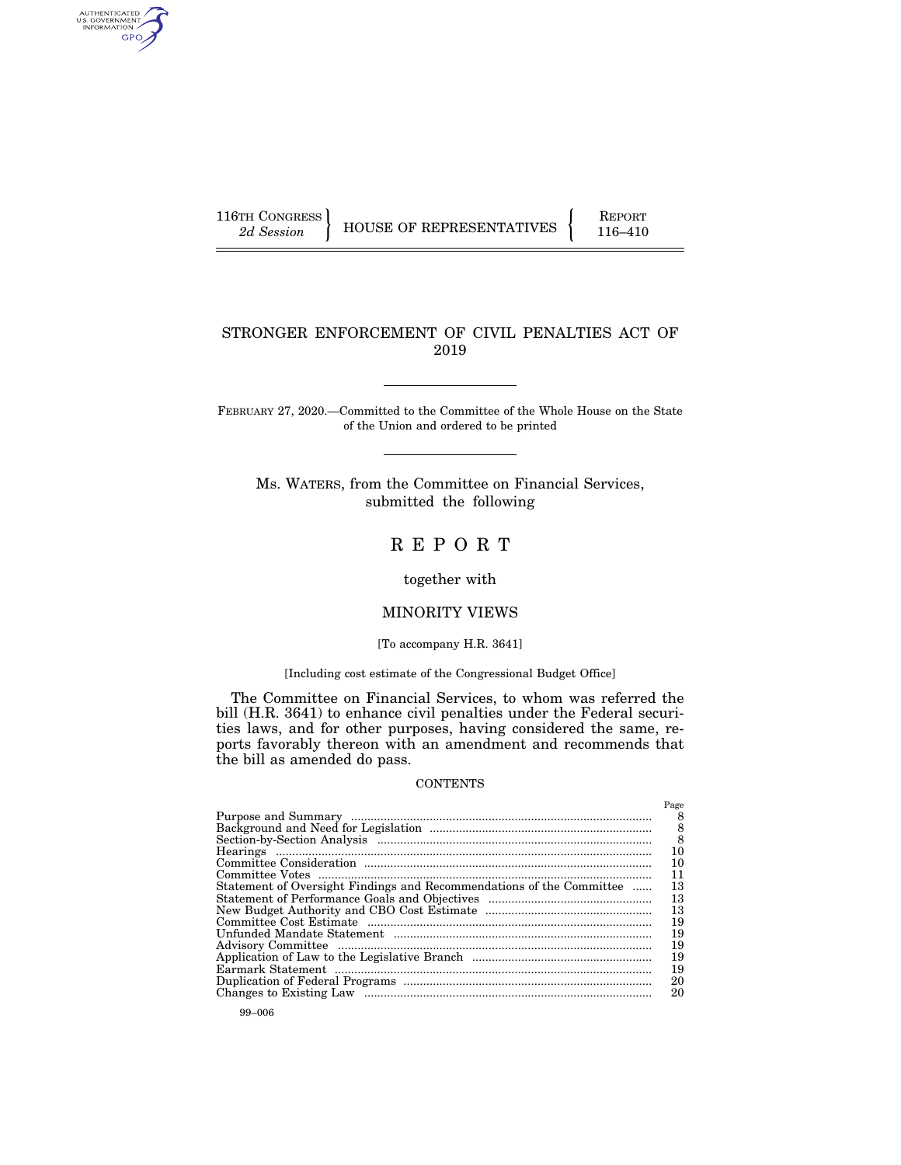AUTHENTICATED<br>U.S. GOVERNMENT<br>INFORMATION GPO

116TH CONGRESS HOUSE OF REPRESENTATIVES FEPORT 116–410

## STRONGER ENFORCEMENT OF CIVIL PENALTIES ACT OF 2019

FEBRUARY 27, 2020.—Committed to the Committee of the Whole House on the State of the Union and ordered to be printed

Ms. WATERS, from the Committee on Financial Services, submitted the following

# R E P O R T

together with

## MINORITY VIEWS

[To accompany H.R. 3641]

[Including cost estimate of the Congressional Budget Office]

The Committee on Financial Services, to whom was referred the bill (H.R. 3641) to enhance civil penalties under the Federal securities laws, and for other purposes, having considered the same, reports favorably thereon with an amendment and recommends that the bill as amended do pass.

## **CONTENTS**

|                                                                      | Page |
|----------------------------------------------------------------------|------|
|                                                                      | 8    |
|                                                                      | 8    |
|                                                                      | 8    |
|                                                                      | 10   |
|                                                                      | 10   |
|                                                                      | 11   |
| Statement of Oversight Findings and Recommendations of the Committee | 13   |
|                                                                      | 13   |
|                                                                      | 13   |
|                                                                      | 19   |
|                                                                      | 19   |
|                                                                      | 19   |
|                                                                      | 19   |
|                                                                      | 19   |
|                                                                      | 20   |
|                                                                      | 20   |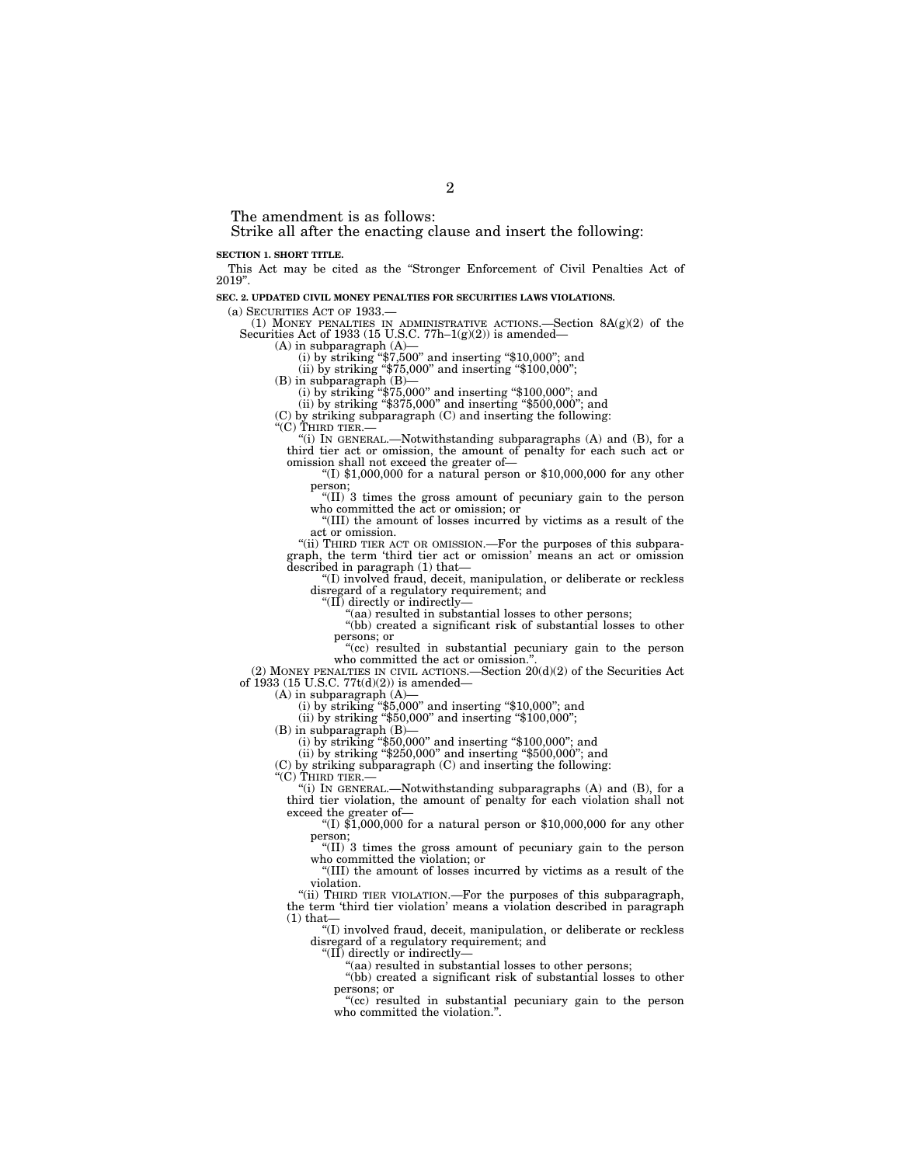The amendment is as follows:

Strike all after the enacting clause and insert the following:

#### **SECTION 1. SHORT TITLE.**

This Act may be cited as the ''Stronger Enforcement of Civil Penalties Act of 2019''.

## **SEC. 2. UPDATED CIVIL MONEY PENALTIES FOR SECURITIES LAWS VIOLATIONS.**

(a) SECURITIES ACT OF 1933.—

(1) MONEY PENALTIES IN ADMINISTRATIVE ACTIONS.—Section  $8A(g)(2)$  of the Securities Act of 1933 (15 U.S.C. 77h–1(g)(2)) is amended—<br>(A) in subparagraph (A)—

(A) in subparagraph  $(A)$ —<br>
(i) by striking "\$7,500" and inserting "\$10,000"; and<br>
(ii) by striking "\$75,000" and inserting "\$100,000";

(B) in subparagraph (B)— (i) by striking ''\$75,000'' and inserting ''\$100,000''; and (ii) by striking ''\$375,000'' and inserting ''\$500,000''; and (C) by striking subparagraph (C) and inserting the following:

''(C) THIRD TIER.— ''(i) IN GENERAL.—Notwithstanding subparagraphs (A) and (B), for a third tier act or omission, the amount of penalty for each such act or

"(I)  $$1,000,000$  for a natural person or  $$10,000,000$  for any other

person; ''(II) 3 times the gross amount of pecuniary gain to the person who committed the act or omission; or

''(III) the amount of losses incurred by victims as a result of the act or omission.

"(ii) THIRD TIER ACT OR OMISSION.—For the purposes of this subparagraph, the term 'third tier act or omission' means an act or omission described in paragraph (1) that-

''(I) involved fraud, deceit, manipulation, or deliberate or reckless disregard of a regulatory requirement; and

''(II) directly or indirectly—

''(aa) resulted in substantial losses to other persons;

"(bb) created a significant risk of substantial losses to other persons; or

"(cc) resulted in substantial pecuniary gain to the person who committed the act or omission.

(2) MONEY PENALTIES IN CIVIL ACTIONS.—Section  $20(d)(2)$  of the Securities Act of 1933 (15 U.S.C. 77t(d)(2)) is amended—<br>(A) in subparagraph (A)—

(A) in subparagraph  $(A)$ —<br>(i) by striking "\$5,000" and inserting "\$10,000"; and

(ii) by striking " $$50,000$ " and inserting " $$100,000$ ";

(B) in subparagraph (B)—

(i) by striking ''\$50,000'' and inserting ''\$100,000''; and

(ii) by striking ''\$250,000'' and inserting ''\$500,000''; and

(C) by striking subparagraph (C) and inserting the following:

 $\rm ^{4}(\dot{C})$  Third tier.—

''(i) IN GENERAL.—Notwithstanding subparagraphs (A) and (B), for a third tier violation, the amount of penalty for each violation shall not exceed the greater of—

"(I)  $$1,000,000$  for a natural person or  $$10,000,000$  for any other person;

''(II) 3 times the gross amount of pecuniary gain to the person who committed the violation; or

''(III) the amount of losses incurred by victims as a result of the violation.

''(ii) THIRD TIER VIOLATION.—For the purposes of this subparagraph, the term 'third tier violation' means a violation described in paragraph  $(1)$  that-

''(I) involved fraud, deceit, manipulation, or deliberate or reckless disregard of a regulatory requirement; and

''(II) directly or indirectly—

''(aa) resulted in substantial losses to other persons;

''(bb) created a significant risk of substantial losses to other persons; or

"(cc) resulted in substantial pecuniary gain to the person who committed the violation."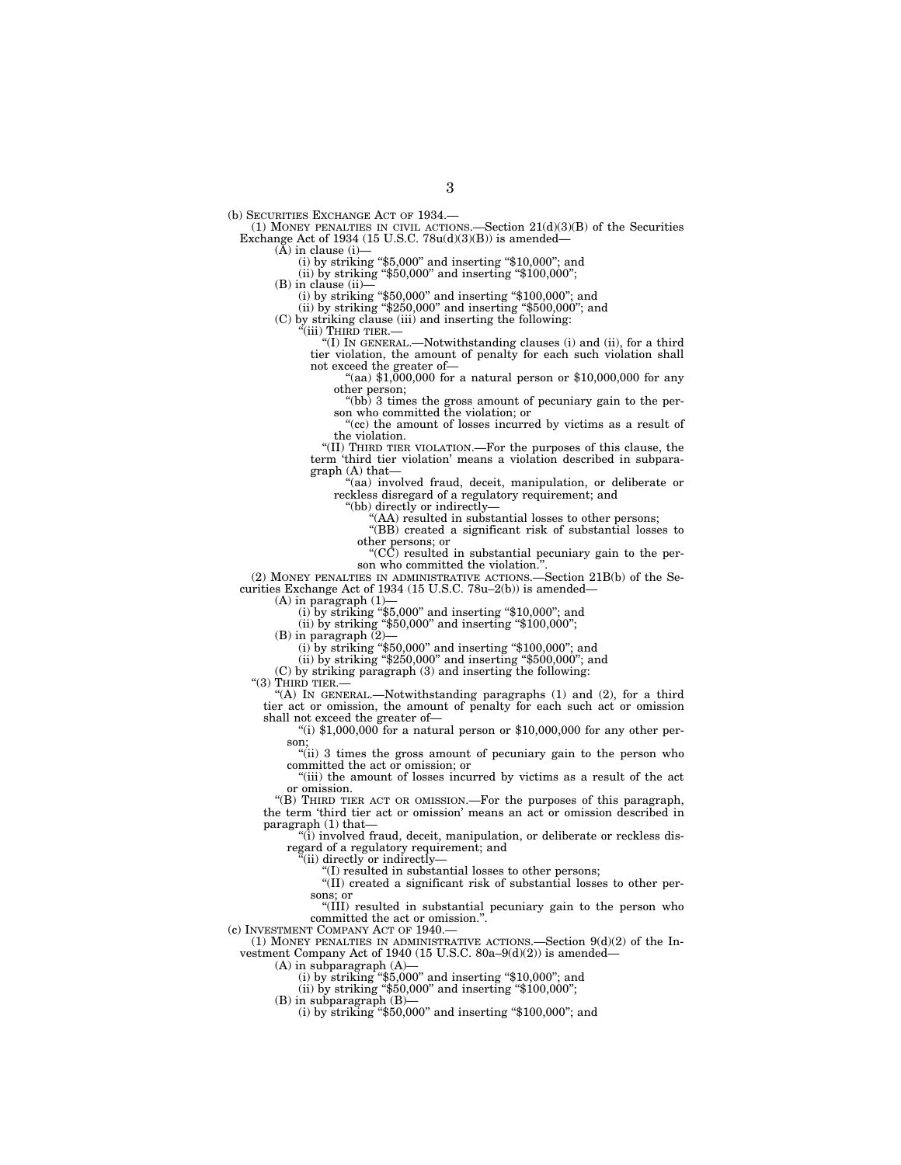(b) SECURITIES EXCHANGE ACT OF 1934.—

(1) MONEY PENALTIES IN CIVIL ACTIONS.—Section  $21(d)(3)(B)$  of the Securities Exchange Act of 1934 (15 U.S.C. 78u(d)(3)(B)) is amended—

 $(A)$  in clause  $(i)$ -

(i) by striking ''\$5,000'' and inserting ''\$10,000''; and (ii) by striking ''\$50,000'' and inserting ''\$100,000'';

 $(B)$  in clause  $(ii)$ 

(i) by striking ''\$50,000'' and inserting ''\$100,000''; and (ii) by striking ''\$250,000'' and inserting ''\$500,000''; and

(C) by striking clause (iii) and inserting the following:

''(iii) THIRD TIER.— ''(I) IN GENERAL.—Notwithstanding clauses (i) and (ii), for a third tier violation, the amount of penalty for each such violation shall not exceed the greater of—<br>"(aa) \$1,000,000 for a natural person or \$10,000,000 for any

other person; ''(bb) 3 times the gross amount of pecuniary gain to the per-

son who committed the violation; or

'(cc) the amount of losses incurred by victims as a result of the violation.

''(II) THIRD TIER VIOLATION.—For the purposes of this clause, the term 'third tier violation' means a violation described in subparagraph (A) that—

(aa) involved fraud, deceit, manipulation, or deliberate or reckless disregard of a regulatory requirement; and

''(bb) directly or indirectly—

'(AA) resulted in substantial losses to other persons:

''(BB) created a significant risk of substantial losses to other persons; or

''(CC) resulted in substantial pecuniary gain to the person who committed the violation.

(2) MONEY PENALTIES IN ADMINISTRATIVE ACTIONS.—Section 21B(b) of the Se-

curities Exchange Act of 1934 (15 U.S.C. 78u–2(b)) is amended—  $(A)$  in paragraph  $(1)$ 

 $(i)$  by striking "\$5,000" and inserting "\$10,000"; and

 $(i)$  by striking "\$50,000" and inserting "\$100,000";

 $(B)$  in paragraph  $(2)$ -

(i) by striking ''\$50,000'' and inserting ''\$100,000''; and

(ii) by striking ''\$250,000'' and inserting ''\$500,000''; and

(C) by striking paragraph (3) and inserting the following:

''(3) THIRD TIER.—

''(A) IN GENERAL.—Notwithstanding paragraphs (1) and (2), for a third tier act or omission, the amount of penalty for each such act or omission shall not exceed the greater of—

 $(1)$  \$1,000,000 for a natural person or \$10,000,000 for any other person;

"(ii) 3 times the gross amount of pecuniary gain to the person who committed the act or omission; or

"(iii) the amount of losses incurred by victims as a result of the act or omission.

''(B) THIRD TIER ACT OR OMISSION.—For the purposes of this paragraph, the term 'third tier act or omission' means an act or omission described in paragraph (1) that—

''(i) involved fraud, deceit, manipulation, or deliberate or reckless disregard of a regulatory requirement; and

''(ii) directly or indirectly—

'(I) resulted in substantial losses to other persons;

''(II) created a significant risk of substantial losses to other persons; or

''(III) resulted in substantial pecuniary gain to the person who committed the act or omission.''.

(c) INVESTMENT COMPANY ACT OF 1940.—

(1) MONEY PENALTIES IN ADMINISTRATIVE ACTIONS.—Section  $9(d)(2)$  of the Investment Company Act of 1940 (15 U.S.C. 80a–9(d)(2)) is amended—

(A) in subparagraph (A)— (i) by striking ''\$5,000'' and inserting ''\$10,000''; and (ii) by striking ''\$50,000'' and inserting ''\$100,000'';

 $(B)$  in subparagraph  $(B)$ -

(i) by striking " $$50,000$ " and inserting " $$100,000$ "; and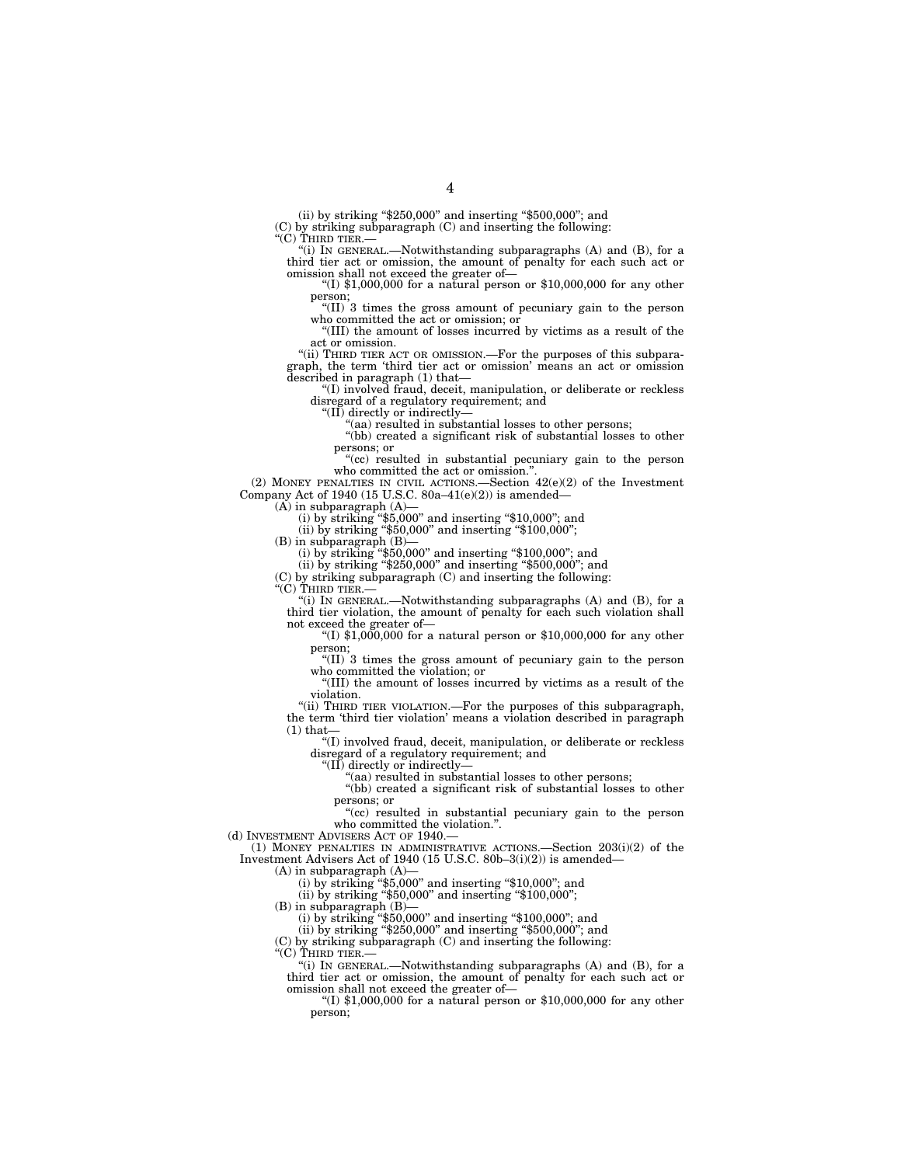(ii) by striking "\$250,000" and inserting "\$500,000"; and (C) by striking subparagraph (C) and inserting the following:

"(i) IN GENERAL.—Notwithstanding subparagraphs  $(A)$  and  $(B)$ , for a third tier act or omission, the amount of penalty for each such act or omission shall not exceed the greater of—<br>"(I) \$1,000,000 for a natural person or \$10,000,000 for any other

person;

''(II) 3 times the gross amount of pecuniary gain to the person who committed the act or omission; or

"(III) the amount of losses incurred by victims as a result of the act or omission.

''(ii) THIRD TIER ACT OR OMISSION.—For the purposes of this subparagraph, the term 'third tier act or omission' means an act or omission described in paragraph (1) that—

''(I) involved fraud, deceit, manipulation, or deliberate or reckless disregard of a regulatory requirement; and

''(II) directly or indirectly—

"aa) resulted in substantial losses to other persons;

''(bb) created a significant risk of substantial losses to other persons; or

"(cc) resulted in substantial pecuniary gain to the person who committed the act or omission."

(2) MONEY PENALTIES IN CIVIL ACTIONS.—Section 42(e)(2) of the Investment Company Act of 1940 (15 U.S.C. 80a–41 $(e)(2)$ ) is amended—

 $(A)$  in subparagraph  $(A)$ —

 $(i)$  by striking "\$5,000" and inserting "\$10,000"; and

(ii) by striking " $$50,000$ " and inserting " $$100,000$ ";

(B) in subparagraph (B)—

(i) by striking ''\$50,000'' and inserting ''\$100,000''; and

(ii) by striking ''\$250,000'' and inserting ''\$500,000''; and

(C) by striking subparagraph (C) and inserting the following:

''(C) THIRD TIER.—

''(i) IN GENERAL.—Notwithstanding subparagraphs (A) and (B), for a third tier violation, the amount of penalty for each such violation shall not exceed the greater of—

"(I)  $$1,000,000$  for a natural person or  $$10,000,000$  for any other person;

''(II) 3 times the gross amount of pecuniary gain to the person who committed the violation; or

''(III) the amount of losses incurred by victims as a result of the violation.

''(ii) THIRD TIER VIOLATION.—For the purposes of this subparagraph, the term 'third tier violation' means a violation described in paragraph  $(1)$  that-

''(I) involved fraud, deceit, manipulation, or deliberate or reckless disregard of a regulatory requirement; and

"(II) directly or indirectly-

''(aa) resulted in substantial losses to other persons;

''(bb) created a significant risk of substantial losses to other

persons; or

"(cc) resulted in substantial pecuniary gain to the person who committed the violation.''.

(d) INVESTMENT ADVISERS ACT OF 1940.—

(1) MONEY PENALTIES IN ADMINISTRATIVE ACTIONS.—Section 203(i)(2) of the Investment Advisers Act of 1940 (15 U.S.C. 80b–3(i)(2)) is amended—

(A) in subparagraph (A)—

 $(i)$  by striking "\$5,000" and inserting "\$10,000"; and

(ii) by striking " $$50,000$ " and inserting " $$100,000$ ";

(B) in subparagraph (B)—

(i) by striking ''\$50,000'' and inserting ''\$100,000''; and

(ii) by striking ''\$250,000'' and inserting ''\$500,000''; and

(C) by striking subparagraph (C) and inserting the following: ''(C) THIRD TIER.—

''(i) IN GENERAL.—Notwithstanding subparagraphs (A) and (B), for a third tier act or omission, the amount of penalty for each such act or omission shall not exceed the greater of—

"(I)  $$1,000,000$  for a natural person or  $$10,000,000$  for any other person;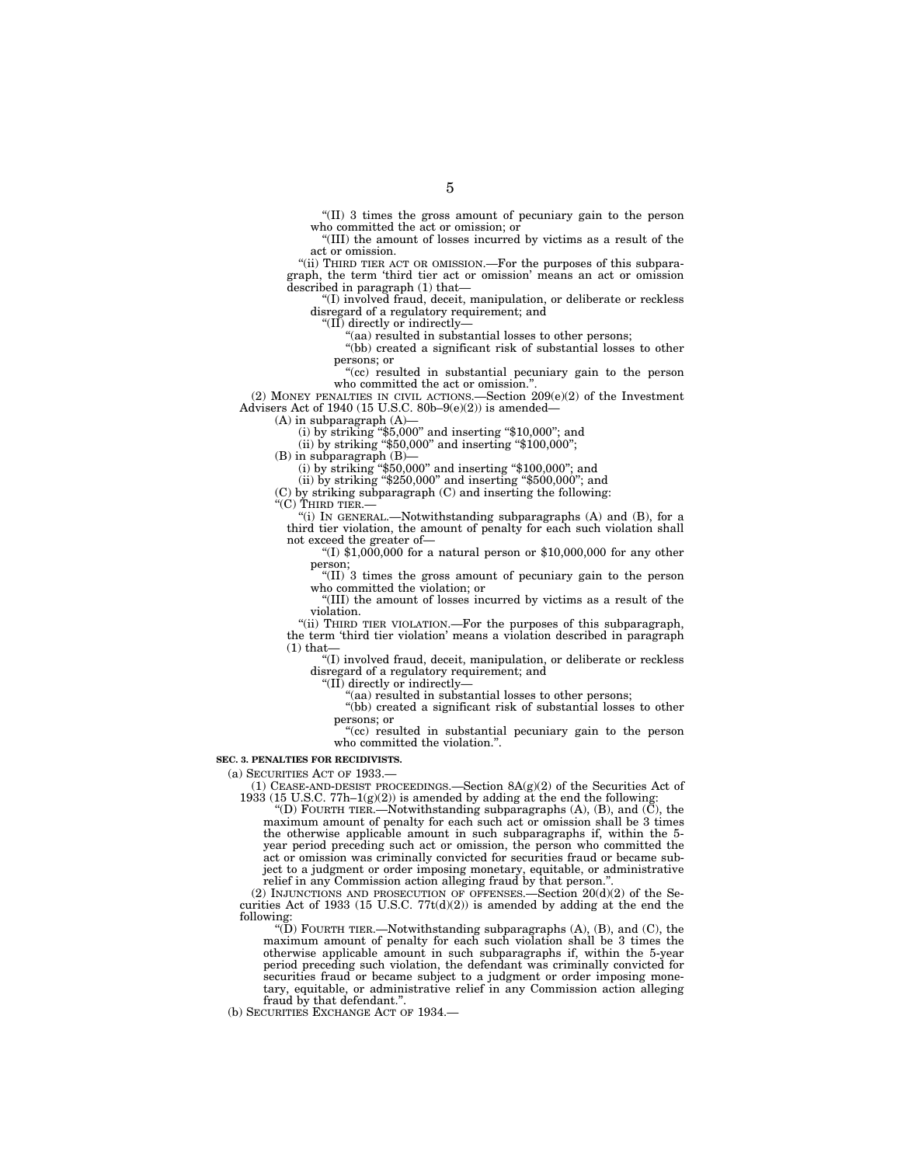"(II) 3 times the gross amount of pecuniary gain to the person who committed the act or omission; or

''(III) the amount of losses incurred by victims as a result of the act or omission.

"(ii) THIRD TIER ACT OR OMISSION.—For the purposes of this subparagraph, the term 'third tier act or omission' means an act or omission described in paragraph (1) that—

''(I) involved fraud, deceit, manipulation, or deliberate or reckless disregard of a regulatory requirement; and

''(II) directly or indirectly—

''(aa) resulted in substantial losses to other persons;

''(bb) created a significant risk of substantial losses to other persons; or

"(cc) resulted in substantial pecuniary gain to the person who committed the act or omission.'

(2) MONEY PENALTIES IN CIVIL ACTIONS.—Section 209(e)(2) of the Investment Advisers Act of 1940 (15 U.S.C. 80b–9(e)(2)) is amended—

(A) in subparagraph (A)—

(i) by striking ''\$5,000'' and inserting ''\$10,000''; and

(ii) by striking " $$50,000$ " and inserting " $$100,000$ ";

 $(B)$  in subparagraph  $(B)$ -

(i) by striking ''\$50,000'' and inserting ''\$100,000''; and

(ii) by striking ''\$250,000'' and inserting ''\$500,000''; and

(C) by striking subparagraph (C) and inserting the following:

"(C) THIRD TIER.-

''(i) IN GENERAL.—Notwithstanding subparagraphs (A) and (B), for a third tier violation, the amount of penalty for each such violation shall not exceed the greater of—

"(I)  $$1,000,000$  for a natural person or  $$10,000,000$  for any other person;

''(II) 3 times the gross amount of pecuniary gain to the person who committed the violation; or

''(III) the amount of losses incurred by victims as a result of the violation.

''(ii) THIRD TIER VIOLATION.—For the purposes of this subparagraph, the term 'third tier violation' means a violation described in paragraph  $(1)$  that-

''(I) involved fraud, deceit, manipulation, or deliberate or reckless disregard of a regulatory requirement; and

''(II) directly or indirectly—

"(aa) resulted in substantial losses to other persons;

''(bb) created a significant risk of substantial losses to other persons; or

''(cc) resulted in substantial pecuniary gain to the person who committed the violation.''.

#### **SEC. 3. PENALTIES FOR RECIDIVISTS.**

(a) SECURITIES ACT OF 1933.—

(1) CEASE-AND-DESIST PROCEEDINGS.—Section 8A(g)(2) of the Securities Act of 1933 (15 U.S.C. 77h–1(g)(2)) is amended by adding at the end the following:

''(D) FOURTH TIER.—Notwithstanding subparagraphs (A), (B), and (C), the maximum amount of penalty for each such act or omission shall be 3 times the otherwise applicable amount in such subparagraphs if, within the 5 year period preceding such act or omission, the person who committed the act or omission was criminally convicted for securities fraud or became subject to a judgment or order imposing monetary, equitable, or administrative relief in any Commission action alleging fraud by that person.''.

(2) INJUNCTIONS AND PROSECUTION OF OFFENSES.—Section  $20(d)(2)$  of the Securities Act of 1933 (15 U.S.C.  $77t(d)(2)$ ) is amended by adding at the end the following:

"(D) FOURTH TIER.—Notwithstanding subparagraphs  $(A)$ ,  $(B)$ , and  $(C)$ , the maximum amount of penalty for each such violation shall be 3 times the otherwise applicable amount in such subparagraphs if, within the 5-year period preceding such violation, the defendant was criminally convicted for securities fraud or became subject to a judgment or order imposing monetary, equitable, or administrative relief in any Commission action alleging fraud by that defendant.'

(b) SECURITIES EXCHANGE ACT OF 1934.—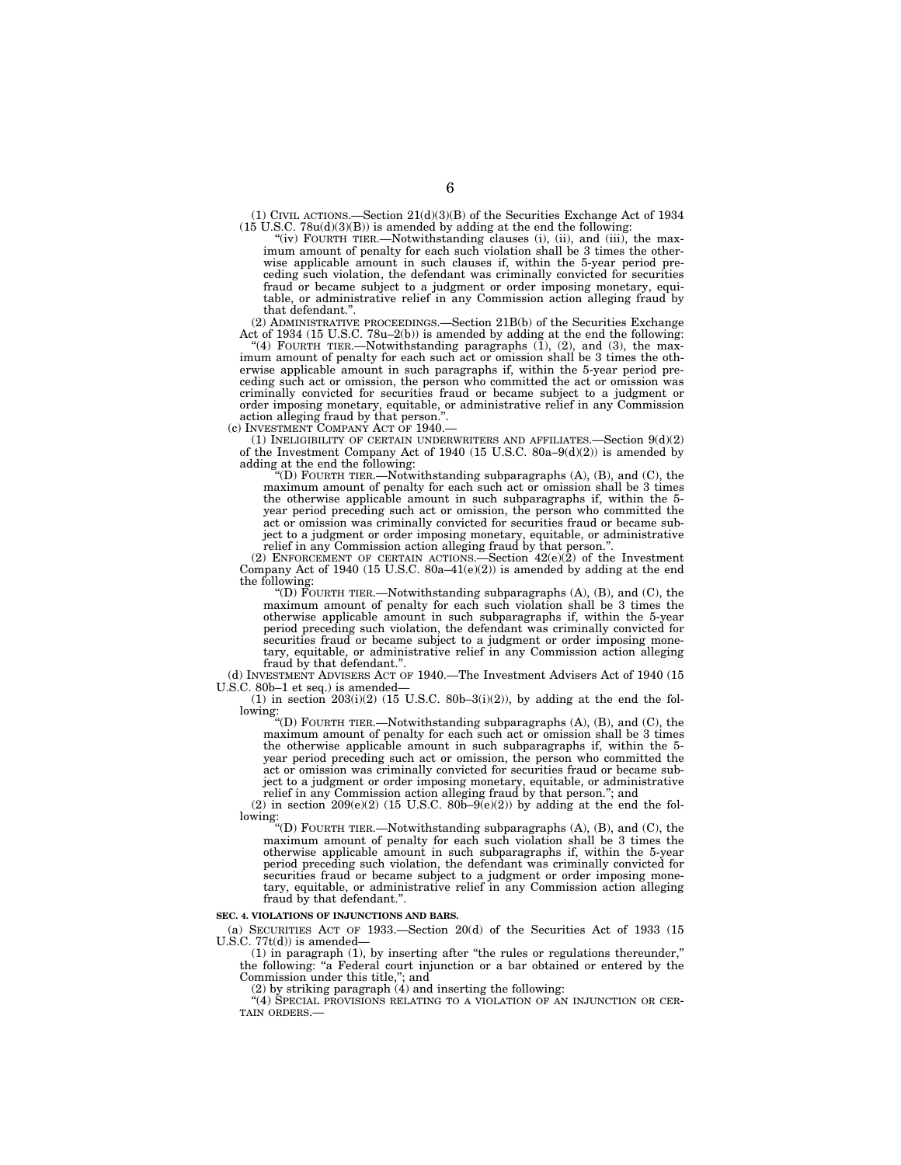(1) CIVIL ACTIONS.—Section 21(d)(3)(B) of the Securities Exchange Act of 1934  $(15 \text{ U.S.C. } 78u(d)(3)(B))$  is amended by adding at the end the following:

"(iv) FOURTH TIER.—Notwithstanding clauses (i), (ii), and (iii), the maximum amount of penalty for each such violation shall be 3 times the otherwise applicable amount in such clauses if, within the 5-year period preceding such violation, the defendant was criminally convicted for securities fraud or became subject to a judgment or order imposing monetary, equitable, or administrative relief in any Commission action alleging fraud by that defendant.''.

(2) ADMINISTRATIVE PROCEEDINGS.—Section 21B(b) of the Securities Exchange Act of 1934 (15 U.S.C. 78u–2(b)) is amended by adding at the end the following:

"(4) FOURTH TIER.—Notwithstanding paragraphs  $(1)$ ,  $(2)$ , and  $(3)$ , the maximum amount of penalty for each such act or omission shall be 3 times the otherwise applicable amount in such paragraphs if, within the 5-year period preceding such act or omission, the person who committed the act or omission was criminally convicted for securities fraud or became subject to a judgment or order imposing monetary, equitable, or administrative relief in any Commission action alleging fraud by that person.''.

(c) INVESTMENT COMPANY ACT OF 1940.—

(1) INELIGIBILITY OF CERTAIN UNDERWRITERS AND AFFILIATES.—Section  $9(d)(2)$ of the Investment Company Act of 1940 (15 U.S.C.  $80a-9(d)(2)$ ) is amended by adding at the end the following:

''(D) FOURTH TIER.—Notwithstanding subparagraphs (A), (B), and (C), the maximum amount of penalty for each such act or omission shall be 3 times the otherwise applicable amount in such subparagraphs if, within the 5 year period preceding such act or omission, the person who committed the act or omission was criminally convicted for securities fraud or became subject to a judgment or order imposing monetary, equitable, or administrative

relief in any Commission action alleging fraud by that person.".<br>
(2) ENFORCEMENT OF CERTAIN ACTIONS.—Section  $42(e)(2)$  of the Investment Company Act of 1940 (15 U.S.C.  $80a-41(e)(2)$ ) is amended by adding at the end the following:

''(D) FOURTH TIER.—Notwithstanding subparagraphs (A), (B), and (C), the maximum amount of penalty for each such violation shall be 3 times the otherwise applicable amount in such subparagraphs if, within the 5-year period preceding such violation, the defendant was criminally convicted for securities fraud or became subject to a judgment or order imposing monetary, equitable, or administrative relief in any Commission action alleging fraud by that defendant.'

(d) INVESTMENT ADVISERS ACT OF 1940.—The Investment Advisers Act of 1940 (15 U.S.C. 80b-1 et seq.) is amended-

(1) in section  $203(i)(2)$  (15 U.S.C. 80b–3(i)(2)), by adding at the end the following:

"(D) FOURTH TIER.—Notwithstanding subparagraphs  $(A)$ ,  $(B)$ , and  $(C)$ , the maximum amount of penalty for each such act or omission shall be 3 times the otherwise applicable amount in such subparagraphs if, within the 5 year period preceding such act or omission, the person who committed the act or omission was criminally convicted for securities fraud or became subject to a judgment or order imposing monetary, equitable, or administrative relief in any Commission action alleging fraud by that person.''; and

(2) in section  $209(e)(2)$  (15 U.S.C.  $80b-9(e)(2)$ ) by adding at the end the fol-

lowing:<br>
"(D) FOURTH TIER.—Notwithstanding subparagraphs (A), (B), and (C), the<br>
maximum amount of penalty for each such violation shall be 3 times the otherwise applicable amount in such subparagraphs if, within the 5-year period preceding such violation, the defendant was criminally convicted for securities fraud or became subject to a judgment or order imposing monetary, equitable, or administrative relief in any Commission action alleging fraud by that defendant.'

#### **SEC. 4. VIOLATIONS OF INJUNCTIONS AND BARS.**

(a) SECURITIES ACT OF 1933.—Section 20(d) of the Securities Act of 1933 (15 U.S.C.  $77t(d)$  is amended-

 $(1)$  in paragraph  $(1)$ , by inserting after "the rules or regulations thereunder," the following: ''a Federal court injunction or a bar obtained or entered by the Commission under this title,''; and

(2) by striking paragraph (4) and inserting the following:

''(4) SPECIAL PROVISIONS RELATING TO A VIOLATION OF AN INJUNCTION OR CER-TAIN ORDERS.—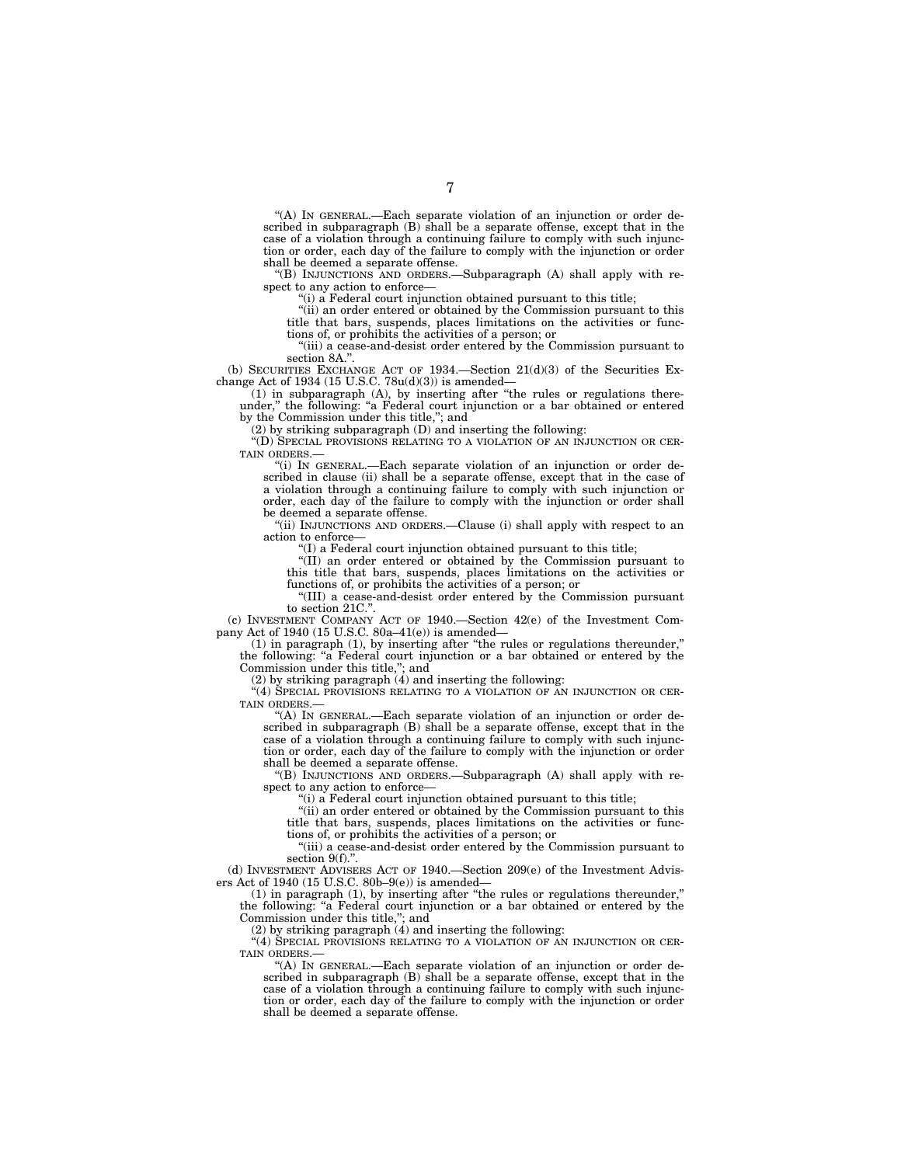''(A) IN GENERAL.—Each separate violation of an injunction or order described in subparagraph (B) shall be a separate offense, except that in the case of a violation through a continuing failure to comply with such injunction or order, each day of the failure to comply with the injunction or order shall be deemed a separate offense.

''(B) INJUNCTIONS AND ORDERS.—Subparagraph (A) shall apply with respect to any action to enforce-

"(i) a Federal court injunction obtained pursuant to this title;

''(ii) an order entered or obtained by the Commission pursuant to this title that bars, suspends, places limitations on the activities or functions of, or prohibits the activities of a person; or

''(iii) a cease-and-desist order entered by the Commission pursuant to section 8A.".

(b) SECURITIES EXCHANGE ACT OF 1934.—Section  $21(d)(3)$  of the Securities Exchange Act of 1934 (15 U.S.C.  $78u(d)(3)$ ) is amended—

(1) in subparagraph (A), by inserting after ''the rules or regulations thereunder,'' the following: ''a Federal court injunction or a bar obtained or entered by the Commission under this title,''; and

(2) by striking subparagraph (D) and inserting the following:

''(D) SPECIAL PROVISIONS RELATING TO A VIOLATION OF AN INJUNCTION OR CER-TAIN ORDERS.—

''(i) IN GENERAL.—Each separate violation of an injunction or order described in clause (ii) shall be a separate offense, except that in the case of a violation through a continuing failure to comply with such injunction or order, each day of the failure to comply with the injunction or order shall be deemed a separate offense.

''(ii) INJUNCTIONS AND ORDERS.—Clause (i) shall apply with respect to an action to enforce—

''(I) a Federal court injunction obtained pursuant to this title;

''(II) an order entered or obtained by the Commission pursuant to this title that bars, suspends, places limitations on the activities or functions of, or prohibits the activities of a person; or

''(III) a cease-and-desist order entered by the Commission pursuant to section 21C."

(c) INVESTMENT COMPANY ACT OF 1940.—Section 42(e) of the Investment Company Act of 1940 (15 U.S.C. 80a–41(e)) is amended—

(1) in paragraph (1), by inserting after ''the rules or regulations thereunder,'' the following: ''a Federal court injunction or a bar obtained or entered by the Commission under this title,''; and

(2) by striking paragraph (4) and inserting the following:

''(4) SPECIAL PROVISIONS RELATING TO A VIOLATION OF AN INJUNCTION OR CER-TAIN ORDERS.

''(A) IN GENERAL.—Each separate violation of an injunction or order described in subparagraph (B) shall be a separate offense, except that in the case of a violation through a continuing failure to comply with such injunction or order, each day of the failure to comply with the injunction or order shall be deemed a separate offense.

''(B) INJUNCTIONS AND ORDERS.—Subparagraph (A) shall apply with respect to any action to enforce

"(i) a Federal court injunction obtained pursuant to this title;

''(ii) an order entered or obtained by the Commission pursuant to this title that bars, suspends, places limitations on the activities or functions of, or prohibits the activities of a person; or

''(iii) a cease-and-desist order entered by the Commission pursuant to section 9(f).".

(d) INVESTMENT ADVISERS ACT OF 1940.—Section 209(e) of the Investment Advisers Act of  $1940 (15 \text{ U.S.C. } 80b-9(e))$  is amended—

(1) in paragraph (1), by inserting after ''the rules or regulations thereunder,'' the following: ''a Federal court injunction or a bar obtained or entered by the Commission under this title,''; and

(2) by striking paragraph (4) and inserting the following:

''(4) SPECIAL PROVISIONS RELATING TO A VIOLATION OF AN INJUNCTION OR CER-TAIN ORDERS.

''(A) IN GENERAL.—Each separate violation of an injunction or order described in subparagraph (B) shall be a separate offense, except that in the case of a violation through a continuing failure to comply with such injunction or order, each day of the failure to comply with the injunction or order shall be deemed a separate offense.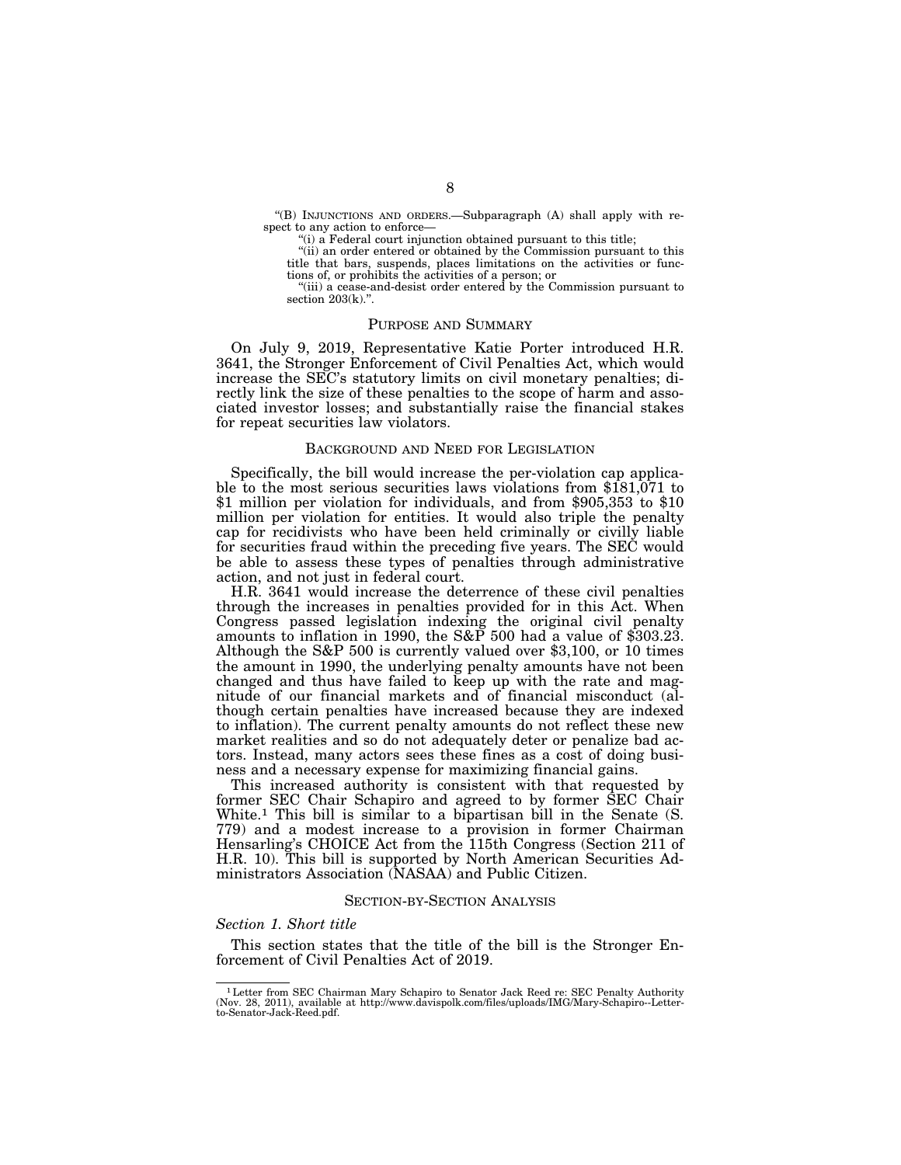''(B) INJUNCTIONS AND ORDERS.—Subparagraph (A) shall apply with respect to any action to enforce—

''(i) a Federal court injunction obtained pursuant to this title;

''(ii) an order entered or obtained by the Commission pursuant to this title that bars, suspends, places limitations on the activities or functions of, or prohibits the activities of a person; or

''(iii) a cease-and-desist order entered by the Commission pursuant to section 203(k).".

#### PURPOSE AND SUMMARY

On July 9, 2019, Representative Katie Porter introduced H.R. 3641, the Stronger Enforcement of Civil Penalties Act, which would increase the SEC's statutory limits on civil monetary penalties; directly link the size of these penalties to the scope of harm and associated investor losses; and substantially raise the financial stakes for repeat securities law violators.

#### BACKGROUND AND NEED FOR LEGISLATION

Specifically, the bill would increase the per-violation cap applicable to the most serious securities laws violations from \$181,071 to \$1 million per violation for individuals, and from \$905,353 to \$10 million per violation for entities. It would also triple the penalty cap for recidivists who have been held criminally or civilly liable for securities fraud within the preceding five years. The SEC would be able to assess these types of penalties through administrative action, and not just in federal court.

H.R. 3641 would increase the deterrence of these civil penalties through the increases in penalties provided for in this Act. When Congress passed legislation indexing the original civil penalty amounts to inflation in 1990, the S&P 500 had a value of \$303.23. Although the S&P 500 is currently valued over \$3,100, or 10 times the amount in 1990, the underlying penalty amounts have not been changed and thus have failed to keep up with the rate and magnitude of our financial markets and of financial misconduct (although certain penalties have increased because they are indexed to inflation). The current penalty amounts do not reflect these new market realities and so do not adequately deter or penalize bad actors. Instead, many actors sees these fines as a cost of doing business and a necessary expense for maximizing financial gains.

This increased authority is consistent with that requested by former SEC Chair Schapiro and agreed to by former SEC Chair White.1 This bill is similar to a bipartisan bill in the Senate (S. 779) and a modest increase to a provision in former Chairman Hensarling's CHOICE Act from the 115th Congress (Section 211 of H.R. 10). This bill is supported by North American Securities Administrators Association (NASAA) and Public Citizen.

#### SECTION-BY-SECTION ANALYSIS

#### *Section 1. Short title*

This section states that the title of the bill is the Stronger Enforcement of Civil Penalties Act of 2019.

<sup>1</sup>Letter from SEC Chairman Mary Schapiro to Senator Jack Reed re: SEC Penalty Authority (Nov. 28, 2011), available at http://www.davispolk.com/files/uploads/IMG/Mary-Schapiro--Letter-to-Senator-Jack-Reed.pdf.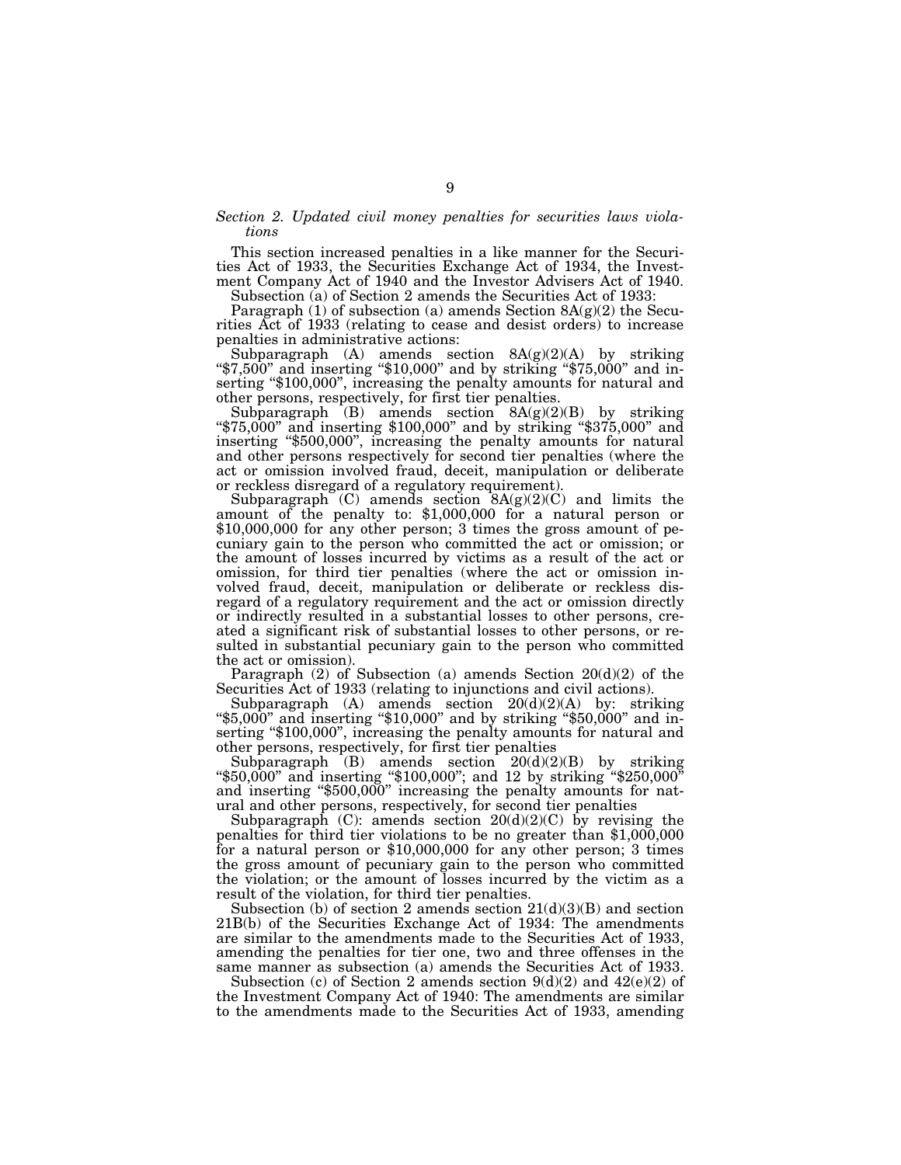## *Section 2. Updated civil money penalties for securities laws violations*

This section increased penalties in a like manner for the Securities Act of 1933, the Securities Exchange Act of 1934, the Investment Company Act of 1940 and the Investor Advisers Act of 1940.

Subsection (a) of Section 2 amends the Securities Act of 1933:

Paragraph (1) of subsection (a) amends Section 8A(g)(2) the Securities Act of 1933 (relating to cease and desist orders) to increase penalties in administrative actions:<br>Subparagraph (A) amends section  $8A(g)(2)(A)$  by striking

" $\$7,500$ " and inserting " $\$10,000$ " and by striking " $\$75,000$ " and inserting "\$100,000", increasing the penalty amounts for natural and other persons, respectively, for first tier penalties.<br>Subparagraph (B) amends section  $8A(g)(2)(B)$  by striking

" $$75,000"$  and inserting  $$100,000"$  and by striking " $$375,000"$  and inserting "\$500,000", increasing the penalty amounts for natural and other persons respectively for second tier penalties (where the act or omission involved fraud, deceit, manipulation or deliberate or reckless disregard of a regulatory requirement).<br>Subparagraph (C) amends section  $8A(g)(2)(C)$  and limits the

amount of the penalty to:  $$1,000,000$  for a natural person or \$10,000,000 for any other person; 3 times the gross amount of pecuniary gain to the person who committed the act or omission; or the amount of losses incurred by victims as a result of the act or omission, for third tier penalties (where the act or omission involved fraud, deceit, manipulation or deliberate or reckless disregard of a regulatory requirement and the act or omission directly or indirectly resulted in a substantial losses to other persons, created a significant risk of substantial losses to other persons, or resulted in substantial pecuniary gain to the person who committed the act or omission).

Paragraph (2) of Subsection (a) amends Section  $20(d)(2)$  of the Securities Act of 1933 (relating to injunctions and civil actions).<br>Subparagraph (A) amends section  $20(d)(2)(A)$  by: striking

 $\frac{1}{2}$   $\frac{1}{2}$ ( $\frac{1}{2}$ )(3)<sup>o</sup>)<sup>'</sup> and inserting ''\$10,000'' and by striking ''\$50,000'' and inserting "\$100,000", increasing the penalty amounts for natural and other persons, respectively, for first tier penalties

Subparagraph (B) amends section  $20(d)(2)(B)$  by striking "\$50,000" and inserting "\$100,000"; and 12 by striking "\$250,000" and inserting ''\$500,000'' increasing the penalty amounts for natural and other persons, respectively, for second tier penalties

Subparagraph (C): amends section  $20(d)(2)(C)$  by revising the penalties for third tier violations to be no greater than \$1,000,000 for a natural person or \$10,000,000 for any other person; 3 times the gross amount of pecuniary gain to the person who committed the violation; or the amount of losses incurred by the victim as a result of the violation, for third tier penalties.

Subsection (b) of section 2 amends section  $21(d)(3)(B)$  and section 21B(b) of the Securities Exchange Act of 1934: The amendments are similar to the amendments made to the Securities Act of 1933, amending the penalties for tier one, two and three offenses in the same manner as subsection (a) amends the Securities Act of 1933.

Subsection (c) of Section 2 amends section  $9(d)(2)$  and  $42(e)(2)$  of the Investment Company Act of 1940: The amendments are similar to the amendments made to the Securities Act of 1933, amending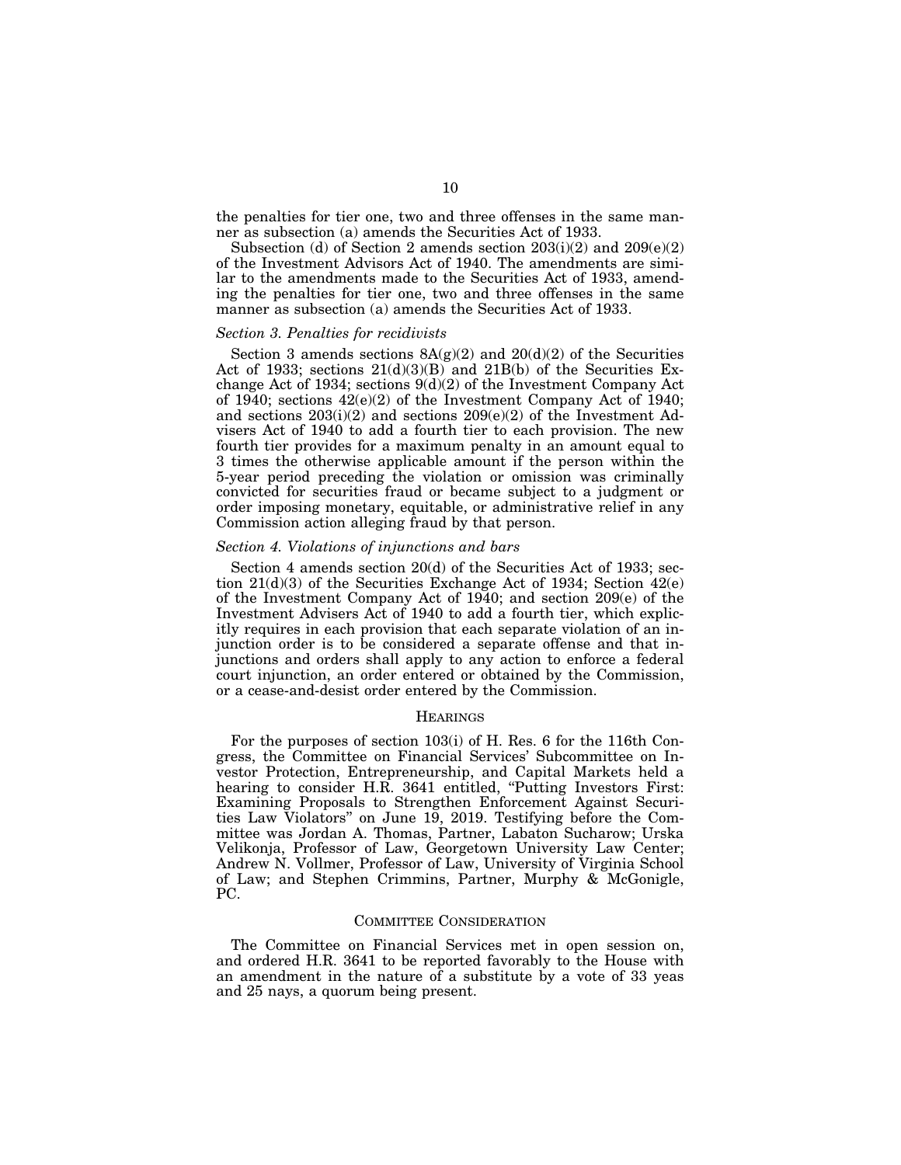the penalties for tier one, two and three offenses in the same manner as subsection (a) amends the Securities Act of 1933.

Subsection (d) of Section 2 amends section  $203(i)(2)$  and  $209(e)(2)$ of the Investment Advisors Act of 1940. The amendments are similar to the amendments made to the Securities Act of 1933, amending the penalties for tier one, two and three offenses in the same manner as subsection (a) amends the Securities Act of 1933.

#### *Section 3. Penalties for recidivists*

Section 3 amends sections  $8A(g)(2)$  and  $20(d)(2)$  of the Securities Act of 1933; sections  $21(d)(3)(B)$  and  $21B(b)$  of the Securities Exchange Act of 1934; sections 9(d)(2) of the Investment Company Act of 1940; sections  $42(e)(2)$  of the Investment Company Act of 1940; and sections 203(i)(2) and sections 209(e)(2) of the Investment Advisers Act of 1940 to add a fourth tier to each provision. The new fourth tier provides for a maximum penalty in an amount equal to 3 times the otherwise applicable amount if the person within the 5-year period preceding the violation or omission was criminally convicted for securities fraud or became subject to a judgment or order imposing monetary, equitable, or administrative relief in any Commission action alleging fraud by that person.

#### *Section 4. Violations of injunctions and bars*

Section 4 amends section 20(d) of the Securities Act of 1933; section 21(d)(3) of the Securities Exchange Act of 1934; Section 42(e) of the Investment Company Act of 1940; and section 209(e) of the Investment Advisers Act of 1940 to add a fourth tier, which explicitly requires in each provision that each separate violation of an injunction order is to be considered a separate offense and that injunctions and orders shall apply to any action to enforce a federal court injunction, an order entered or obtained by the Commission, or a cease-and-desist order entered by the Commission.

## **HEARINGS**

For the purposes of section 103(i) of H. Res. 6 for the 116th Congress, the Committee on Financial Services' Subcommittee on Investor Protection, Entrepreneurship, and Capital Markets held a hearing to consider H.R. 3641 entitled, "Putting Investors First: Examining Proposals to Strengthen Enforcement Against Securities Law Violators'' on June 19, 2019. Testifying before the Committee was Jordan A. Thomas, Partner, Labaton Sucharow; Urska Velikonja, Professor of Law, Georgetown University Law Center; Andrew N. Vollmer, Professor of Law, University of Virginia School of Law; and Stephen Crimmins, Partner, Murphy & McGonigle, PC.

## COMMITTEE CONSIDERATION

The Committee on Financial Services met in open session on, and ordered H.R. 3641 to be reported favorably to the House with an amendment in the nature of a substitute by a vote of 33 yeas and 25 nays, a quorum being present.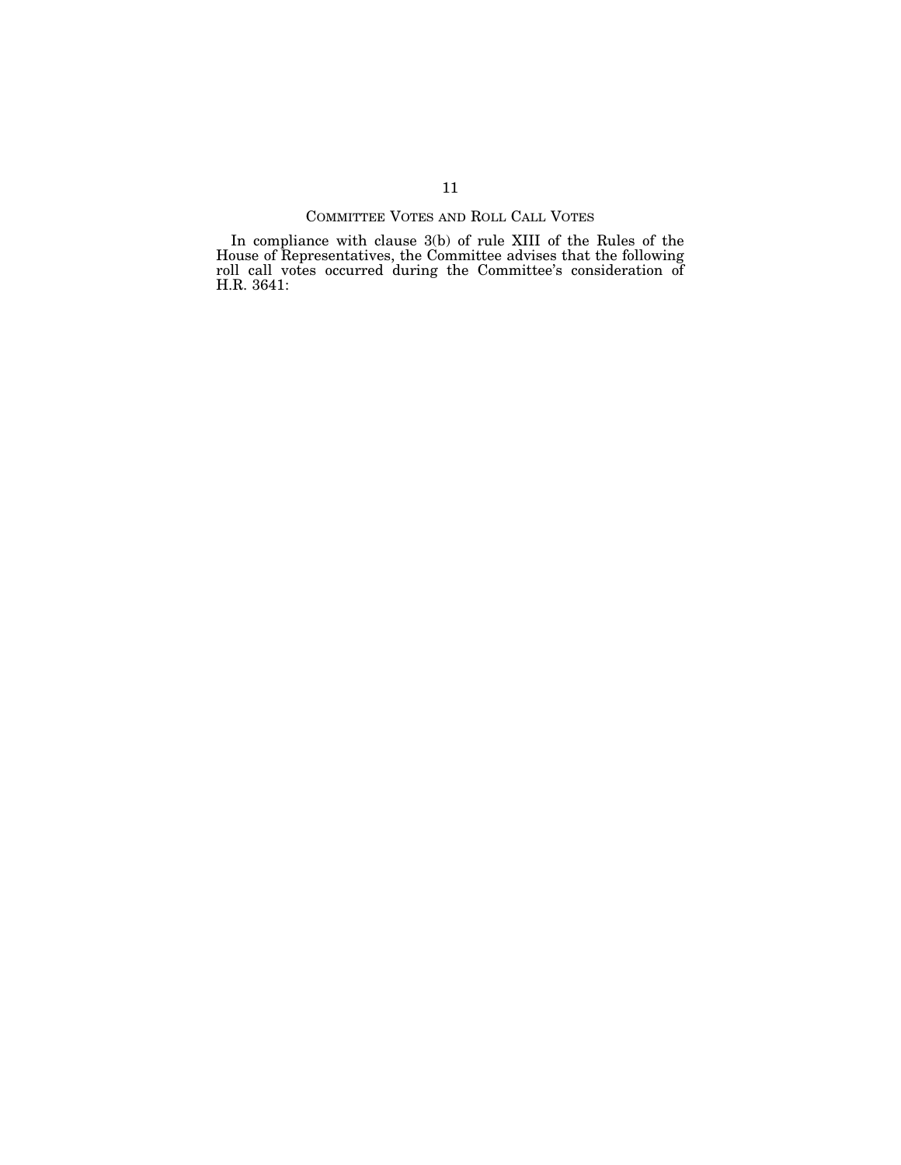## COMMITTEE VOTES AND ROLL CALL VOTES

In compliance with clause 3(b) of rule XIII of the Rules of the House of Representatives, the Committee advises that the following roll call votes occurred during the Committee's consideration of H.R. 3641: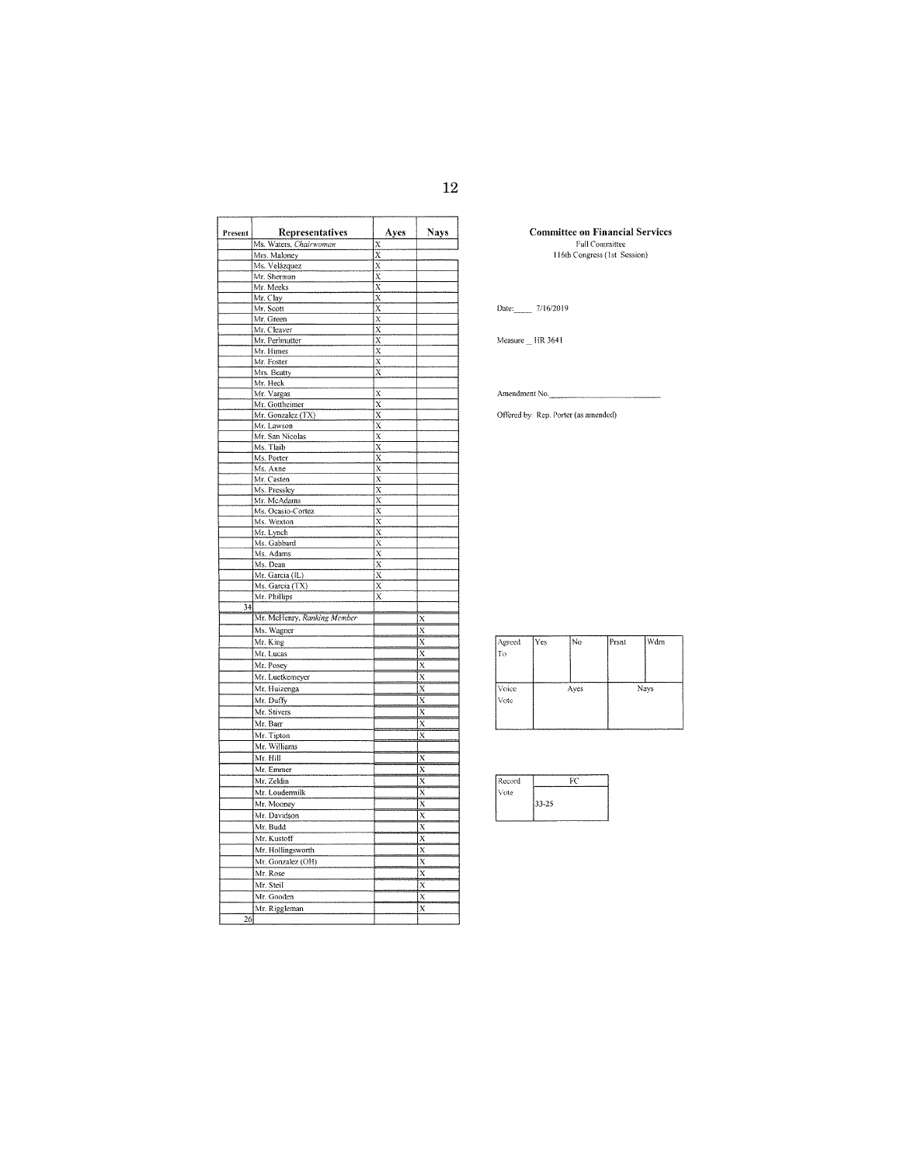Ŧ

| Present         | Representatives                 | Ayes                                                | <b>Nays</b>               |
|-----------------|---------------------------------|-----------------------------------------------------|---------------------------|
|                 | Ms. Waters, Chairwoman          |                                                     |                           |
|                 | Mrs. Maloney                    |                                                     |                           |
|                 | Ms. Velázquez                   |                                                     |                           |
|                 | Mr. Sherman                     |                                                     |                           |
|                 | Mr. Meeks                       |                                                     |                           |
|                 | Mr. Clay                        |                                                     |                           |
|                 | Mr. Scott                       |                                                     |                           |
|                 | Mr. Green                       |                                                     |                           |
|                 | Mr. Cleaver                     |                                                     |                           |
|                 | Mr. Perlmutter                  |                                                     |                           |
|                 | Mr. Himes                       |                                                     |                           |
|                 | Mr. Foster                      |                                                     |                           |
|                 | Mrs. Beatty                     | $\overline{x}$                                      |                           |
|                 | Mr. Heck                        |                                                     |                           |
|                 | Mr. Vargas                      | X                                                   |                           |
|                 | Mr. Gottheimer                  | $\frac{x}{x}$                                       |                           |
|                 | Mr. Gonzalez (TX)<br>Mr. Lawson | $\overline{x}$                                      |                           |
|                 | Mr. San Nicolas                 |                                                     |                           |
|                 | Ms. Tlaib                       |                                                     |                           |
|                 | Ms. Porter                      | $\frac{X}{X}$                                       |                           |
|                 | Ms. Axne                        | $\overline{x}$                                      |                           |
|                 | Mr. Casten                      |                                                     |                           |
|                 | Ms. Pressley                    |                                                     |                           |
|                 | Mr. McAdams                     | $\frac{X}{X}$                                       |                           |
|                 | Ms. Ocasio-Cortez               | $\overline{\mathbf{x}}$                             |                           |
|                 | Ms. Wexton                      |                                                     |                           |
|                 | Mr. Lynch                       |                                                     |                           |
|                 | Ms. Gabbard                     |                                                     |                           |
|                 | Ms. Adams                       |                                                     |                           |
|                 | Ms. Dean                        |                                                     |                           |
|                 | Mr. Garcia (IL)                 | $\frac{X}{X} \times \frac{X}{X} \times \frac{X}{X}$ |                           |
|                 | Ms. Garcia (TX)                 |                                                     |                           |
|                 | Mr. Phillips                    | X                                                   |                           |
| 34              |                                 |                                                     |                           |
|                 | Mr. McHenry, Ranking Member     |                                                     | X                         |
|                 | Ms. Wagner                      |                                                     | X                         |
|                 | Mr. King                        |                                                     | Х                         |
|                 | Mr. Lucas                       |                                                     | X                         |
|                 | Mr. Posey                       |                                                     | X                         |
|                 | Mr. Luetkemeyer                 |                                                     | Х                         |
|                 | Mr. Huizenga                    |                                                     | X                         |
|                 | Mr. Duffy                       |                                                     | X                         |
|                 | Mr. Stivers                     |                                                     | X                         |
|                 | Mr. Barr                        |                                                     | X                         |
|                 | Mr. Tipton                      |                                                     | X                         |
|                 | Mr. Williams                    |                                                     |                           |
|                 | Mr. Hill                        |                                                     | $\overline{X}$            |
|                 | Mr. Emmer                       |                                                     | X                         |
|                 | Mr. Zeldin                      |                                                     | X                         |
|                 | Mr. Loudermilk                  |                                                     | X                         |
|                 | Mr. Mooney                      |                                                     | $\overline{\mathbf{x}}$   |
|                 | Mr. Davidson                    |                                                     | X                         |
|                 | Mr. Budd                        |                                                     | $\mathbf{x}$              |
|                 | Mr. Kustoff                     |                                                     | $\boldsymbol{\mathsf{X}}$ |
|                 | Mr. Hollingsworth               |                                                     | $\overline{\mathbf{x}}$   |
|                 | Mr. Gonzalez (OH)               |                                                     | X                         |
|                 | Mr. Rose                        |                                                     | $\overline{\mathbf{x}}$   |
|                 | Mr. Steil                       |                                                     |                           |
|                 |                                 |                                                     | X                         |
|                 | Mr. Gooden                      |                                                     | X                         |
| $\overline{26}$ | Mr. Riggleman                   |                                                     | X                         |
|                 |                                 |                                                     |                           |

r

F

**Committee on Financial Services**<br>Full Committee<br>116th Congress (1st Session)

Date: 7/16/2019

 $\text{Measure} \_\text{HR} 3641$ 

Amendment No.

Offered by: Rep. Porter (as amended)

| Agreed<br>iTo. | Yes | No   | Prsnt | Wdm  |
|----------------|-----|------|-------|------|
| Voice<br>Vote  |     | Ayes |       | Nays |

|      | Record |       |  |
|------|--------|-------|--|
| Vote |        |       |  |
|      |        | 33-25 |  |
|      |        |       |  |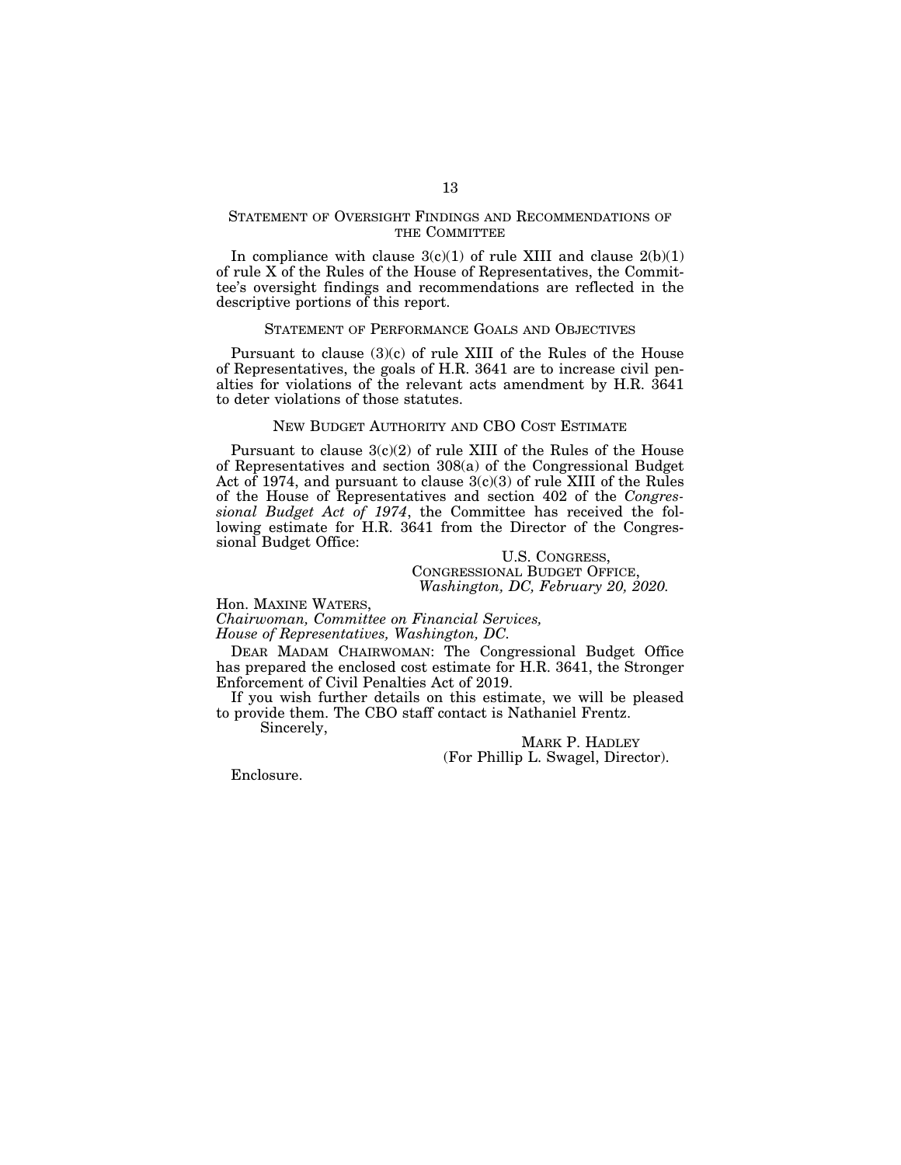## STATEMENT OF OVERSIGHT FINDINGS AND RECOMMENDATIONS OF THE COMMITTEE

In compliance with clause  $3(c)(1)$  of rule XIII and clause  $2(b)(1)$ of rule X of the Rules of the House of Representatives, the Committee's oversight findings and recommendations are reflected in the descriptive portions of this report.

## STATEMENT OF PERFORMANCE GOALS AND OBJECTIVES

Pursuant to clause  $(3)(c)$  of rule XIII of the Rules of the House of Representatives, the goals of H.R. 3641 are to increase civil penalties for violations of the relevant acts amendment by H.R. 3641 to deter violations of those statutes.

## NEW BUDGET AUTHORITY AND CBO COST ESTIMATE

Pursuant to clause 3(c)(2) of rule XIII of the Rules of the House of Representatives and section 308(a) of the Congressional Budget Act of 1974, and pursuant to clause 3(c)(3) of rule XIII of the Rules of the House of Representatives and section 402 of the *Congressional Budget Act of 1974*, the Committee has received the following estimate for H.R. 3641 from the Director of the Congressional Budget Office:

> U.S. CONGRESS, CONGRESSIONAL BUDGET OFFICE, *Washington, DC, February 20, 2020.*

Hon. MAXINE WATERS, *Chairwoman, Committee on Financial Services, House of Representatives, Washington, DC.* 

DEAR MADAM CHAIRWOMAN: The Congressional Budget Office has prepared the enclosed cost estimate for H.R. 3641, the Stronger Enforcement of Civil Penalties Act of 2019.

If you wish further details on this estimate, we will be pleased to provide them. The CBO staff contact is Nathaniel Frentz. Sincerely,

MARK P. HADLEY (For Phillip L. Swagel, Director).

Enclosure.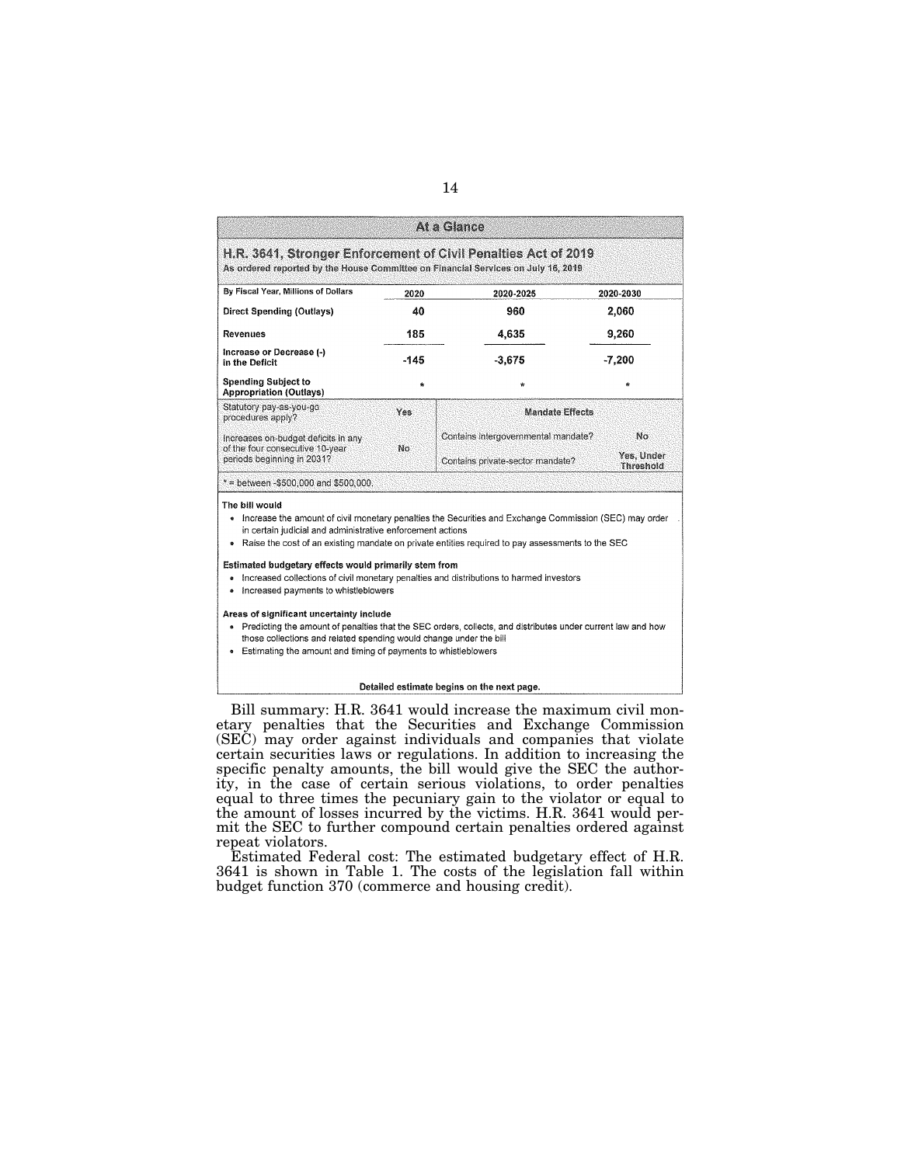|                                                                                                                                                                 |         | At a Glance                                                                                                                                                                                                  |                                |
|-----------------------------------------------------------------------------------------------------------------------------------------------------------------|---------|--------------------------------------------------------------------------------------------------------------------------------------------------------------------------------------------------------------|--------------------------------|
| As ordered reported by the House Committee on Financial Services on July 16, 2019                                                                               |         | H.R. 3641, Stronger Enforcement of Civil Penalties Act of 2019                                                                                                                                               |                                |
| By Fiscal Year, Millions of Dollars                                                                                                                             | 2020    | 2020-2025                                                                                                                                                                                                    | 2020-2030                      |
| <b>Direct Spending (Outlays)</b>                                                                                                                                | 40      | 960                                                                                                                                                                                                          | 2.060                          |
| Revenues                                                                                                                                                        | 185     | 4,635                                                                                                                                                                                                        | 9,260                          |
| Increase or Decrease (-)<br>in the Deficit                                                                                                                      | $-145$  | $-3,675$                                                                                                                                                                                                     | $-7,200$                       |
| <b>Spending Subject to</b><br><b>Appropriation (Outlays)</b>                                                                                                    | $\star$ | $\star$                                                                                                                                                                                                      | $\mathbf{r}$                   |
| Statutory pay-as-you-go<br>procedures apply?                                                                                                                    | Yes     | <b>Mandate Effects</b>                                                                                                                                                                                       |                                |
| Increases on-budget deficits in any                                                                                                                             |         | Contains intergovernmental mandate?                                                                                                                                                                          | No.                            |
| of the four consecutive 10-year<br>periods beginning in 2031?                                                                                                   | No.     | Contains private-sector mandate?                                                                                                                                                                             | Yes, Under<br><b>Threshold</b> |
| * = between -\$500,000 and \$500,000.                                                                                                                           |         |                                                                                                                                                                                                              |                                |
| The bill would<br>۰<br>in certain judicial and administrative enforcement actions                                                                               |         | Increase the amount of civil monetary penalties the Securities and Exchange Commission (SEC) may order<br>• Raise the cost of an existing mandate on private entities required to pay assessments to the SEC |                                |
| Estimated budgetary effects would primarily stem from<br>۰<br>Increased payments to whistleblowers<br>۰                                                         |         | Increased collections of civil monetary penalties and distributions to harmed investors                                                                                                                      |                                |
| Areas of significant uncertainty include<br>in a consequent and consequent of the anti-service of the consequent of the anti-service of the anti-service of the |         | • Predicting the amount of penalties that the SEC orders, collects, and distributes under current law and how                                                                                                |                                |

- those collections and related spending would change under the bill
- Estimating the amount and timing of payments to whistleblowers

#### Detailed estimate begins on the next page.

Bill summary: H.R. 3641 would increase the maximum civil monetary penalties that the Securities and Exchange Commission (SEC) may order against individuals and companies that violate certain securities laws or regulations. In addition to increasing the specific penalty amounts, the bill would give the SEC the authority, in the case of certain serious violations, to order penalties equal to three times the pecuniary gain to the violator or equal to the amount of losses incurred by the victims. H.R. 3641 would permit the SEC to further compound certain penalties ordered against repeat violators.

Estimated Federal cost: The estimated budgetary effect of H.R. 3641 is shown in Table 1. The costs of the legislation fall within budget function 370 (commerce and housing credit).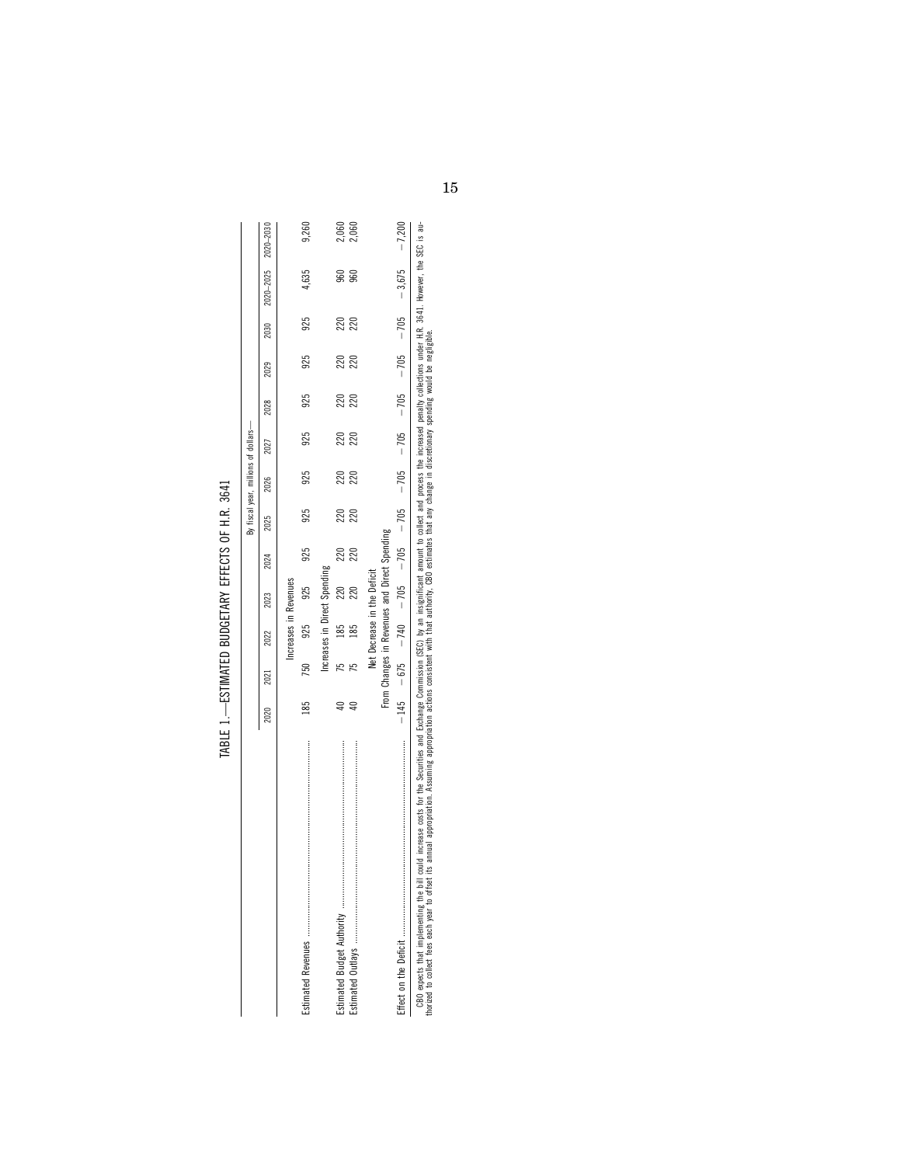|                                                                                                                                                                                                                            |      |      |                                                                             |      |      |      |      | By fiscal year, millions of dollars- |      |      |     |                                                                                         |                |
|----------------------------------------------------------------------------------------------------------------------------------------------------------------------------------------------------------------------------|------|------|-----------------------------------------------------------------------------|------|------|------|------|--------------------------------------|------|------|-----|-----------------------------------------------------------------------------------------|----------------|
|                                                                                                                                                                                                                            | 2020 | 2021 | 2022                                                                        | 2023 | 2024 | 2025 | 2026 | 2027                                 | 2028 | 2029 |     | 2030 2020-2025 2020-2030                                                                |                |
|                                                                                                                                                                                                                            |      |      | Increases in Revenues                                                       |      |      |      |      |                                      |      |      |     |                                                                                         |                |
|                                                                                                                                                                                                                            | 185  | 750  | 925                                                                         | 925  | 925  | 925  | 925  | 925                                  | 925  | 925  | 925 | 4,635                                                                                   | 9,260          |
|                                                                                                                                                                                                                            |      |      | Increases in Direct Spending                                                |      |      |      |      |                                      |      |      |     |                                                                                         |                |
|                                                                                                                                                                                                                            |      |      | 185                                                                         | 20   | 220  | 220  | 220  | 220                                  | 220  | 220  | 220 | 960                                                                                     |                |
|                                                                                                                                                                                                                            | ₽    |      |                                                                             | 220  | 220  | 220  | 220  | 220                                  | 220  | 220  | 220 | 960                                                                                     | 2,060<br>2,060 |
|                                                                                                                                                                                                                            |      |      | From Changes in Revenues and Direct Spending<br>Net Decrease in the Deficit |      |      |      |      |                                      |      |      |     |                                                                                         |                |
|                                                                                                                                                                                                                            |      |      |                                                                             |      |      |      |      |                                      |      |      |     | $-145$ $-675$ $-740$ $-705$ $-705$ $-705$ $-705$ $-705$ $-705$ $-705$ $-8,675$ $-7,200$ |                |
| - us all could incease costs for the Seasonial on the Securities and Exchange Commission (SEC) by an insignificant amount to collect and process the inceased penalty collections under H.R. 3641. However, the SEC is au- |      |      |                                                                             |      |      |      |      |                                      |      |      |     |                                                                                         |                |

TABLE 1 .- ESTIMATED BUDGETARY EFFECTS OF H.R. 3641 TABLE 1.—ESTIMATED BUDGETARY EFFECTS OF H.R. 3641

thorized to collect fees each year to offset its annual appropriation. Assuming appropriation actions consistent with that authority, CBO estimates that any change in discretionary spending would be negligible. thorized to collect fees each year to offset its annual appropriation. Assuming appropriation actions consistent with that authority, CBO estimates that any change in discretionary spending would be negligible.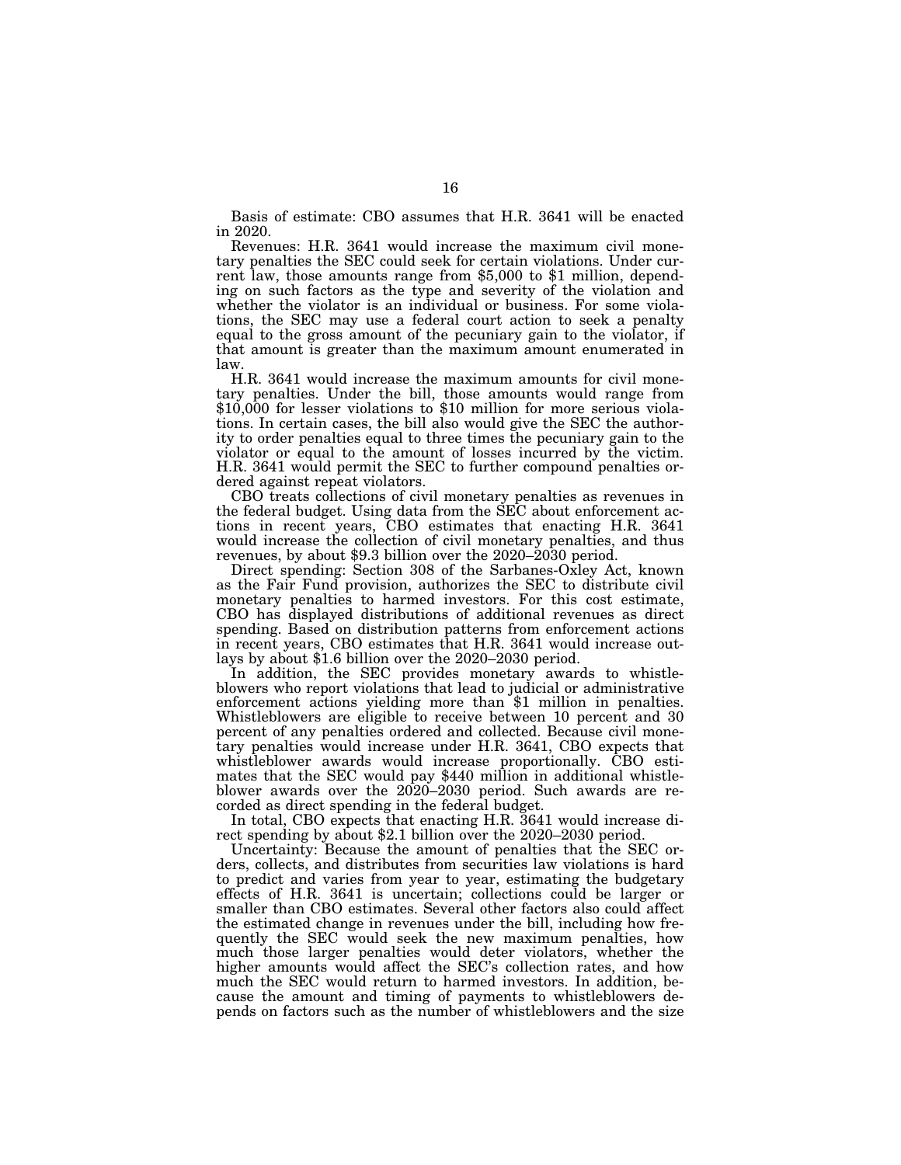Basis of estimate: CBO assumes that H.R. 3641 will be enacted in 2020.

Revenues: H.R. 3641 would increase the maximum civil monetary penalties the SEC could seek for certain violations. Under current law, those amounts range from \$5,000 to \$1 million, depending on such factors as the type and severity of the violation and whether the violator is an individual or business. For some violations, the SEC may use a federal court action to seek a penalty equal to the gross amount of the pecuniary gain to the violator, if that amount is greater than the maximum amount enumerated in law.

H.R. 3641 would increase the maximum amounts for civil monetary penalties. Under the bill, those amounts would range from \$10,000 for lesser violations to \$10 million for more serious violations. In certain cases, the bill also would give the SEC the authority to order penalties equal to three times the pecuniary gain to the violator or equal to the amount of losses incurred by the victim. H.R. 3641 would permit the SEC to further compound penalties ordered against repeat violators.

CBO treats collections of civil monetary penalties as revenues in the federal budget. Using data from the SEC about enforcement actions in recent years, CBO estimates that enacting H.R. 3641 would increase the collection of civil monetary penalties, and thus revenues, by about \$9.3 billion over the 2020–2030 period.

Direct spending: Section 308 of the Sarbanes-Oxley Act, known as the Fair Fund provision, authorizes the SEC to distribute civil monetary penalties to harmed investors. For this cost estimate, CBO has displayed distributions of additional revenues as direct spending. Based on distribution patterns from enforcement actions in recent years, CBO estimates that H.R. 3641 would increase outlays by about \$1.6 billion over the 2020–2030 period.

In addition, the SEC provides monetary awards to whistleblowers who report violations that lead to judicial or administrative enforcement actions yielding more than \$1 million in penalties. Whistleblowers are eligible to receive between 10 percent and 30 percent of any penalties ordered and collected. Because civil monetary penalties would increase under H.R. 3641, CBO expects that whistleblower awards would increase proportionally. CBO estimates that the SEC would pay \$440 million in additional whistleblower awards over the 2020–2030 period. Such awards are recorded as direct spending in the federal budget.

In total, CBO expects that enacting H.R. 3641 would increase direct spending by about \$2.1 billion over the 2020–2030 period.

Uncertainty: Because the amount of penalties that the SEC orders, collects, and distributes from securities law violations is hard to predict and varies from year to year, estimating the budgetary effects of H.R. 3641 is uncertain; collections could be larger or smaller than CBO estimates. Several other factors also could affect the estimated change in revenues under the bill, including how frequently the SEC would seek the new maximum penalties, how much those larger penalties would deter violators, whether the higher amounts would affect the SEC's collection rates, and how much the SEC would return to harmed investors. In addition, because the amount and timing of payments to whistleblowers depends on factors such as the number of whistleblowers and the size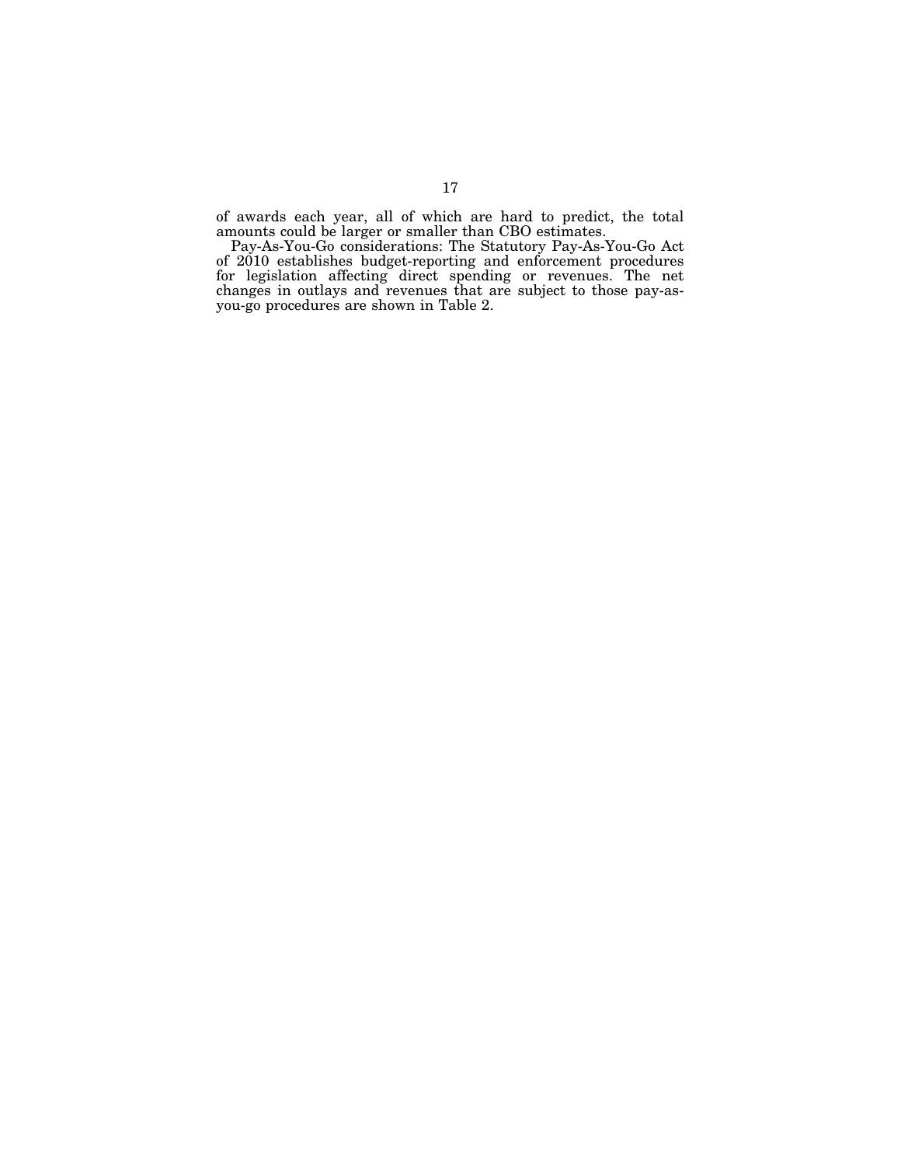of awards each year, all of which are hard to predict, the total amounts could be larger or smaller than CBO estimates.

Pay-As-You-Go considerations: The Statutory Pay-As-You-Go Act of 2010 establishes budget-reporting and enforcement procedures for legislation affecting direct spending or revenues. The net changes in outlays and revenues that are subject to those pay-asyou-go procedures are shown in Table 2.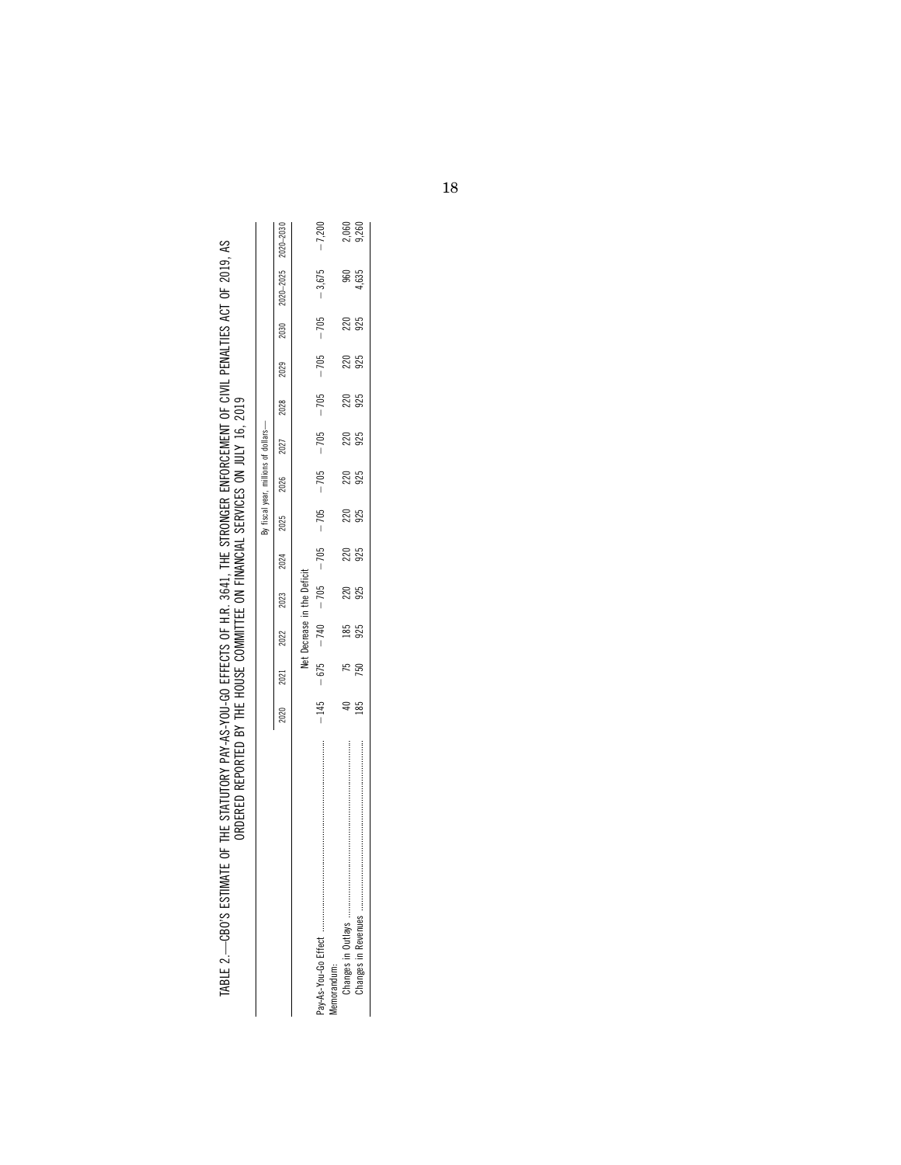| TIMATE OF THE STATUTORY PAY-AS-YOU-GO EFFECTS OF H.R. 3641, THE STRONGER ENFORCEMENT OF CIVIL PENALTIES ACT OF 2019, AS |                                                                                                                                                                                                 |
|-------------------------------------------------------------------------------------------------------------------------|-------------------------------------------------------------------------------------------------------------------------------------------------------------------------------------------------|
|                                                                                                                         |                                                                                                                                                                                                 |
|                                                                                                                         |                                                                                                                                                                                                 |
|                                                                                                                         |                                                                                                                                                                                                 |
|                                                                                                                         |                                                                                                                                                                                                 |
|                                                                                                                         |                                                                                                                                                                                                 |
|                                                                                                                         |                                                                                                                                                                                                 |
|                                                                                                                         |                                                                                                                                                                                                 |
|                                                                                                                         |                                                                                                                                                                                                 |
|                                                                                                                         |                                                                                                                                                                                                 |
|                                                                                                                         |                                                                                                                                                                                                 |
|                                                                                                                         |                                                                                                                                                                                                 |
|                                                                                                                         | ABBEBER BEBERED BEBORED DIRECTED ON FULL LIGHTED DU TULE INVESTOR DE SERVICION DE SON DE SON DE SON DE SON DE<br>JKDEKED KEPOKIED BY IHE HOUSE COMMITTEE ON FINANCIAL SEKVICES ON JOLY 10, 2013 |
|                                                                                                                         |                                                                                                                                                                                                 |
|                                                                                                                         |                                                                                                                                                                                                 |
|                                                                                                                         |                                                                                                                                                                                                 |
|                                                                                                                         |                                                                                                                                                                                                 |
|                                                                                                                         |                                                                                                                                                                                                 |
|                                                                                                                         |                                                                                                                                                                                                 |
|                                                                                                                         |                                                                                                                                                                                                 |
|                                                                                                                         |                                                                                                                                                                                                 |
|                                                                                                                         |                                                                                                                                                                                                 |
|                                                                                                                         |                                                                                                                                                                                                 |
|                                                                                                                         |                                                                                                                                                                                                 |
|                                                                                                                         |                                                                                                                                                                                                 |
|                                                                                                                         |                                                                                                                                                                                                 |
|                                                                                                                         |                                                                                                                                                                                                 |
| itel scee                                                                                                               |                                                                                                                                                                                                 |
|                                                                                                                         |                                                                                                                                                                                                 |
| しこいト                                                                                                                    |                                                                                                                                                                                                 |

 $\mathbf{p}_1$ 

|             |        |        |      |                             |      |              |      | fiscal year, millions of dollars- |      |              |     |                          |          |
|-------------|--------|--------|------|-----------------------------|------|--------------|------|-----------------------------------|------|--------------|-----|--------------------------|----------|
|             | 2020   | 2021   | 2022 | 2023                        | 2024 | 2025         | 2026 | 2027                              | 2028 | 2029         |     | 2030 2020-2025 2020-2030 |          |
|             |        |        |      | Net Decrease in the Deficit |      |              |      |                                   |      |              |     |                          |          |
| lemorandum: | $-145$ | $-675$ |      | $-740 - 705 - 705$          |      | $-705 - 705$ |      | $-705$                            |      | $-705 - 705$ |     | $-3,675$                 | $-7,200$ |
|             | ş      |        | 185  | 220                         | 220  | 220          | 220  | 220                               | 220  | 220          | 220 | 960                      | 2,060    |
|             | 185    | 750    | 925  | 925                         | 925  | 925          | 925  | 925                               | 925  | 925          | 925 | 4,635                    | 9,260    |
|             |        |        |      |                             |      |              |      |                                   |      |              |     |                          |          |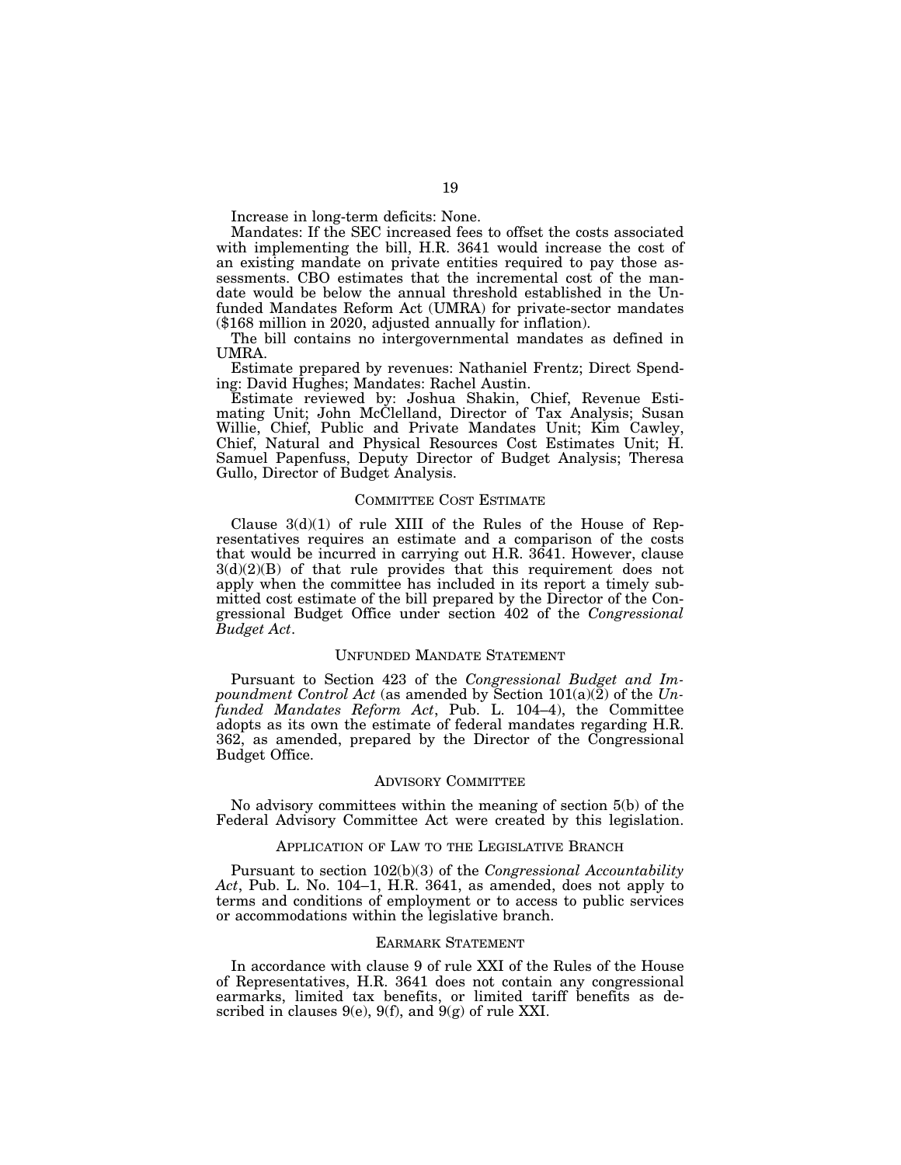Increase in long-term deficits: None.

Mandates: If the SEC increased fees to offset the costs associated with implementing the bill, H.R. 3641 would increase the cost of an existing mandate on private entities required to pay those assessments. CBO estimates that the incremental cost of the mandate would be below the annual threshold established in the Unfunded Mandates Reform Act (UMRA) for private-sector mandates (\$168 million in 2020, adjusted annually for inflation).

The bill contains no intergovernmental mandates as defined in UMRA.

Estimate prepared by revenues: Nathaniel Frentz; Direct Spending: David Hughes; Mandates: Rachel Austin.

Estimate reviewed by: Joshua Shakin, Chief, Revenue Estimating Unit; John McClelland, Director of Tax Analysis; Susan Willie, Chief, Public and Private Mandates Unit; Kim Cawley, Chief, Natural and Physical Resources Cost Estimates Unit; H. Samuel Papenfuss, Deputy Director of Budget Analysis; Theresa Gullo, Director of Budget Analysis.

## COMMITTEE COST ESTIMATE

Clause  $3(d)(1)$  of rule XIII of the Rules of the House of Representatives requires an estimate and a comparison of the costs that would be incurred in carrying out H.R. 3641. However, clause  $3(d)(2)(B)$  of that rule provides that this requirement does not apply when the committee has included in its report a timely submitted cost estimate of the bill prepared by the Director of the Congressional Budget Office under section 402 of the *Congressional Budget Act*.

## UNFUNDED MANDATE STATEMENT

Pursuant to Section 423 of the *Congressional Budget and Impoundment Control Act* (as amended by Section 101(a)(2) of the *Unfunded Mandates Reform Act*, Pub. L. 104–4), the Committee adopts as its own the estimate of federal mandates regarding H.R. 362, as amended, prepared by the Director of the Congressional Budget Office.

#### ADVISORY COMMITTEE

No advisory committees within the meaning of section 5(b) of the Federal Advisory Committee Act were created by this legislation.

#### APPLICATION OF LAW TO THE LEGISLATIVE BRANCH

Pursuant to section 102(b)(3) of the *Congressional Accountability Act*, Pub. L. No. 104–1, H.R. 3641, as amended, does not apply to terms and conditions of employment or to access to public services or accommodations within the legislative branch.

#### EARMARK STATEMENT

In accordance with clause 9 of rule XXI of the Rules of the House of Representatives, H.R. 3641 does not contain any congressional earmarks, limited tax benefits, or limited tariff benefits as described in clauses  $9(e)$ ,  $9(f)$ , and  $9(g)$  of rule XXI.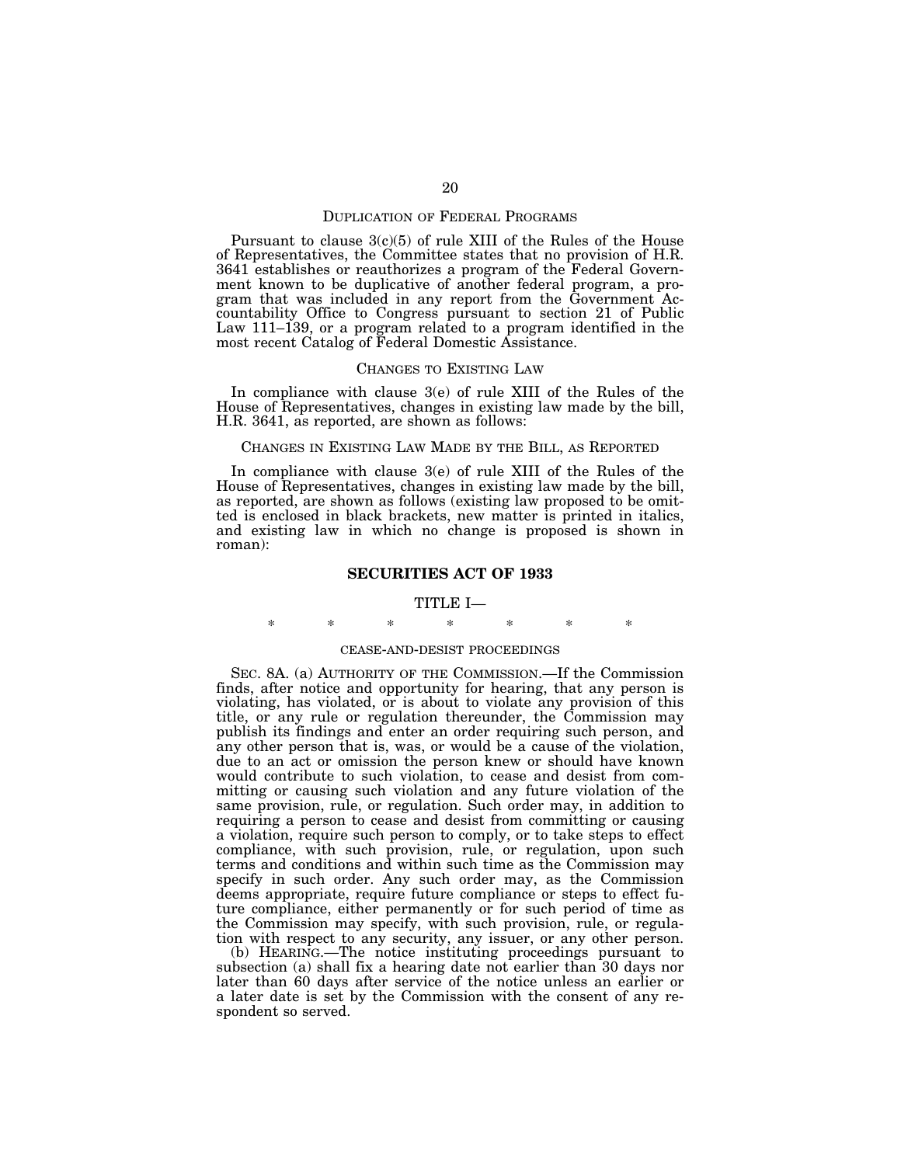### DUPLICATION OF FEDERAL PROGRAMS

Pursuant to clause  $3(c)(5)$  of rule XIII of the Rules of the House of Representatives, the Committee states that no provision of H.R. 3641 establishes or reauthorizes a program of the Federal Government known to be duplicative of another federal program, a program that was included in any report from the Government Accountability Office to Congress pursuant to section 21 of Public Law 111–139, or a program related to a program identified in the most recent Catalog of Federal Domestic Assistance.

#### CHANGES TO EXISTING LAW

In compliance with clause 3(e) of rule XIII of the Rules of the House of Representatives, changes in existing law made by the bill, H.R. 3641, as reported, are shown as follows:

### CHANGES IN EXISTING LAW MADE BY THE BILL, AS REPORTED

In compliance with clause 3(e) of rule XIII of the Rules of the House of Representatives, changes in existing law made by the bill, as reported, are shown as follows (existing law proposed to be omitted is enclosed in black brackets, new matter is printed in italics, and existing law in which no change is proposed is shown in roman):

#### **SECURITIES ACT OF 1933**

#### TITLE I—

\* \* \* \* \* \* \*

#### CEASE-AND-DESIST PROCEEDINGS

SEC. 8A. (a) AUTHORITY OF THE COMMISSION.—If the Commission finds, after notice and opportunity for hearing, that any person is violating, has violated, or is about to violate any provision of this title, or any rule or regulation thereunder, the Commission may publish its findings and enter an order requiring such person, and any other person that is, was, or would be a cause of the violation, due to an act or omission the person knew or should have known would contribute to such violation, to cease and desist from committing or causing such violation and any future violation of the same provision, rule, or regulation. Such order may, in addition to requiring a person to cease and desist from committing or causing a violation, require such person to comply, or to take steps to effect compliance, with such provision, rule, or regulation, upon such terms and conditions and within such time as the Commission may specify in such order. Any such order may, as the Commission deems appropriate, require future compliance or steps to effect future compliance, either permanently or for such period of time as the Commission may specify, with such provision, rule, or regulation with respect to any security, any issuer, or any other person.

(b) HEARING.—The notice instituting proceedings pursuant to subsection (a) shall fix a hearing date not earlier than 30 days nor later than 60 days after service of the notice unless an earlier or a later date is set by the Commission with the consent of any respondent so served.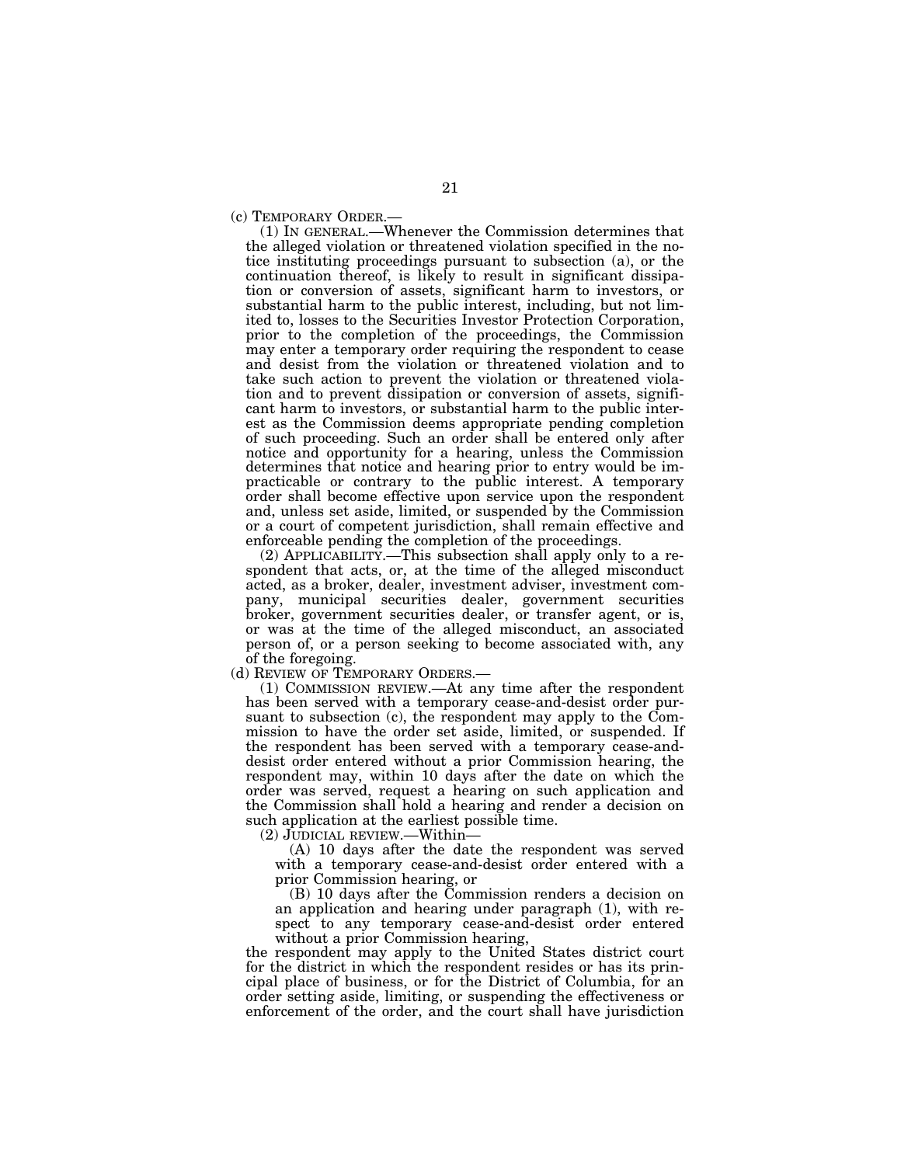(c) TEMPORARY ORDER.— (1) IN GENERAL.—Whenever the Commission determines that the alleged violation or threatened violation specified in the notice instituting proceedings pursuant to subsection (a), or the continuation thereof, is likely to result in significant dissipation or conversion of assets, significant harm to investors, or substantial harm to the public interest, including, but not limited to, losses to the Securities Investor Protection Corporation, prior to the completion of the proceedings, the Commission may enter a temporary order requiring the respondent to cease and desist from the violation or threatened violation and to take such action to prevent the violation or threatened violation and to prevent dissipation or conversion of assets, significant harm to investors, or substantial harm to the public interest as the Commission deems appropriate pending completion of such proceeding. Such an order shall be entered only after notice and opportunity for a hearing, unless the Commission determines that notice and hearing prior to entry would be impracticable or contrary to the public interest. A temporary order shall become effective upon service upon the respondent and, unless set aside, limited, or suspended by the Commission or a court of competent jurisdiction, shall remain effective and enforceable pending the completion of the proceedings.

(2) APPLICABILITY.—This subsection shall apply only to a respondent that acts, or, at the time of the alleged misconduct acted, as a broker, dealer, investment adviser, investment company, municipal securities dealer, government securities broker, government securities dealer, or transfer agent, or is, or was at the time of the alleged misconduct, an associated person of, or a person seeking to become associated with, any of the foregoing.

(d) REVIEW OF TEMPORARY ORDERS.—

(1) COMMISSION REVIEW.—At any time after the respondent has been served with a temporary cease-and-desist order pursuant to subsection (c), the respondent may apply to the Commission to have the order set aside, limited, or suspended. If the respondent has been served with a temporary cease-anddesist order entered without a prior Commission hearing, the respondent may, within 10 days after the date on which the order was served, request a hearing on such application and the Commission shall hold a hearing and render a decision on such application at the earliest possible time.

(2) JUDICIAL REVIEW.—Within—

(A) 10 days after the date the respondent was served with a temporary cease-and-desist order entered with a prior Commission hearing, or

(B) 10 days after the Commission renders a decision on an application and hearing under paragraph (1), with respect to any temporary cease-and-desist order entered without a prior Commission hearing,

the respondent may apply to the United States district court for the district in which the respondent resides or has its principal place of business, or for the District of Columbia, for an order setting aside, limiting, or suspending the effectiveness or enforcement of the order, and the court shall have jurisdiction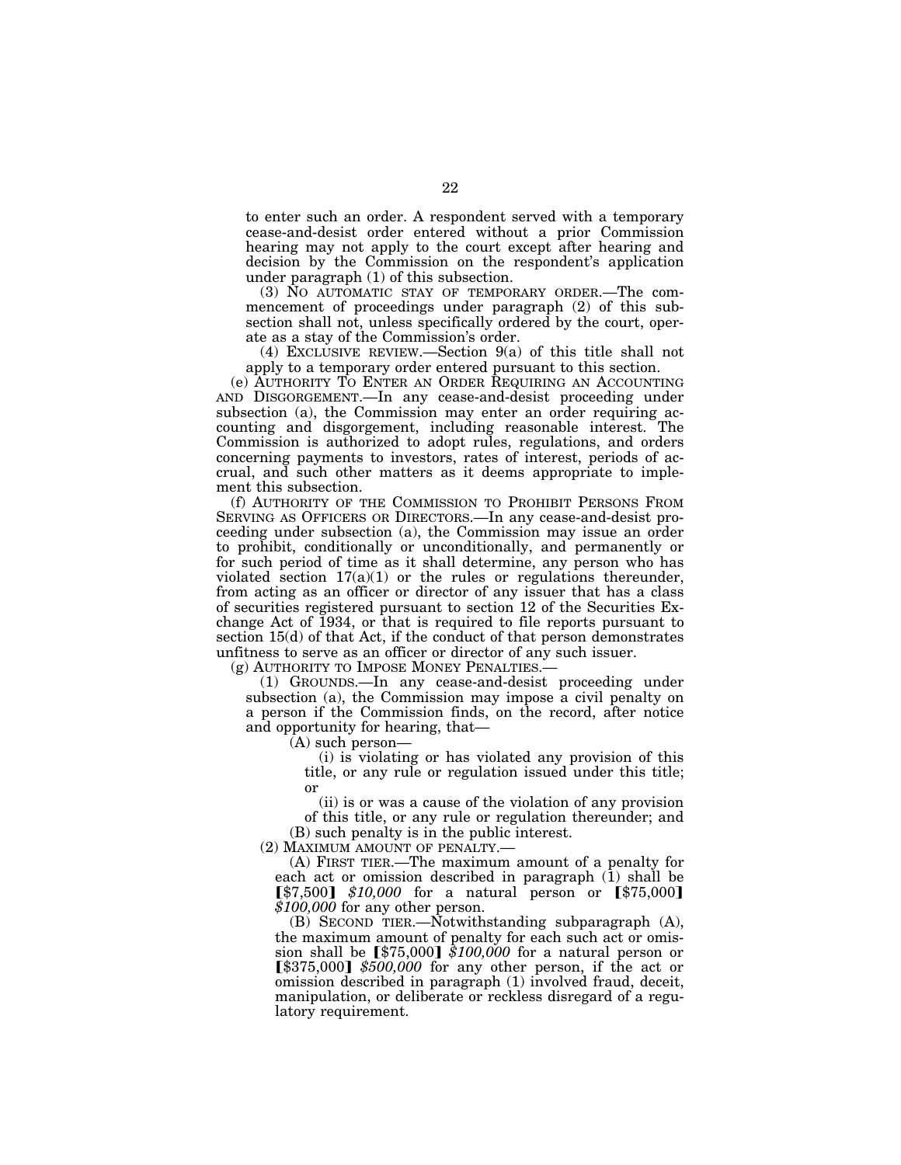to enter such an order. A respondent served with a temporary cease-and-desist order entered without a prior Commission hearing may not apply to the court except after hearing and decision by the Commission on the respondent's application under paragraph (1) of this subsection.

(3) NO AUTOMATIC STAY OF TEMPORARY ORDER.—The commencement of proceedings under paragraph (2) of this subsection shall not, unless specifically ordered by the court, operate as a stay of the Commission's order.

(4) EXCLUSIVE REVIEW.—Section 9(a) of this title shall not apply to a temporary order entered pursuant to this section.

(e) AUTHORITY TO ENTER AN ORDER REQUIRING AN ACCOUNTING AND DISGORGEMENT.—In any cease-and-desist proceeding under subsection (a), the Commission may enter an order requiring accounting and disgorgement, including reasonable interest. The Commission is authorized to adopt rules, regulations, and orders concerning payments to investors, rates of interest, periods of accrual, and such other matters as it deems appropriate to implement this subsection.

(f) AUTHORITY OF THE COMMISSION TO PROHIBIT PERSONS FROM SERVING AS OFFICERS OR DIRECTORS.—In any cease-and-desist proceeding under subsection (a), the Commission may issue an order to prohibit, conditionally or unconditionally, and permanently or for such period of time as it shall determine, any person who has violated section  $17(a)(1)$  or the rules or regulations thereunder, from acting as an officer or director of any issuer that has a class of securities registered pursuant to section 12 of the Securities Exchange Act of 1934, or that is required to file reports pursuant to section 15(d) of that Act, if the conduct of that person demonstrates unfitness to serve as an officer or director of any such issuer.

(g) AUTHORITY TO IMPOSE MONEY PENALTIES.—

(1) GROUNDS.—In any cease-and-desist proceeding under subsection (a), the Commission may impose a civil penalty on a person if the Commission finds, on the record, after notice and opportunity for hearing, that—

 $(A)$  such person-

(i) is violating or has violated any provision of this title, or any rule or regulation issued under this title; or

(ii) is or was a cause of the violation of any provision of this title, or any rule or regulation thereunder; and (B) such penalty is in the public interest.

(2) MAXIMUM AMOUNT OF PENALTY.—

(A) FIRST TIER.—The maximum amount of a penalty for each act or omission described in paragraph (1) shall be  $\left[ $7,500 \right]$   $$10,000$  for a natural person or  $\left[ $75,000 \right]$ *\$100,000* for any other person.

(B) SECOND TIER.—Notwithstanding subparagraph (A), the maximum amount of penalty for each such act or omission shall be  $\lbrack $75,000\rbrack$   $$100,000$  for a natural person or  $\left[ $375,000 \right]$  \$500,000 for any other person, if the act or omission described in paragraph (1) involved fraud, deceit, manipulation, or deliberate or reckless disregard of a regulatory requirement.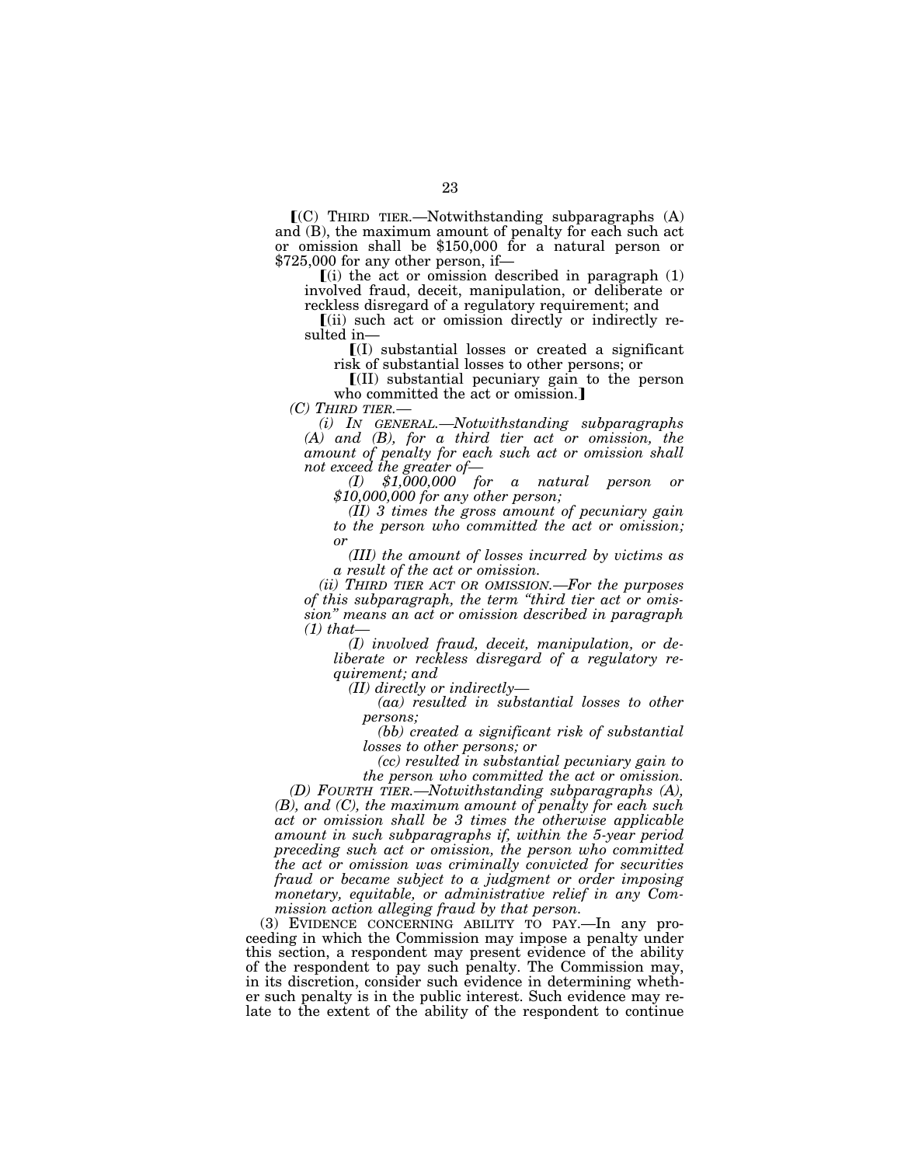$\mathbf{C}(\mathbf{C})$  THIRD TIER.—Notwithstanding subparagraphs  $(\mathbf{A})$ and (B), the maximum amount of penalty for each such act or omission shall be \$150,000 for a natural person or \$725,000 for any other person, if—

 $(i)$  the act or omission described in paragraph  $(1)$ involved fraud, deceit, manipulation, or deliberate or reckless disregard of a regulatory requirement; and

ø(ii) such act or omission directly or indirectly resulted in—

 $\overline{I}(I)$  substantial losses or created a significant risk of substantial losses to other persons; or

 $\llbracket$ (II) substantial pecuniary gain to the person who committed the act or omission.]

*(C) THIRD TIER.—* 

*(i) IN GENERAL.—Notwithstanding subparagraphs (A) and (B), for a third tier act or omission, the amount of penalty for each such act or omission shall not exceed the greater of—* 

*(I) \$1,000,000 for a natural person or \$10,000,000 for any other person;* 

*(II) 3 times the gross amount of pecuniary gain to the person who committed the act or omission; or* 

*(III) the amount of losses incurred by victims as a result of the act or omission.* 

*(ii) THIRD TIER ACT OR OMISSION.—For the purposes of this subparagraph, the term ''third tier act or omission'' means an act or omission described in paragraph (1) that—* 

*(I) involved fraud, deceit, manipulation, or deliberate or reckless disregard of a regulatory requirement; and* 

*(II) directly or indirectly—* 

*(aa) resulted in substantial losses to other persons;* 

*(bb) created a significant risk of substantial losses to other persons; or* 

*(cc) resulted in substantial pecuniary gain to* 

*the person who committed the act or omission. (D) FOURTH TIER.—Notwithstanding subparagraphs (A), (B), and (C), the maximum amount of penalty for each such act or omission shall be 3 times the otherwise applicable amount in such subparagraphs if, within the 5-year period preceding such act or omission, the person who committed the act or omission was criminally convicted for securities fraud or became subject to a judgment or order imposing monetary, equitable, or administrative relief in any Commission action alleging fraud by that person.* 

(3) EVIDENCE CONCERNING ABILITY TO PAY.—In any proceeding in which the Commission may impose a penalty under this section, a respondent may present evidence of the ability of the respondent to pay such penalty. The Commission may, in its discretion, consider such evidence in determining whether such penalty is in the public interest. Such evidence may relate to the extent of the ability of the respondent to continue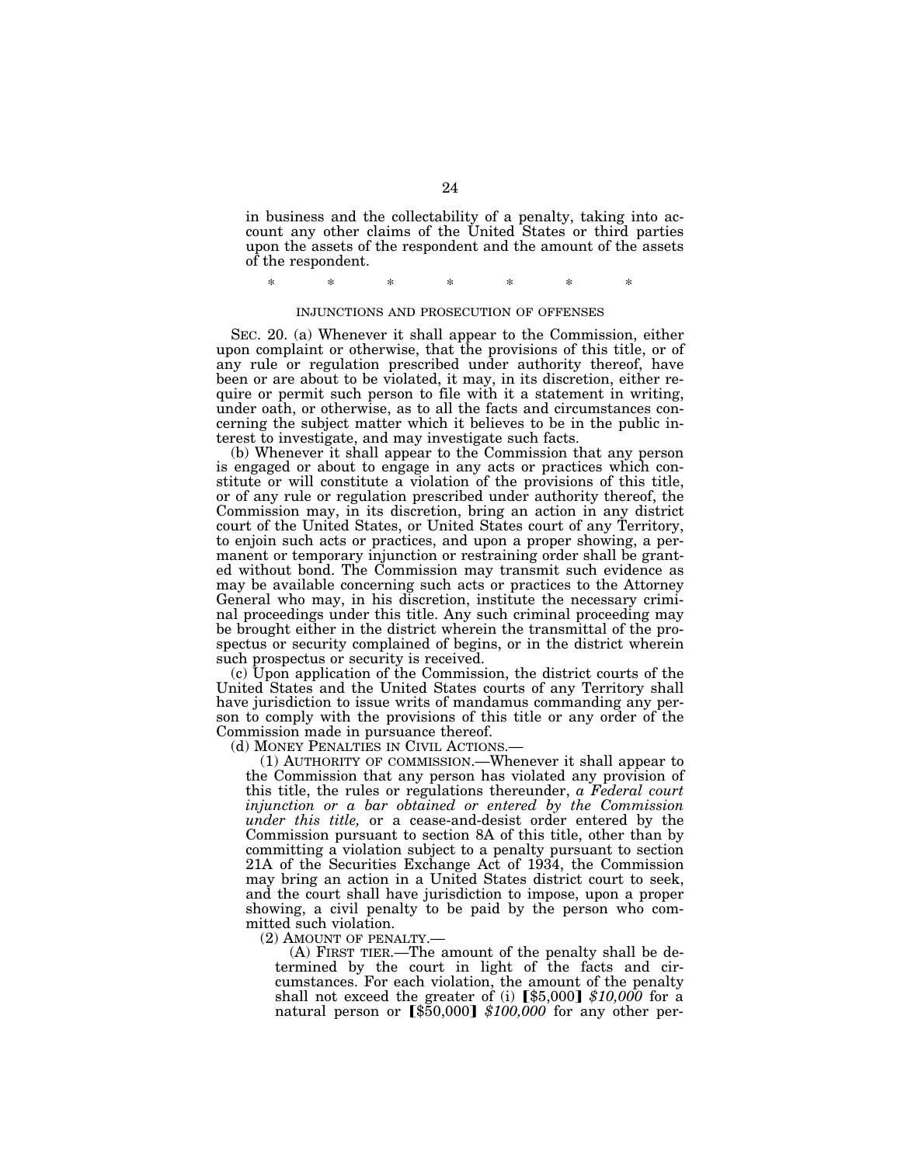in business and the collectability of a penalty, taking into account any other claims of the United States or third parties upon the assets of the respondent and the amount of the assets of the respondent.

\* \* \* \* \* \* \*

## INJUNCTIONS AND PROSECUTION OF OFFENSES

SEC. 20. (a) Whenever it shall appear to the Commission, either upon complaint or otherwise, that the provisions of this title, or of any rule or regulation prescribed under authority thereof, have been or are about to be violated, it may, in its discretion, either require or permit such person to file with it a statement in writing, under oath, or otherwise, as to all the facts and circumstances concerning the subject matter which it believes to be in the public interest to investigate, and may investigate such facts.

(b) Whenever it shall appear to the Commission that any person is engaged or about to engage in any acts or practices which constitute or will constitute a violation of the provisions of this title, or of any rule or regulation prescribed under authority thereof, the Commission may, in its discretion, bring an action in any district court of the United States, or United States court of any Territory, to enjoin such acts or practices, and upon a proper showing, a permanent or temporary injunction or restraining order shall be granted without bond. The Commission may transmit such evidence as may be available concerning such acts or practices to the Attorney General who may, in his discretion, institute the necessary criminal proceedings under this title. Any such criminal proceeding may be brought either in the district wherein the transmittal of the prospectus or security complained of begins, or in the district wherein such prospectus or security is received.

(c) Upon application of the Commission, the district courts of the United States and the United States courts of any Territory shall have jurisdiction to issue writs of mandamus commanding any person to comply with the provisions of this title or any order of the Commission made in pursuance thereof.<br>(d) MONEY PENALTIES IN CIVIL ACTIONS.—

(1) AUTHORITY OF COMMISSION.—Whenever it shall appear to the Commission that any person has violated any provision of this title, the rules or regulations thereunder, *a Federal court injunction or a bar obtained or entered by the Commission under this title,* or a cease-and-desist order entered by the Commission pursuant to section 8A of this title, other than by committing a violation subject to a penalty pursuant to section 21A of the Securities Exchange Act of 1934, the Commission may bring an action in a United States district court to seek, and the court shall have jurisdiction to impose, upon a proper showing, a civil penalty to be paid by the person who committed such violation.

(2) AMOUNT OF PENALTY.— (A) FIRST TIER.—The amount of the penalty shall be determined by the court in light of the facts and circumstances. For each violation, the amount of the penalty shall not exceed the greater of (i)  $\left[ $5,000 \right] $10,000$  for a natural person or  $\left[ $50,000 \right] $100,000$  for any other per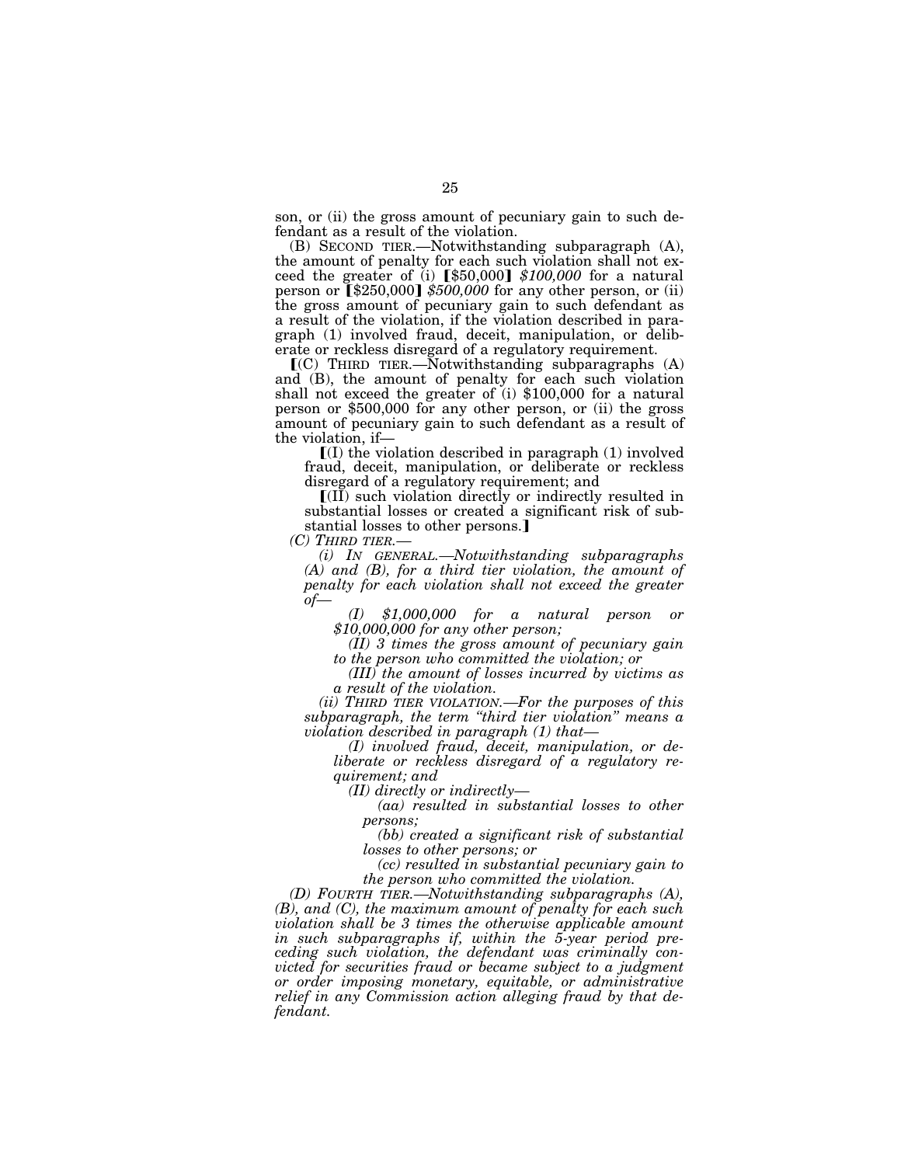son, or (ii) the gross amount of pecuniary gain to such defendant as a result of the violation.

(B) SECOND TIER.—Notwithstanding subparagraph (A), the amount of penalty for each such violation shall not exceed the greater of  $(i)$  [\$50,000] \$100,000 for a natural person or  $\llbracket $250,000 \rrbracket$  \$500,000 for any other person, or (ii) the gross amount of pecuniary gain to such defendant as a result of the violation, if the violation described in paragraph (1) involved fraud, deceit, manipulation, or deliberate or reckless disregard of a regulatory requirement.

 $(C)$  THIRD TIER.—Notwithstanding subparagraphs  $(A)$ and (B), the amount of penalty for each such violation shall not exceed the greater of (i) \$100,000 for a natural person or \$500,000 for any other person, or (ii) the gross amount of pecuniary gain to such defendant as a result of the violation, if—

 $\mathbf{I}(I)$  the violation described in paragraph  $(1)$  involved fraud, deceit, manipulation, or deliberate or reckless disregard of a regulatory requirement; and

 $\left[ \text{([I])} \right]$  such violation directly or indirectly resulted in substantial losses or created a significant risk of substantial losses to other persons.]<br>(C) THIRD TIER.—

*(i)* IN GENERAL.—Notwithstanding subparagraphs *(A) and (B), for a third tier violation, the amount of penalty for each violation shall not exceed the greater* 

*of— (I) \$1,000,000 for a natural person or \$10,000,000 for any other person;* 

*(II) 3 times the gross amount of pecuniary gain to the person who committed the violation; or* 

*(III) the amount of losses incurred by victims as a result of the violation.* 

*(ii) THIRD TIER VIOLATION.—For the purposes of this subparagraph, the term ''third tier violation'' means a violation described in paragraph (1) that—* 

*(I) involved fraud, deceit, manipulation, or deliberate or reckless disregard of a regulatory requirement; and* 

*(II) directly or indirectly—* 

*(aa) resulted in substantial losses to other persons;* 

*(bb) created a significant risk of substantial losses to other persons; or* 

*(cc) resulted in substantial pecuniary gain to the person who committed the violation.* 

*(D) FOURTH TIER.—Notwithstanding subparagraphs (A), (B), and (C), the maximum amount of penalty for each such violation shall be 3 times the otherwise applicable amount in such subparagraphs if, within the 5-year period preceding such violation, the defendant was criminally convicted for securities fraud or became subject to a judgment or order imposing monetary, equitable, or administrative relief in any Commission action alleging fraud by that defendant.*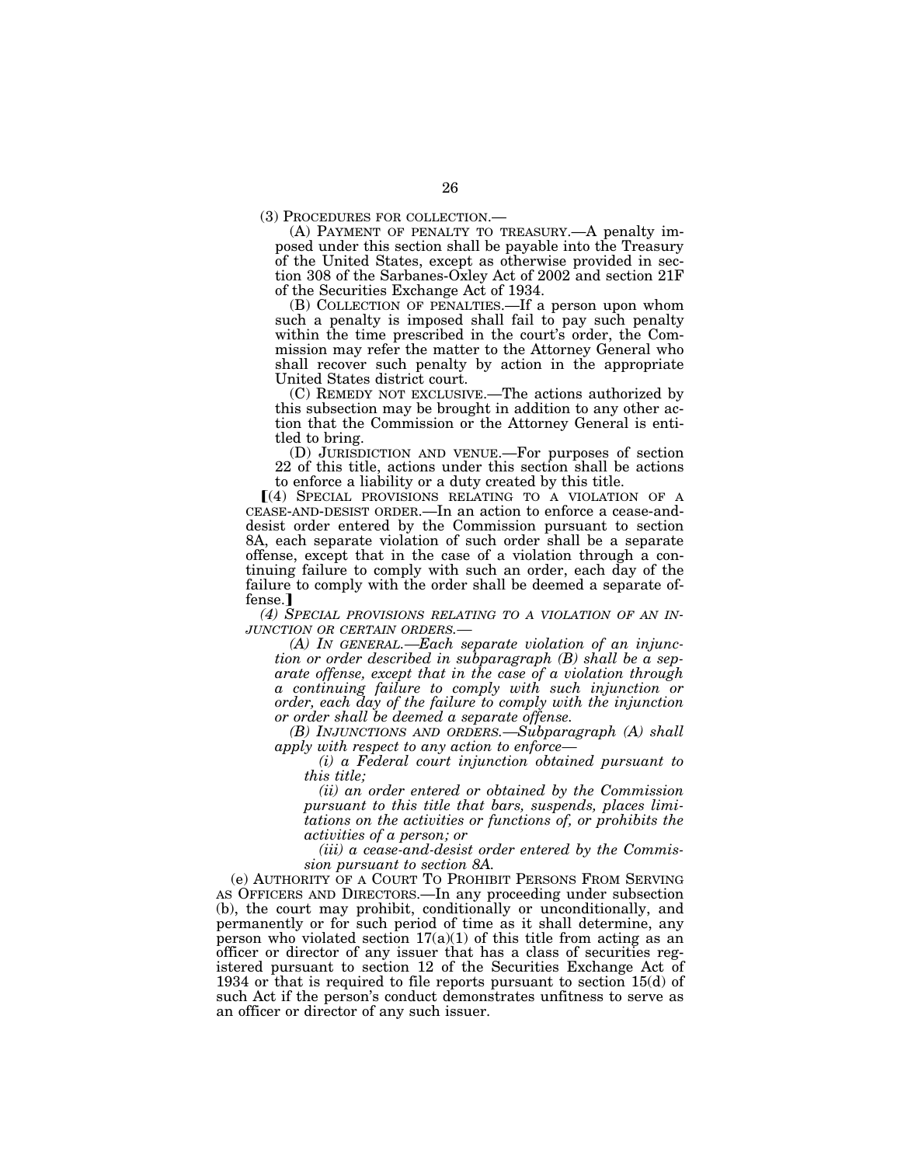(3) PROCEDURES FOR COLLECTION.— (A) PAYMENT OF PENALTY TO TREASURY.—A penalty imposed under this section shall be payable into the Treasury of the United States, except as otherwise provided in section 308 of the Sarbanes-Oxley Act of 2002 and section 21F of the Securities Exchange Act of 1934.

(B) COLLECTION OF PENALTIES.—If a person upon whom such a penalty is imposed shall fail to pay such penalty within the time prescribed in the court's order, the Commission may refer the matter to the Attorney General who shall recover such penalty by action in the appropriate United States district court.

(C) REMEDY NOT EXCLUSIVE.—The actions authorized by this subsection may be brought in addition to any other action that the Commission or the Attorney General is entitled to bring.

(D) JURISDICTION AND VENUE.—For purposes of section 22 of this title, actions under this section shall be actions to enforce a liability or a duty created by this title.

ø(4) SPECIAL PROVISIONS RELATING TO A VIOLATION OF A CEASE-AND-DESIST ORDER.—In an action to enforce a cease-anddesist order entered by the Commission pursuant to section 8A, each separate violation of such order shall be a separate offense, except that in the case of a violation through a continuing failure to comply with such an order, each day of the failure to comply with the order shall be deemed a separate offense.]

*(4) SPECIAL PROVISIONS RELATING TO A VIOLATION OF AN IN-JUNCTION OR CERTAIN ORDERS.—* 

*(A) IN GENERAL.—Each separate violation of an injunction or order described in subparagraph (B) shall be a separate offense, except that in the case of a violation through a continuing failure to comply with such injunction or order, each day of the failure to comply with the injunction or order shall be deemed a separate offense.* 

*(B) INJUNCTIONS AND ORDERS.—Subparagraph (A) shall apply with respect to any action to enforce—* 

*(i) a Federal court injunction obtained pursuant to this title;* 

*(ii) an order entered or obtained by the Commission pursuant to this title that bars, suspends, places limitations on the activities or functions of, or prohibits the activities of a person; or* 

*(iii) a cease-and-desist order entered by the Commission pursuant to section 8A.* 

(e) AUTHORITY OF A COURT TO PROHIBIT PERSONS FROM SERVING AS OFFICERS AND DIRECTORS.—In any proceeding under subsection (b), the court may prohibit, conditionally or unconditionally, and permanently or for such period of time as it shall determine, any person who violated section  $17(a)(1)$  of this title from acting as an officer or director of any issuer that has a class of securities registered pursuant to section 12 of the Securities Exchange Act of 1934 or that is required to file reports pursuant to section 15(d) of such Act if the person's conduct demonstrates unfitness to serve as an officer or director of any such issuer.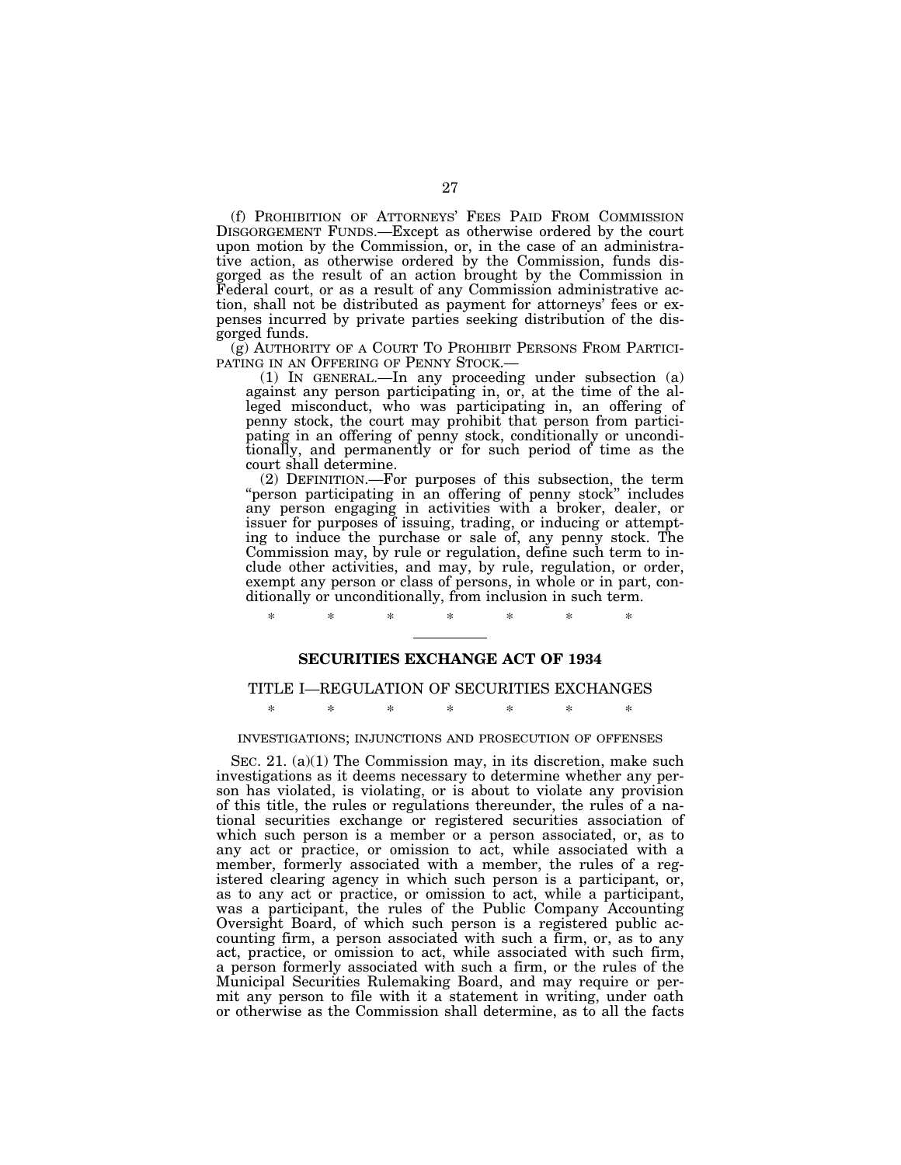(f) PROHIBITION OF ATTORNEYS' FEES PAID FROM COMMISSION DISGORGEMENT FUNDS.—Except as otherwise ordered by the court upon motion by the Commission, or, in the case of an administrative action, as otherwise ordered by the Commission, funds disgorged as the result of an action brought by the Commission in Federal court, or as a result of any Commission administrative action, shall not be distributed as payment for attorneys' fees or expenses incurred by private parties seeking distribution of the disgorged funds.

 $\sigma$  (g) AUTHORITY OF A COURT TO PROHIBIT PERSONS FROM PARTICIPATING IN AN OFFERING OF PENNY STOCK.—

 $P(A)$  In GENERAL.—In any proceeding under subsection  $P(A)$ against any person participating in, or, at the time of the alleged misconduct, who was participating in, an offering of penny stock, the court may prohibit that person from participating in an offering of penny stock, conditionally or unconditionally, and permanently or for such period of time as the court shall determine.

(2) DEFINITION.—For purposes of this subsection, the term "person participating in an offering of penny stock" includes any person engaging in activities with a broker, dealer, or issuer for purposes of issuing, trading, or inducing or attempting to induce the purchase or sale of, any penny stock. The Commission may, by rule or regulation, define such term to include other activities, and may, by rule, regulation, or order, exempt any person or class of persons, in whole or in part, conditionally or unconditionally, from inclusion in such term.

\* \* \* \* \* \* \*

## **SECURITIES EXCHANGE ACT OF 1934**

## TITLE I—REGULATION OF SECURITIES EXCHANGES

\* \* \* \* \* \* \*

#### INVESTIGATIONS; INJUNCTIONS AND PROSECUTION OF OFFENSES

SEC. 21. (a)(1) The Commission may, in its discretion, make such investigations as it deems necessary to determine whether any person has violated, is violating, or is about to violate any provision of this title, the rules or regulations thereunder, the rules of a national securities exchange or registered securities association of which such person is a member or a person associated, or, as to any act or practice, or omission to act, while associated with a member, formerly associated with a member, the rules of a registered clearing agency in which such person is a participant, or, as to any act or practice, or omission to act, while a participant, was a participant, the rules of the Public Company Accounting Oversight Board, of which such person is a registered public accounting firm, a person associated with such a firm, or, as to any act, practice, or omission to act, while associated with such firm, a person formerly associated with such a firm, or the rules of the Municipal Securities Rulemaking Board, and may require or permit any person to file with it a statement in writing, under oath or otherwise as the Commission shall determine, as to all the facts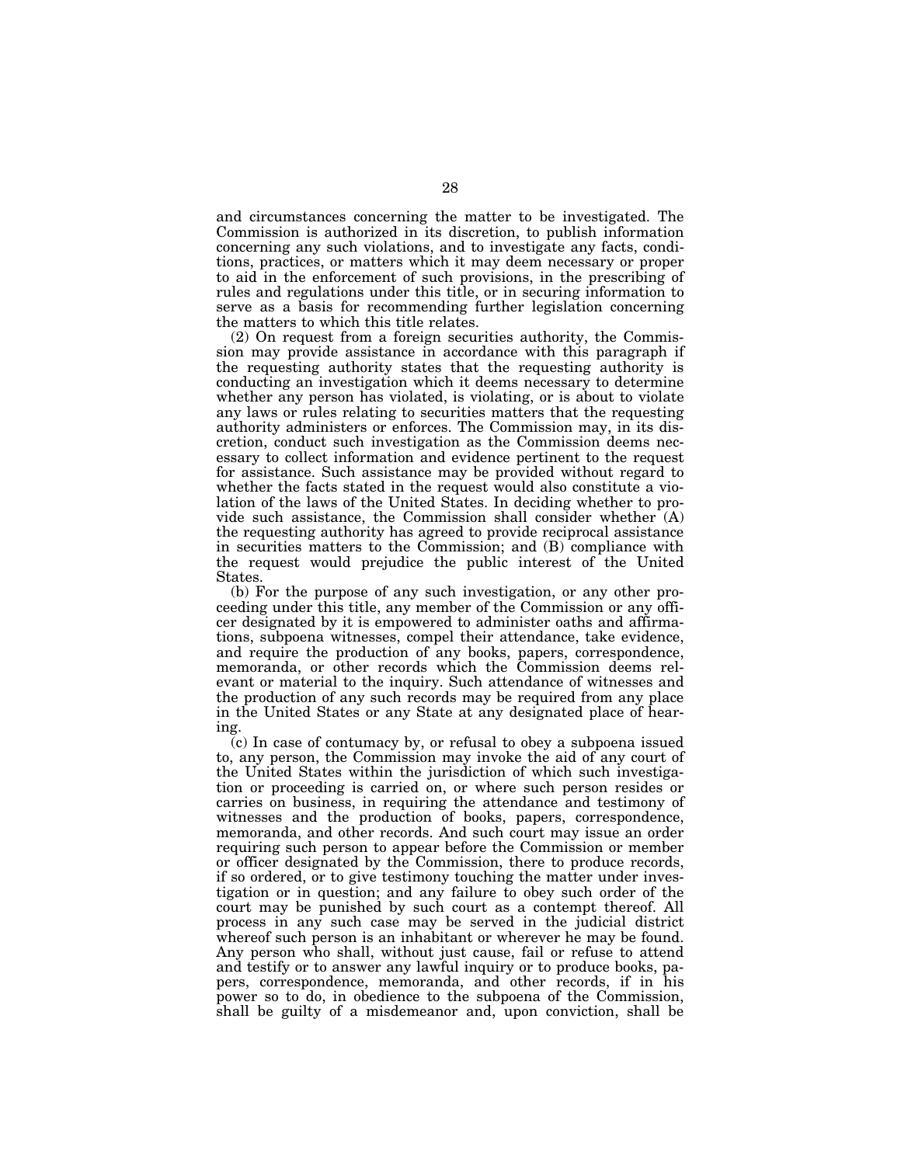and circumstances concerning the matter to be investigated. The Commission is authorized in its discretion, to publish information concerning any such violations, and to investigate any facts, conditions, practices, or matters which it may deem necessary or proper to aid in the enforcement of such provisions, in the prescribing of rules and regulations under this title, or in securing information to serve as a basis for recommending further legislation concerning the matters to which this title relates.

(2) On request from a foreign securities authority, the Commission may provide assistance in accordance with this paragraph if the requesting authority states that the requesting authority is conducting an investigation which it deems necessary to determine whether any person has violated, is violating, or is about to violate any laws or rules relating to securities matters that the requesting authority administers or enforces. The Commission may, in its discretion, conduct such investigation as the Commission deems necessary to collect information and evidence pertinent to the request for assistance. Such assistance may be provided without regard to whether the facts stated in the request would also constitute a violation of the laws of the United States. In deciding whether to provide such assistance, the Commission shall consider whether  $(A)$ the requesting authority has agreed to provide reciprocal assistance in securities matters to the Commission; and (B) compliance with the request would prejudice the public interest of the United States.

(b) For the purpose of any such investigation, or any other proceeding under this title, any member of the Commission or any officer designated by it is empowered to administer oaths and affirmations, subpoena witnesses, compel their attendance, take evidence, and require the production of any books, papers, correspondence, memoranda, or other records which the Commission deems relevant or material to the inquiry. Such attendance of witnesses and the production of any such records may be required from any place in the United States or any State at any designated place of hearing.

(c) In case of contumacy by, or refusal to obey a subpoena issued to, any person, the Commission may invoke the aid of any court of the United States within the jurisdiction of which such investigation or proceeding is carried on, or where such person resides or carries on business, in requiring the attendance and testimony of witnesses and the production of books, papers, correspondence, memoranda, and other records. And such court may issue an order requiring such person to appear before the Commission or member or officer designated by the Commission, there to produce records, if so ordered, or to give testimony touching the matter under investigation or in question; and any failure to obey such order of the court may be punished by such court as a contempt thereof. All process in any such case may be served in the judicial district whereof such person is an inhabitant or wherever he may be found. Any person who shall, without just cause, fail or refuse to attend and testify or to answer any lawful inquiry or to produce books, papers, correspondence, memoranda, and other records, if in his power so to do, in obedience to the subpoena of the Commission, shall be guilty of a misdemeanor and, upon conviction, shall be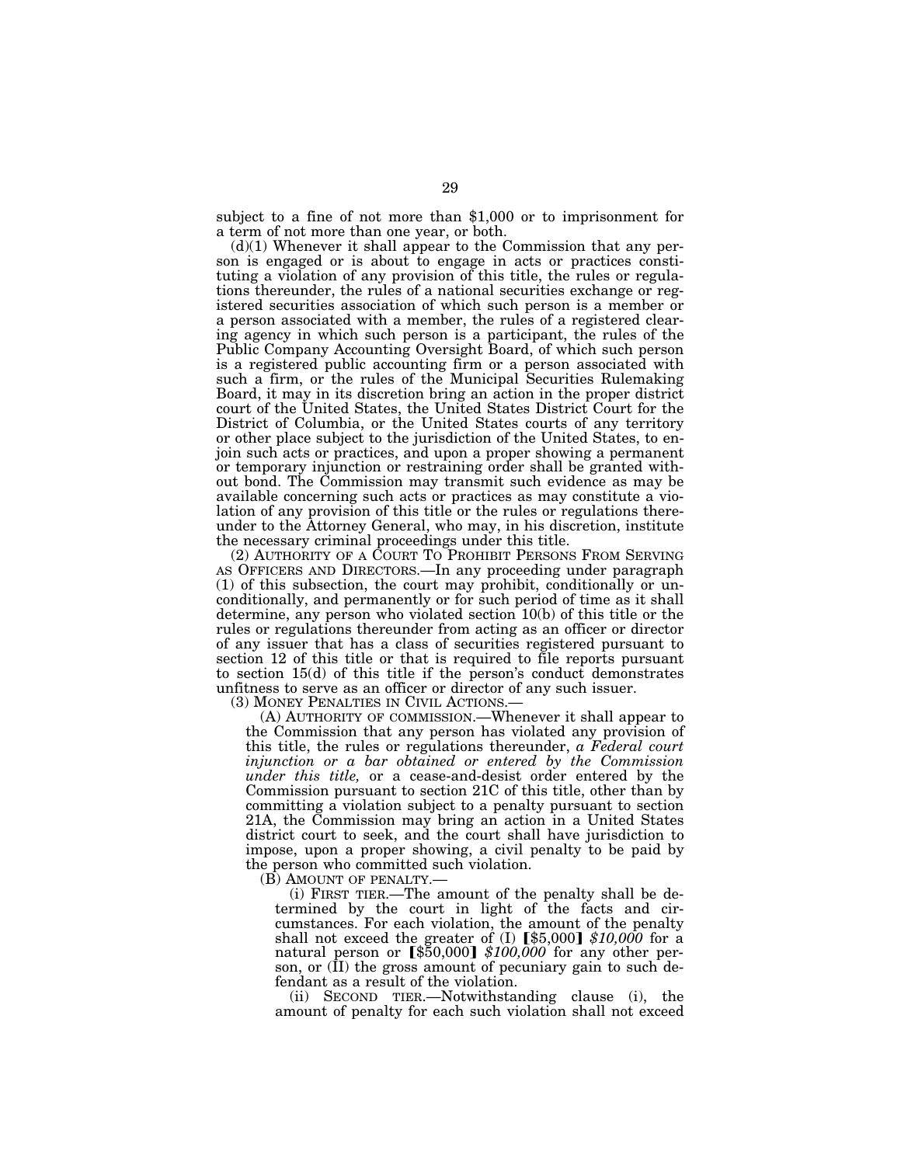subject to a fine of not more than \$1,000 or to imprisonment for a term of not more than one year, or both.

 $(d)(1)$  Whenever it shall appear to the Commission that any person is engaged or is about to engage in acts or practices constituting a violation of any provision of this title, the rules or regulations thereunder, the rules of a national securities exchange or registered securities association of which such person is a member or a person associated with a member, the rules of a registered clearing agency in which such person is a participant, the rules of the Public Company Accounting Oversight Board, of which such person is a registered public accounting firm or a person associated with such a firm, or the rules of the Municipal Securities Rulemaking Board, it may in its discretion bring an action in the proper district court of the United States, the United States District Court for the District of Columbia, or the United States courts of any territory or other place subject to the jurisdiction of the United States, to enjoin such acts or practices, and upon a proper showing a permanent or temporary injunction or restraining order shall be granted without bond. The Commission may transmit such evidence as may be available concerning such acts or practices as may constitute a violation of any provision of this title or the rules or regulations thereunder to the Attorney General, who may, in his discretion, institute the necessary criminal proceedings under this title.

(2) AUTHORITY OF A COURT TO PROHIBIT PERSONS FROM SERVING AS OFFICERS AND DIRECTORS.—In any proceeding under paragraph (1) of this subsection, the court may prohibit, conditionally or unconditionally, and permanently or for such period of time as it shall determine, any person who violated section 10(b) of this title or the rules or regulations thereunder from acting as an officer or director of any issuer that has a class of securities registered pursuant to section 12 of this title or that is required to file reports pursuant to section 15(d) of this title if the person's conduct demonstrates unfitness to serve as an officer or director of any such issuer.

(3) MONEY PENALTIES IN CIVIL ACTIONS.—

(A) AUTHORITY OF COMMISSION.—Whenever it shall appear to the Commission that any person has violated any provision of this title, the rules or regulations thereunder, *a Federal court injunction or a bar obtained or entered by the Commission under this title,* or a cease-and-desist order entered by the Commission pursuant to section 21C of this title, other than by committing a violation subject to a penalty pursuant to section 21A, the Commission may bring an action in a United States district court to seek, and the court shall have jurisdiction to impose, upon a proper showing, a civil penalty to be paid by the person who committed such violation.

(B) AMOUNT OF PENALTY.—

(i) FIRST TIER.—The amount of the penalty shall be determined by the court in light of the facts and circumstances. For each violation, the amount of the penalty shall not exceed the greater of  $(I)$   $[$5,000]$   $$10,000$  for a natural person or [\$50,000] \$100,000 for any other person, or  $(\overline{I})$  the gross amount of pecuniary gain to such defendant as a result of the violation.

(ii) SECOND TIER.—Notwithstanding clause (i), the amount of penalty for each such violation shall not exceed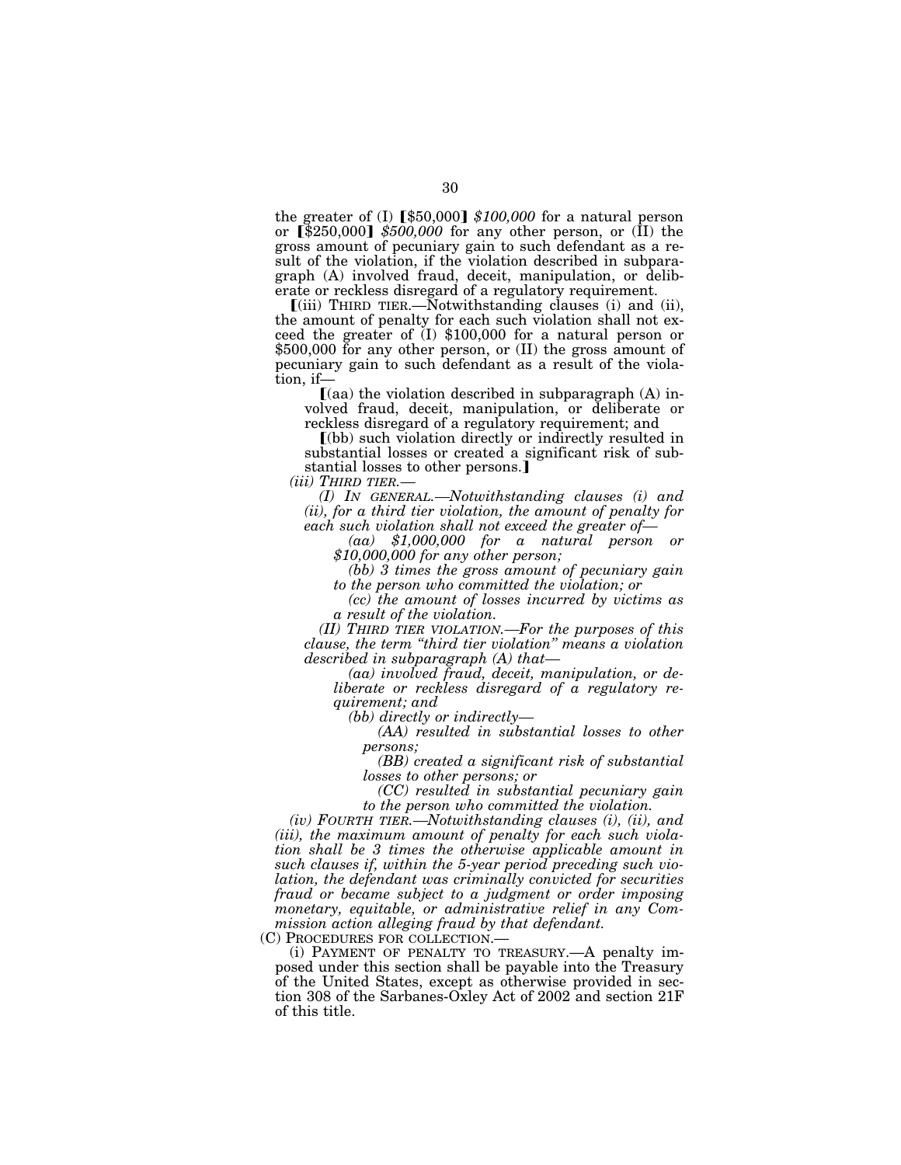the greater of  $(I)$   $$50,000$   $$100,000$  for a natural person or  $\llbracket \$250,000\rrbracket$   $\$500,000$  for any other person, or (II) the gross amount of pecuniary gain to such defendant as a result of the violation, if the violation described in subparagraph (A) involved fraud, deceit, manipulation, or deliberate or reckless disregard of a regulatory requirement.

 $(iii)$  THIRD TIER.— $\bar{N}$ otwithstanding clauses (i) and (ii), the amount of penalty for each such violation shall not exceed the greater of (I) \$100,000 for a natural person or \$500,000 for any other person, or (II) the gross amount of pecuniary gain to such defendant as a result of the violation, if—

 $(aa)$  the violation described in subparagraph  $(A)$  involved fraud, deceit, manipulation, or deliberate or reckless disregard of a regulatory requirement; and

ø(bb) such violation directly or indirectly resulted in substantial losses or created a significant risk of substantial losses to other persons.]

*(iii) THIRD TIER.—* 

*(I) IN GENERAL.—Notwithstanding clauses (i) and (ii), for a third tier violation, the amount of penalty for each such violation shall not exceed the greater of—* 

*(aa) \$1,000,000 for a natural person or \$10,000,000 for any other person;* 

*(bb) 3 times the gross amount of pecuniary gain to the person who committed the violation; or* 

*(cc) the amount of losses incurred by victims as a result of the violation.* 

*(II) THIRD TIER VIOLATION.—For the purposes of this clause, the term ''third tier violation'' means a violation described in subparagraph (A) that—* 

*(aa) involved fraud, deceit, manipulation, or deliberate or reckless disregard of a regulatory requirement; and* 

*(bb) directly or indirectly—* 

*(AA) resulted in substantial losses to other persons;* 

*(BB) created a significant risk of substantial losses to other persons; or* 

*(CC) resulted in substantial pecuniary gain to the person who committed the violation.* 

*(iv) FOURTH TIER.—Notwithstanding clauses (i), (ii), and (iii), the maximum amount of penalty for each such violation shall be 3 times the otherwise applicable amount in such clauses if, within the 5-year period preceding such violation, the defendant was criminally convicted for securities fraud or became subject to a judgment or order imposing monetary, equitable, or administrative relief in any Commission action alleging fraud by that defendant.* 

(i) PAYMENT OF PENALTY TO TREASURY.—A penalty imposed under this section shall be payable into the Treasury of the United States, except as otherwise provided in section 308 of the Sarbanes-Oxley Act of 2002 and section 21F of this title.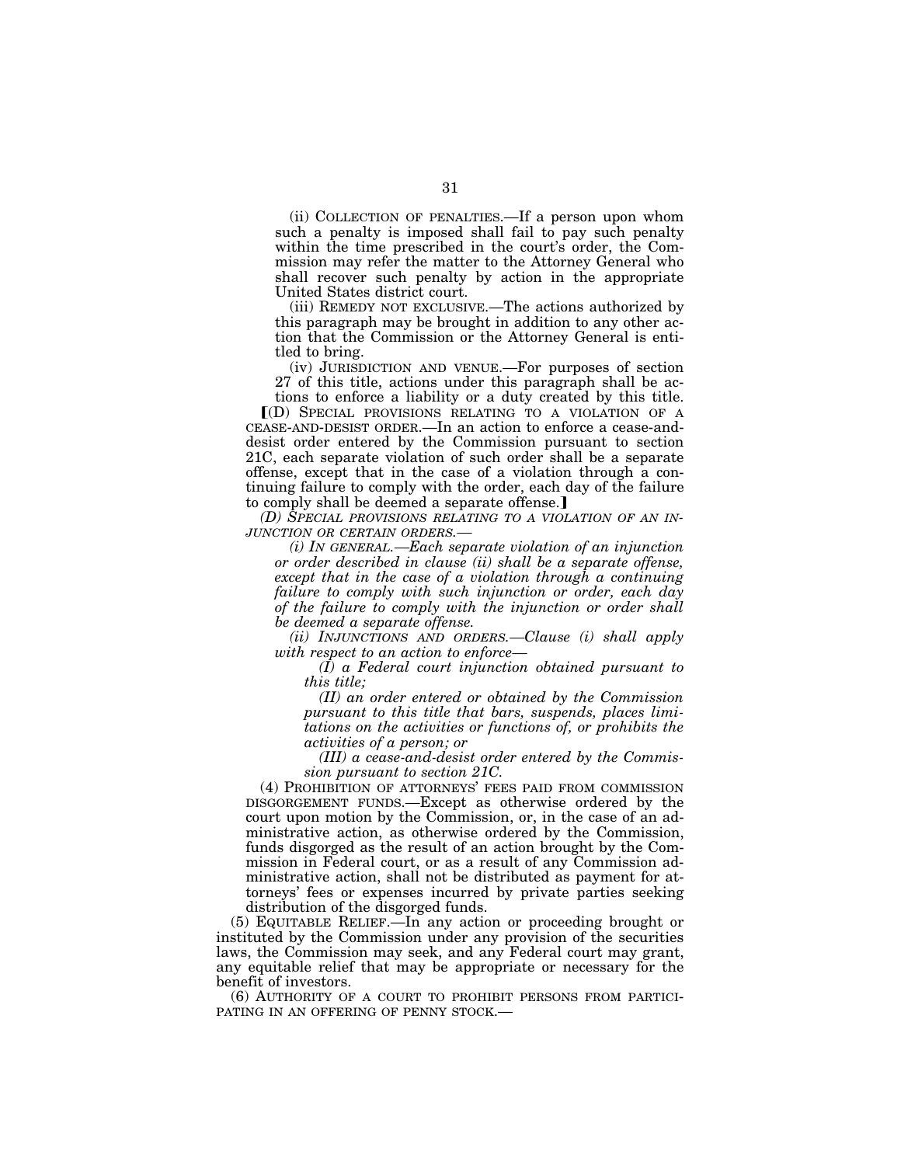(ii) COLLECTION OF PENALTIES.—If a person upon whom such a penalty is imposed shall fail to pay such penalty within the time prescribed in the court's order, the Commission may refer the matter to the Attorney General who shall recover such penalty by action in the appropriate United States district court.

(iii) REMEDY NOT EXCLUSIVE.—The actions authorized by this paragraph may be brought in addition to any other action that the Commission or the Attorney General is entitled to bring.

(iv) JURISDICTION AND VENUE.—For purposes of section 27 of this title, actions under this paragraph shall be ac-

tions to enforce a liability or a duty created by this title. ø(D) SPECIAL PROVISIONS RELATING TO A VIOLATION OF A CEASE-AND-DESIST ORDER.—In an action to enforce a cease-anddesist order entered by the Commission pursuant to section 21C, each separate violation of such order shall be a separate offense, except that in the case of a violation through a continuing failure to comply with the order, each day of the failure to comply shall be deemed a separate offense.]

*(D) SPECIAL PROVISIONS RELATING TO A VIOLATION OF AN IN-JUNCTION OR CERTAIN ORDERS.—* 

*(i) IN GENERAL.—Each separate violation of an injunction or order described in clause (ii) shall be a separate offense, except that in the case of a violation through a continuing failure to comply with such injunction or order, each day of the failure to comply with the injunction or order shall be deemed a separate offense.* 

*(ii) INJUNCTIONS AND ORDERS.—Clause (i) shall apply with respect to an action to enforce—* 

*(I) a Federal court injunction obtained pursuant to this title;* 

*(II) an order entered or obtained by the Commission pursuant to this title that bars, suspends, places limitations on the activities or functions of, or prohibits the activities of a person; or* 

*(III) a cease-and-desist order entered by the Commission pursuant to section 21C.* 

(4) PROHIBITION OF ATTORNEYS' FEES PAID FROM COMMISSION DISGORGEMENT FUNDS.—Except as otherwise ordered by the court upon motion by the Commission, or, in the case of an administrative action, as otherwise ordered by the Commission, funds disgorged as the result of an action brought by the Commission in Federal court, or as a result of any Commission administrative action, shall not be distributed as payment for attorneys' fees or expenses incurred by private parties seeking distribution of the disgorged funds.

(5) EQUITABLE RELIEF.—In any action or proceeding brought or instituted by the Commission under any provision of the securities laws, the Commission may seek, and any Federal court may grant, any equitable relief that may be appropriate or necessary for the benefit of investors.

(6) AUTHORITY OF A COURT TO PROHIBIT PERSONS FROM PARTICI-PATING IN AN OFFERING OF PENNY STOCK.-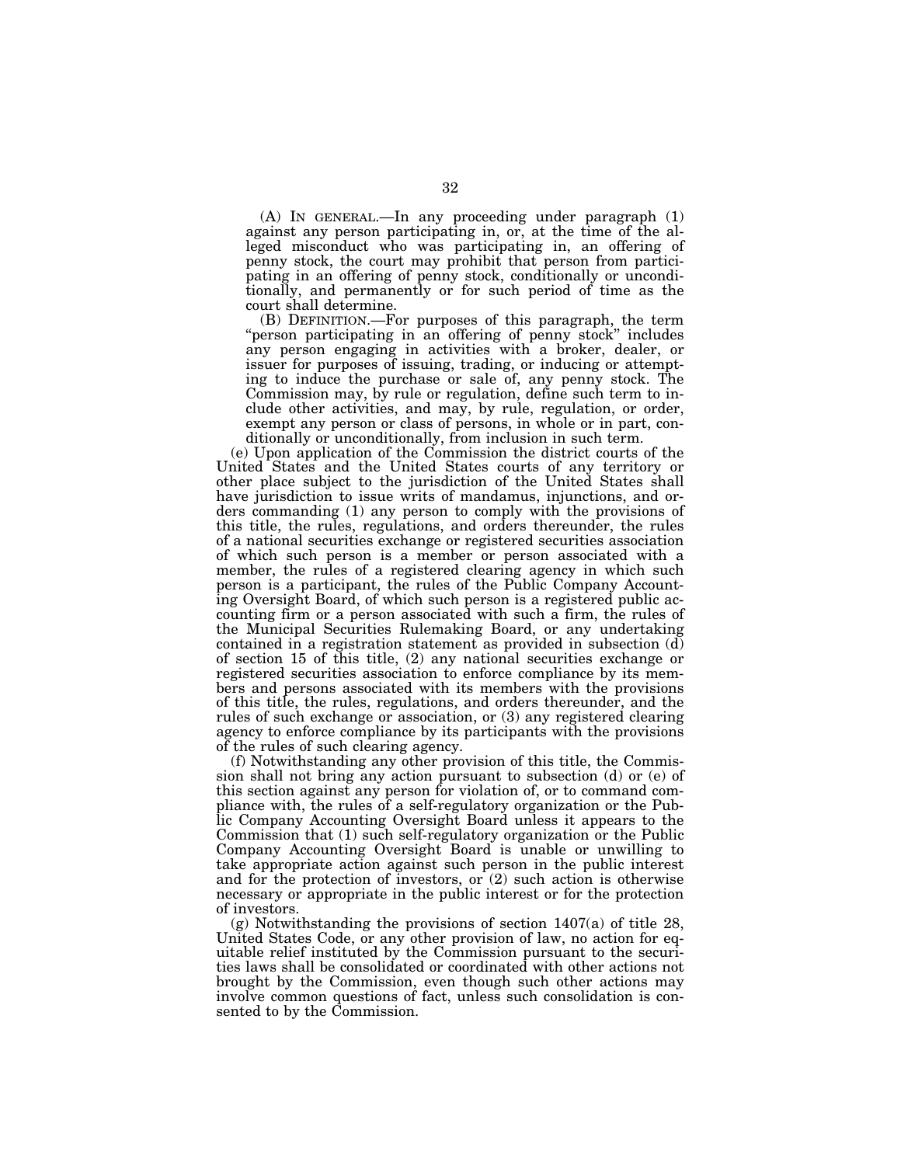(A) IN GENERAL.—In any proceeding under paragraph (1) against any person participating in, or, at the time of the alleged misconduct who was participating in, an offering of penny stock, the court may prohibit that person from participating in an offering of penny stock, conditionally or unconditionally, and permanently or for such period of time as the court shall determine.

(B) DEFINITION.—For purposes of this paragraph, the term "person participating in an offering of penny stock" includes any person engaging in activities with a broker, dealer, or issuer for purposes of issuing, trading, or inducing or attempting to induce the purchase or sale of, any penny stock. The Commission may, by rule or regulation, define such term to include other activities, and may, by rule, regulation, or order, exempt any person or class of persons, in whole or in part, conditionally or unconditionally, from inclusion in such term.

(e) Upon application of the Commission the district courts of the United States and the United States courts of any territory or other place subject to the jurisdiction of the United States shall have jurisdiction to issue writs of mandamus, injunctions, and orders commanding (1) any person to comply with the provisions of this title, the rules, regulations, and orders thereunder, the rules of a national securities exchange or registered securities association of which such person is a member or person associated with a member, the rules of a registered clearing agency in which such person is a participant, the rules of the Public Company Accounting Oversight Board, of which such person is a registered public accounting firm or a person associated with such a firm, the rules of the Municipal Securities Rulemaking Board, or any undertaking contained in a registration statement as provided in subsection (d) of section 15 of this title, (2) any national securities exchange or registered securities association to enforce compliance by its members and persons associated with its members with the provisions of this title, the rules, regulations, and orders thereunder, and the rules of such exchange or association, or (3) any registered clearing agency to enforce compliance by its participants with the provisions of the rules of such clearing agency.

(f) Notwithstanding any other provision of this title, the Commission shall not bring any action pursuant to subsection (d) or (e) of this section against any person for violation of, or to command compliance with, the rules of a self-regulatory organization or the Public Company Accounting Oversight Board unless it appears to the Commission that (1) such self-regulatory organization or the Public Company Accounting Oversight Board is unable or unwilling to take appropriate action against such person in the public interest and for the protection of investors, or (2) such action is otherwise necessary or appropriate in the public interest or for the protection of investors.

(g) Notwithstanding the provisions of section 1407(a) of title 28, United States Code, or any other provision of law, no action for equitable relief instituted by the Commission pursuant to the securities laws shall be consolidated or coordinated with other actions not brought by the Commission, even though such other actions may involve common questions of fact, unless such consolidation is consented to by the Commission.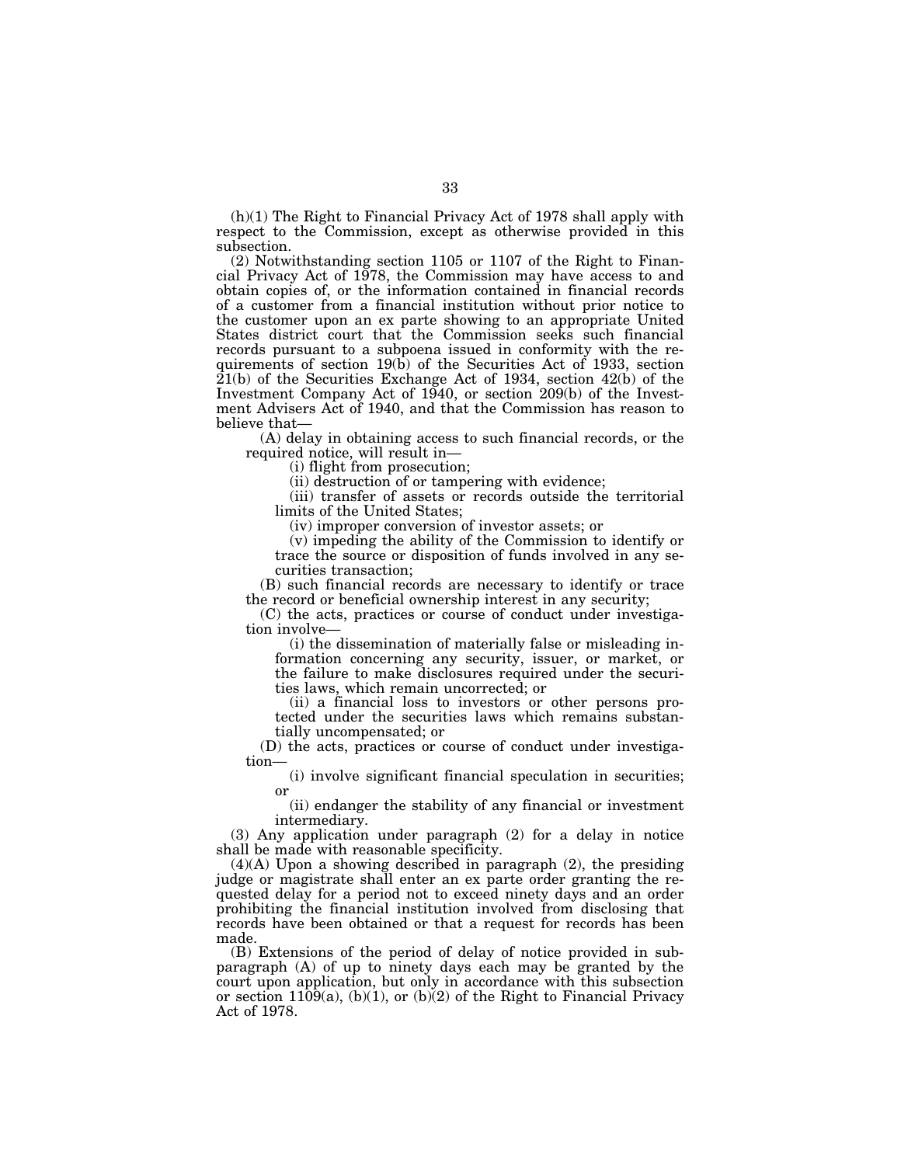(h)(1) The Right to Financial Privacy Act of 1978 shall apply with respect to the Commission, except as otherwise provided in this subsection.

(2) Notwithstanding section 1105 or 1107 of the Right to Financial Privacy Act of 1978, the Commission may have access to and obtain copies of, or the information contained in financial records of a customer from a financial institution without prior notice to the customer upon an ex parte showing to an appropriate United States district court that the Commission seeks such financial records pursuant to a subpoena issued in conformity with the requirements of section 19(b) of the Securities Act of 1933, section 21(b) of the Securities Exchange Act of 1934, section 42(b) of the Investment Company Act of 1940, or section 209(b) of the Investment Advisers Act of 1940, and that the Commission has reason to believe that—

(A) delay in obtaining access to such financial records, or the required notice, will result in—

(i) flight from prosecution;

(ii) destruction of or tampering with evidence;

(iii) transfer of assets or records outside the territorial limits of the United States;

(iv) improper conversion of investor assets; or

(v) impeding the ability of the Commission to identify or trace the source or disposition of funds involved in any securities transaction;

(B) such financial records are necessary to identify or trace the record or beneficial ownership interest in any security;

(C) the acts, practices or course of conduct under investigation involve—

(i) the dissemination of materially false or misleading information concerning any security, issuer, or market, or the failure to make disclosures required under the securities laws, which remain uncorrected; or

(ii) a financial loss to investors or other persons protected under the securities laws which remains substantially uncompensated; or

(D) the acts, practices or course of conduct under investigation—

(i) involve significant financial speculation in securities; or

(ii) endanger the stability of any financial or investment intermediary.

(3) Any application under paragraph (2) for a delay in notice shall be made with reasonable specificity.

(4)(A) Upon a showing described in paragraph (2), the presiding judge or magistrate shall enter an ex parte order granting the requested delay for a period not to exceed ninety days and an order prohibiting the financial institution involved from disclosing that records have been obtained or that a request for records has been made.

(B) Extensions of the period of delay of notice provided in subparagraph (A) of up to ninety days each may be granted by the court upon application, but only in accordance with this subsection or section 1109(a), (b)(1), or (b)(2) of the Right to Financial Privacy Act of 1978.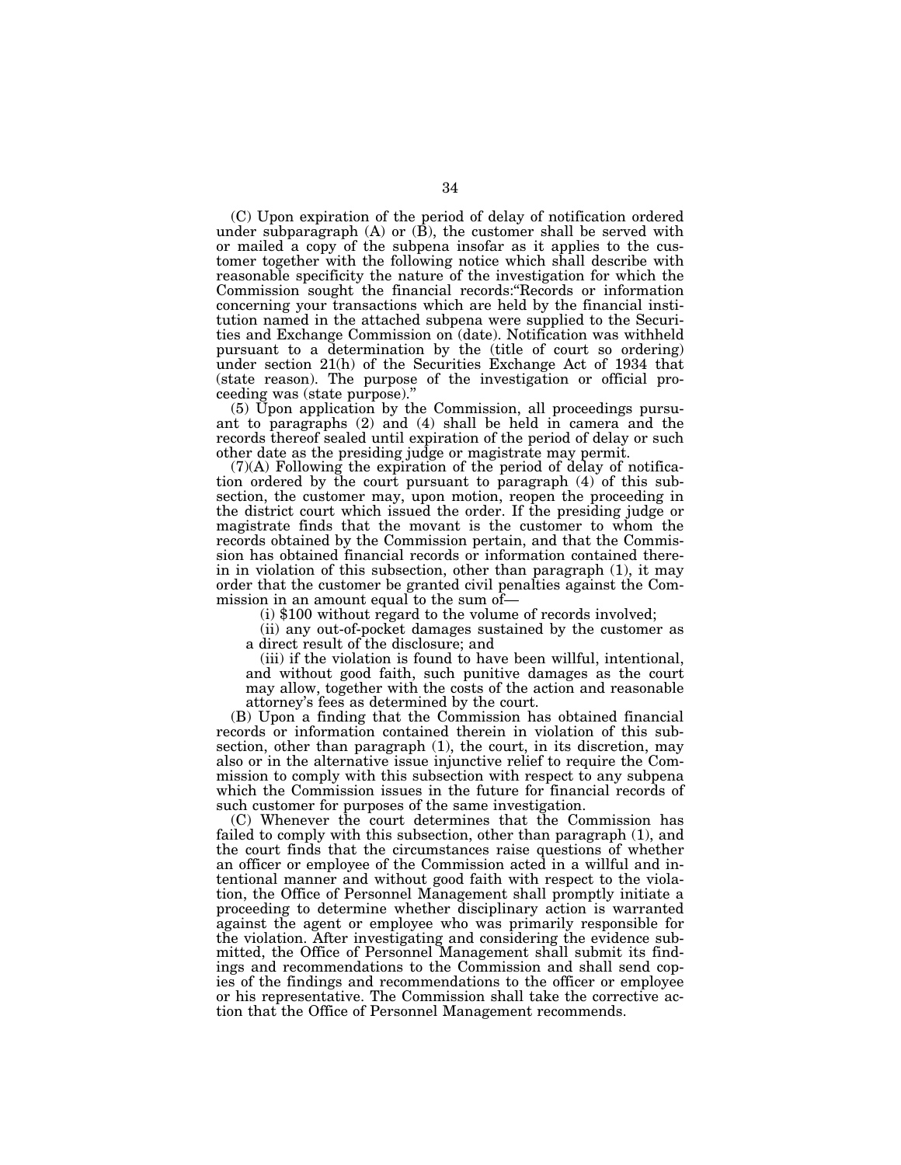(C) Upon expiration of the period of delay of notification ordered under subparagraph  $(A)$  or  $(\overline{B})$ , the customer shall be served with or mailed a copy of the subpena insofar as it applies to the customer together with the following notice which shall describe with reasonable specificity the nature of the investigation for which the Commission sought the financial records:''Records or information concerning your transactions which are held by the financial institution named in the attached subpena were supplied to the Securities and Exchange Commission on (date). Notification was withheld pursuant to a determination by the (title of court so ordering) under section 21(h) of the Securities Exchange Act of 1934 that (state reason). The purpose of the investigation or official proceeding was (state purpose).''

(5) Upon application by the Commission, all proceedings pursuant to paragraphs (2) and (4) shall be held in camera and the records thereof sealed until expiration of the period of delay or such other date as the presiding judge or magistrate may permit.

(7)(A) Following the expiration of the period of delay of notification ordered by the court pursuant to paragraph (4) of this subsection, the customer may, upon motion, reopen the proceeding in the district court which issued the order. If the presiding judge or magistrate finds that the movant is the customer to whom the records obtained by the Commission pertain, and that the Commission has obtained financial records or information contained therein in violation of this subsection, other than paragraph (1), it may order that the customer be granted civil penalties against the Commission in an amount equal to the sum of—

 $(i)$  \$100 without regard to the volume of records involved;

(ii) any out-of-pocket damages sustained by the customer as a direct result of the disclosure; and

(iii) if the violation is found to have been willful, intentional, and without good faith, such punitive damages as the court may allow, together with the costs of the action and reasonable attorney's fees as determined by the court.

(B) Upon a finding that the Commission has obtained financial records or information contained therein in violation of this subsection, other than paragraph (1), the court, in its discretion, may also or in the alternative issue injunctive relief to require the Commission to comply with this subsection with respect to any subpena which the Commission issues in the future for financial records of such customer for purposes of the same investigation.

(C) Whenever the court determines that the Commission has failed to comply with this subsection, other than paragraph (1), and the court finds that the circumstances raise questions of whether an officer or employee of the Commission acted in a willful and intentional manner and without good faith with respect to the violation, the Office of Personnel Management shall promptly initiate a proceeding to determine whether disciplinary action is warranted against the agent or employee who was primarily responsible for the violation. After investigating and considering the evidence submitted, the Office of Personnel Management shall submit its findings and recommendations to the Commission and shall send copies of the findings and recommendations to the officer or employee or his representative. The Commission shall take the corrective action that the Office of Personnel Management recommends.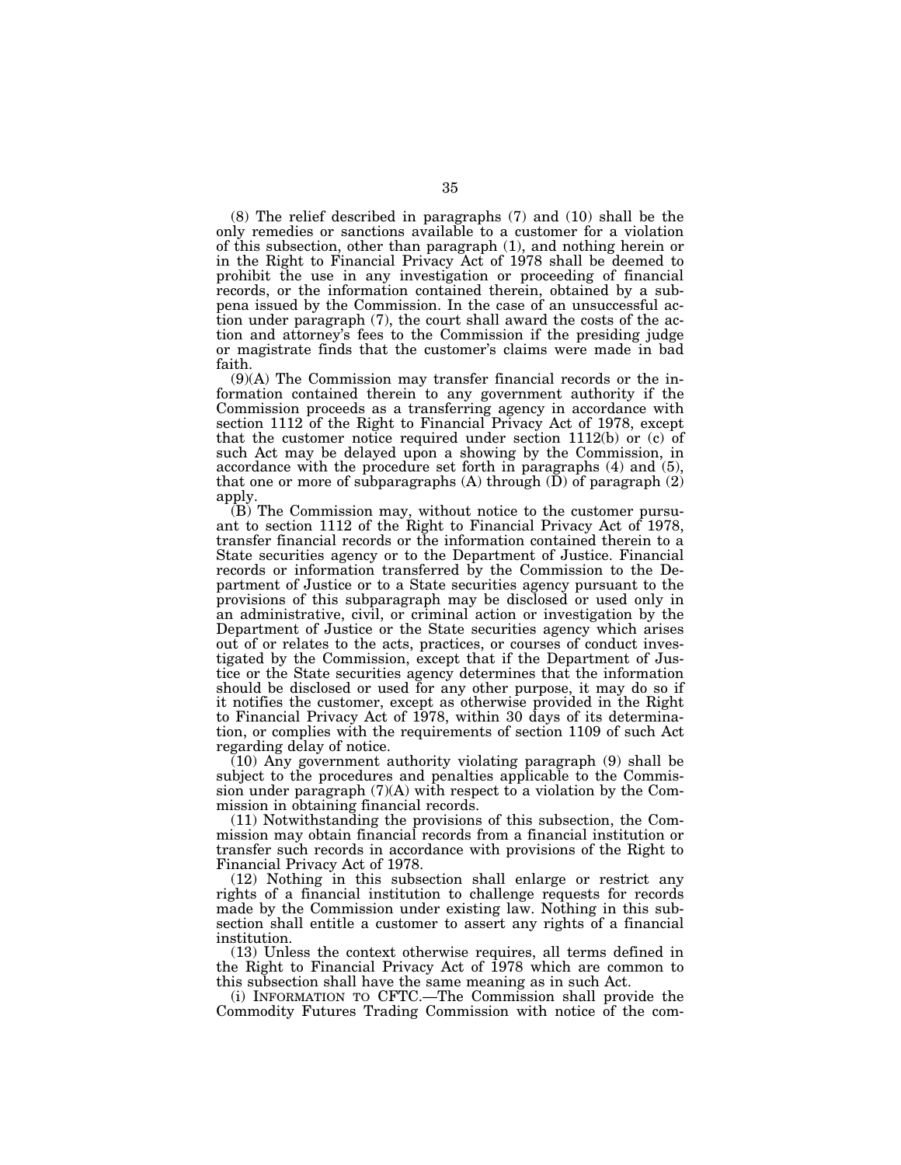(8) The relief described in paragraphs (7) and (10) shall be the only remedies or sanctions available to a customer for a violation of this subsection, other than paragraph (1), and nothing herein or in the Right to Financial Privacy Act of 1978 shall be deemed to prohibit the use in any investigation or proceeding of financial records, or the information contained therein, obtained by a subpena issued by the Commission. In the case of an unsuccessful action under paragraph (7), the court shall award the costs of the action and attorney's fees to the Commission if the presiding judge or magistrate finds that the customer's claims were made in bad faith.

(9)(A) The Commission may transfer financial records or the information contained therein to any government authority if the Commission proceeds as a transferring agency in accordance with section 1112 of the Right to Financial Privacy Act of 1978, except that the customer notice required under section 1112(b) or (c) of such Act may be delayed upon a showing by the Commission, in accordance with the procedure set forth in paragraphs (4) and (5), that one or more of subparagraphs (A) through  $(D)$  of paragraph  $(2)$ apply.

(B) The Commission may, without notice to the customer pursuant to section 1112 of the Right to Financial Privacy Act of 1978, transfer financial records or the information contained therein to a State securities agency or to the Department of Justice. Financial records or information transferred by the Commission to the Department of Justice or to a State securities agency pursuant to the provisions of this subparagraph may be disclosed or used only in an administrative, civil, or criminal action or investigation by the Department of Justice or the State securities agency which arises out of or relates to the acts, practices, or courses of conduct investigated by the Commission, except that if the Department of Justice or the State securities agency determines that the information should be disclosed or used for any other purpose, it may do so if it notifies the customer, except as otherwise provided in the Right to Financial Privacy Act of 1978, within 30 days of its determination, or complies with the requirements of section 1109 of such Act regarding delay of notice.

(10) Any government authority violating paragraph (9) shall be subject to the procedures and penalties applicable to the Commission under paragraph  $(7)(A)$  with respect to a violation by the Commission in obtaining financial records.

(11) Notwithstanding the provisions of this subsection, the Commission may obtain financial records from a financial institution or transfer such records in accordance with provisions of the Right to Financial Privacy Act of 1978.

(12) Nothing in this subsection shall enlarge or restrict any rights of a financial institution to challenge requests for records made by the Commission under existing law. Nothing in this subsection shall entitle a customer to assert any rights of a financial institution.

(13) Unless the context otherwise requires, all terms defined in the Right to Financial Privacy Act of 1978 which are common to this subsection shall have the same meaning as in such Act.

(i) INFORMATION TO CFTC.—The Commission shall provide the Commodity Futures Trading Commission with notice of the com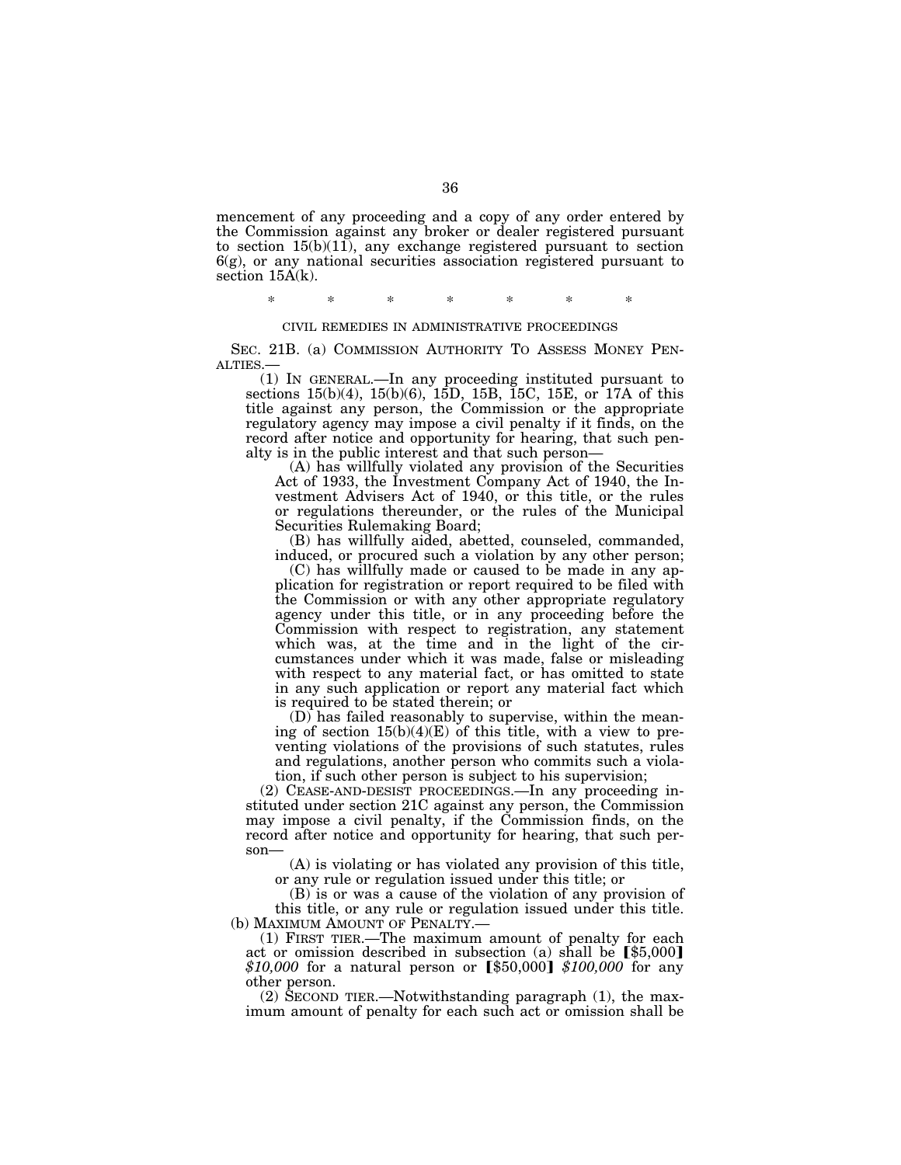mencement of any proceeding and a copy of any order entered by the Commission against any broker or dealer registered pursuant to section 15(b)(11), any exchange registered pursuant to section 6(g), or any national securities association registered pursuant to section  $15\text{\AA(k)}$ .

\* \* \* \* \* \* \*

#### CIVIL REMEDIES IN ADMINISTRATIVE PROCEEDINGS

SEC. 21B. (a) COMMISSION AUTHORITY TO ASSESS MONEY PEN-ALTIES.—

(1) IN GENERAL.—In any proceeding instituted pursuant to sections  $15(b)(4)$ ,  $15(b)(6)$ ,  $15D$ ,  $15B$ ,  $15C$ ,  $15E$ , or  $17A$  of this title against any person, the Commission or the appropriate regulatory agency may impose a civil penalty if it finds, on the record after notice and opportunity for hearing, that such penalty is in the public interest and that such person—

(A) has willfully violated any provision of the Securities Act of 1933, the Investment Company Act of 1940, the Investment Advisers Act of 1940, or this title, or the rules or regulations thereunder, or the rules of the Municipal Securities Rulemaking Board;

(B) has willfully aided, abetted, counseled, commanded, induced, or procured such a violation by any other person;

(C) has willfully made or caused to be made in any application for registration or report required to be filed with the Commission or with any other appropriate regulatory agency under this title, or in any proceeding before the Commission with respect to registration, any statement which was, at the time and in the light of the circumstances under which it was made, false or misleading with respect to any material fact, or has omitted to state in any such application or report any material fact which is required to be stated therein; or

(D) has failed reasonably to supervise, within the meaning of section  $15(b)(4)(E)$  of this title, with a view to preventing violations of the provisions of such statutes, rules and regulations, another person who commits such a violation, if such other person is subject to his supervision;

(2) CEASE-AND-DESIST PROCEEDINGS.—In any proceeding instituted under section 21C against any person, the Commission may impose a civil penalty, if the Commission finds, on the record after notice and opportunity for hearing, that such person—

(A) is violating or has violated any provision of this title, or any rule or regulation issued under this title; or

(B) is or was a cause of the violation of any provision of this title, or any rule or regulation issued under this title. (b) MAXIMUM AMOUNT OF PENALTY.— (1) FIRST TIER.—The maximum amount of penalty for each

act or omission described in subsection (a) shall be  $\[ \$5,000\]$ \$10,000 for a natural person or [\$50,000] \$100,000 for any other person.

(2) SECOND TIER.—Notwithstanding paragraph (1), the maximum amount of penalty for each such act or omission shall be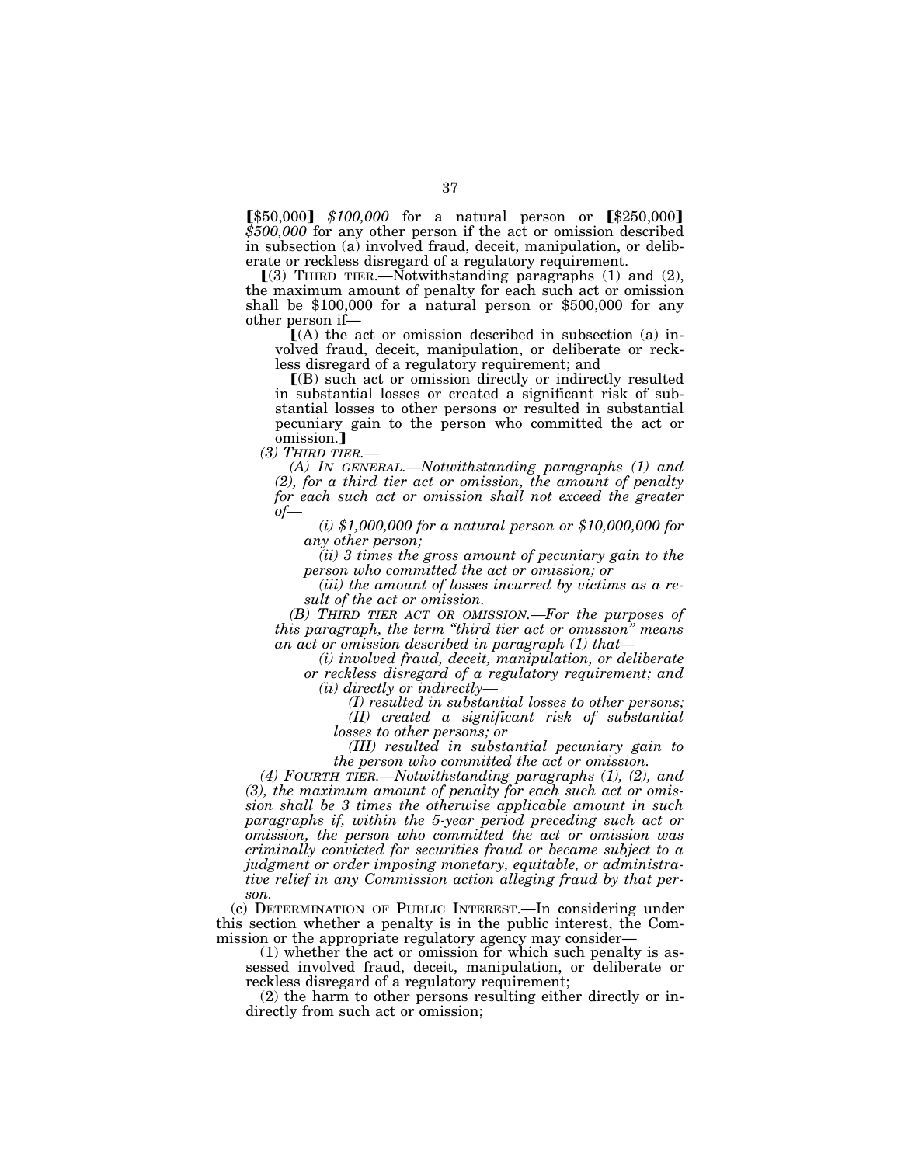$\left[ $50,000 \right]$   $$100,000$  for a natural person or  $\left[ $250,000 \right]$ *\$500,000* for any other person if the act or omission described in subsection (a) involved fraud, deceit, manipulation, or deliberate or reckless disregard of a regulatory requirement.

 $(3)$  THIRD TIER.—Notwithstanding paragraphs  $(1)$  and  $(2)$ , the maximum amount of penalty for each such act or omission shall be \$100,000 for a natural person or \$500,000 for any other person if—

 $f(A)$  the act or omission described in subsection (a) involved fraud, deceit, manipulation, or deliberate or reckless disregard of a regulatory requirement; and

ø(B) such act or omission directly or indirectly resulted in substantial losses or created a significant risk of substantial losses to other persons or resulted in substantial pecuniary gain to the person who committed the act or omission.]

*(3) THIRD TIER.—* 

*(A) IN GENERAL.—Notwithstanding paragraphs (1) and (2), for a third tier act or omission, the amount of penalty for each such act or omission shall not exceed the greater* 

*of— (i) \$1,000,000 for a natural person or \$10,000,000 for any other person;* 

*(ii) 3 times the gross amount of pecuniary gain to the person who committed the act or omission; or* 

*(iii) the amount of losses incurred by victims as a result of the act or omission.* 

*(B) THIRD TIER ACT OR OMISSION.—For the purposes of this paragraph, the term ''third tier act or omission'' means an act or omission described in paragraph (1) that—* 

*(i) involved fraud, deceit, manipulation, or deliberate or reckless disregard of a regulatory requirement; and (ii) directly or indirectly—* 

*(I) resulted in substantial losses to other persons; (II) created a significant risk of substantial losses to other persons; or* 

*(III) resulted in substantial pecuniary gain to the person who committed the act or omission.* 

*(4) FOURTH TIER.—Notwithstanding paragraphs (1), (2), and (3), the maximum amount of penalty for each such act or omission shall be 3 times the otherwise applicable amount in such paragraphs if, within the 5-year period preceding such act or omission, the person who committed the act or omission was criminally convicted for securities fraud or became subject to a judgment or order imposing monetary, equitable, or administrative relief in any Commission action alleging fraud by that person.* 

(c) DETERMINATION OF PUBLIC INTEREST.—In considering under this section whether a penalty is in the public interest, the Commission or the appropriate regulatory agency may consider—

(1) whether the act or omission for which such penalty is assessed involved fraud, deceit, manipulation, or deliberate or reckless disregard of a regulatory requirement;

(2) the harm to other persons resulting either directly or indirectly from such act or omission;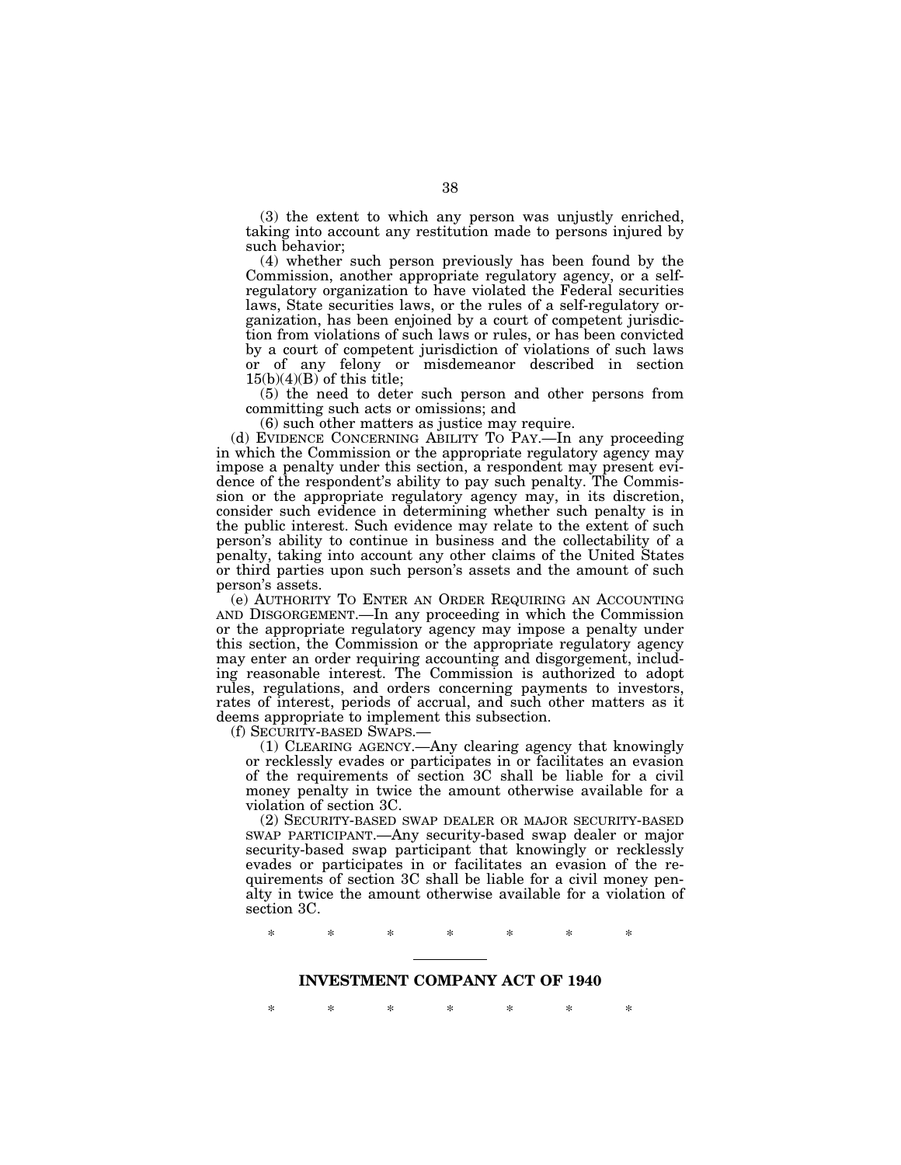(3) the extent to which any person was unjustly enriched, taking into account any restitution made to persons injured by such behavior;

(4) whether such person previously has been found by the Commission, another appropriate regulatory agency, or a selfregulatory organization to have violated the Federal securities laws, State securities laws, or the rules of a self-regulatory organization, has been enjoined by a court of competent jurisdiction from violations of such laws or rules, or has been convicted by a court of competent jurisdiction of violations of such laws or of any felony or misdemeanor described in section  $15(b)(4)(B)$  of this title;

(5) the need to deter such person and other persons from committing such acts or omissions; and

(6) such other matters as justice may require.

(d) EVIDENCE CONCERNING ABILITY TO PAY.—In any proceeding in which the Commission or the appropriate regulatory agency may impose a penalty under this section, a respondent may present evidence of the respondent's ability to pay such penalty. The Commission or the appropriate regulatory agency may, in its discretion, consider such evidence in determining whether such penalty is in the public interest. Such evidence may relate to the extent of such person's ability to continue in business and the collectability of a penalty, taking into account any other claims of the United States or third parties upon such person's assets and the amount of such person's assets.

(e) AUTHORITY TO ENTER AN ORDER REQUIRING AN ACCOUNTING AND DISGORGEMENT.—In any proceeding in which the Commission or the appropriate regulatory agency may impose a penalty under this section, the Commission or the appropriate regulatory agency may enter an order requiring accounting and disgorgement, including reasonable interest. The Commission is authorized to adopt rules, regulations, and orders concerning payments to investors, rates of interest, periods of accrual, and such other matters as it deems appropriate to implement this subsection.

(f) SECURITY-BASED SWAPS.— (1) CLEARING AGENCY.—Any clearing agency that knowingly or recklessly evades or participates in or facilitates an evasion of the requirements of section 3C shall be liable for a civil money penalty in twice the amount otherwise available for a violation of section 3C.

(2) SECURITY-BASED SWAP DEALER OR MAJOR SECURITY-BASED SWAP PARTICIPANT.—Any security-based swap dealer or major security-based swap participant that knowingly or recklessly evades or participates in or facilitates an evasion of the requirements of section 3C shall be liable for a civil money penalty in twice the amount otherwise available for a violation of section 3C.

\* \* \* \* \* \* \*

## **INVESTMENT COMPANY ACT OF 1940**

\* \* \* \* \* \* \*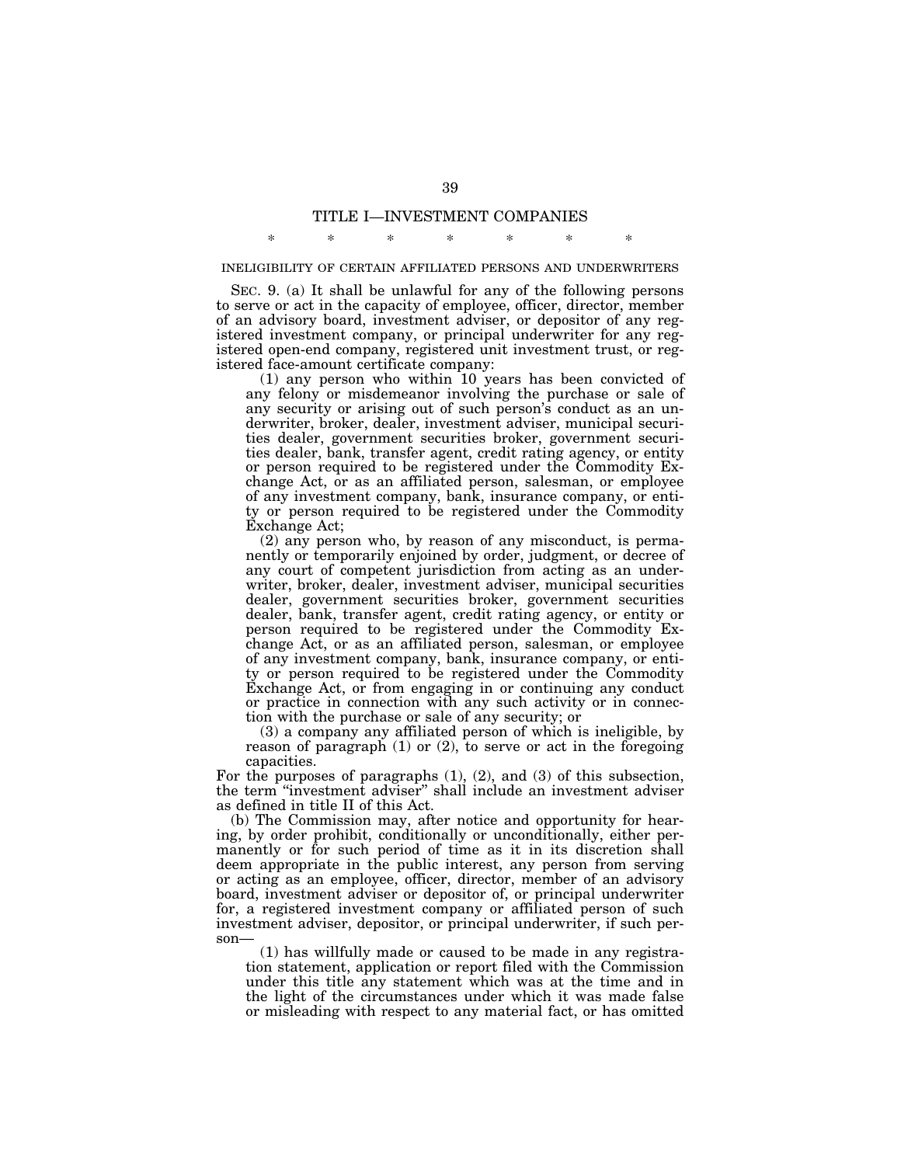## TITLE I—INVESTMENT COMPANIES

# \* \* \* \* \* \* \* INELIGIBILITY OF CERTAIN AFFILIATED PERSONS AND UNDERWRITERS

SEC. 9. (a) It shall be unlawful for any of the following persons to serve or act in the capacity of employee, officer, director, member of an advisory board, investment adviser, or depositor of any registered investment company, or principal underwriter for any registered open-end company, registered unit investment trust, or registered face-amount certificate company:

(1) any person who within 10 years has been convicted of any felony or misdemeanor involving the purchase or sale of any security or arising out of such person's conduct as an underwriter, broker, dealer, investment adviser, municipal securities dealer, government securities broker, government securities dealer, bank, transfer agent, credit rating agency, or entity or person required to be registered under the Commodity Exchange Act, or as an affiliated person, salesman, or employee of any investment company, bank, insurance company, or entity or person required to be registered under the Commodity Exchange Act;

(2) any person who, by reason of any misconduct, is permanently or temporarily enjoined by order, judgment, or decree of any court of competent jurisdiction from acting as an underwriter, broker, dealer, investment adviser, municipal securities dealer, government securities broker, government securities dealer, bank, transfer agent, credit rating agency, or entity or person required to be registered under the Commodity Exchange Act, or as an affiliated person, salesman, or employee of any investment company, bank, insurance company, or entity or person required to be registered under the Commodity Exchange Act, or from engaging in or continuing any conduct or practice in connection with any such activity or in connection with the purchase or sale of any security; or

(3) a company any affiliated person of which is ineligible, by reason of paragraph  $(1)$  or  $(2)$ , to serve or act in the foregoing capacities.

For the purposes of paragraphs (1), (2), and (3) of this subsection, the term ''investment adviser'' shall include an investment adviser as defined in title II of this Act.

(b) The Commission may, after notice and opportunity for hearing, by order prohibit, conditionally or unconditionally, either permanently or for such period of time as it in its discretion shall deem appropriate in the public interest, any person from serving or acting as an employee, officer, director, member of an advisory board, investment adviser or depositor of, or principal underwriter for, a registered investment company or affiliated person of such investment adviser, depositor, or principal underwriter, if such person—

(1) has willfully made or caused to be made in any registration statement, application or report filed with the Commission under this title any statement which was at the time and in the light of the circumstances under which it was made false or misleading with respect to any material fact, or has omitted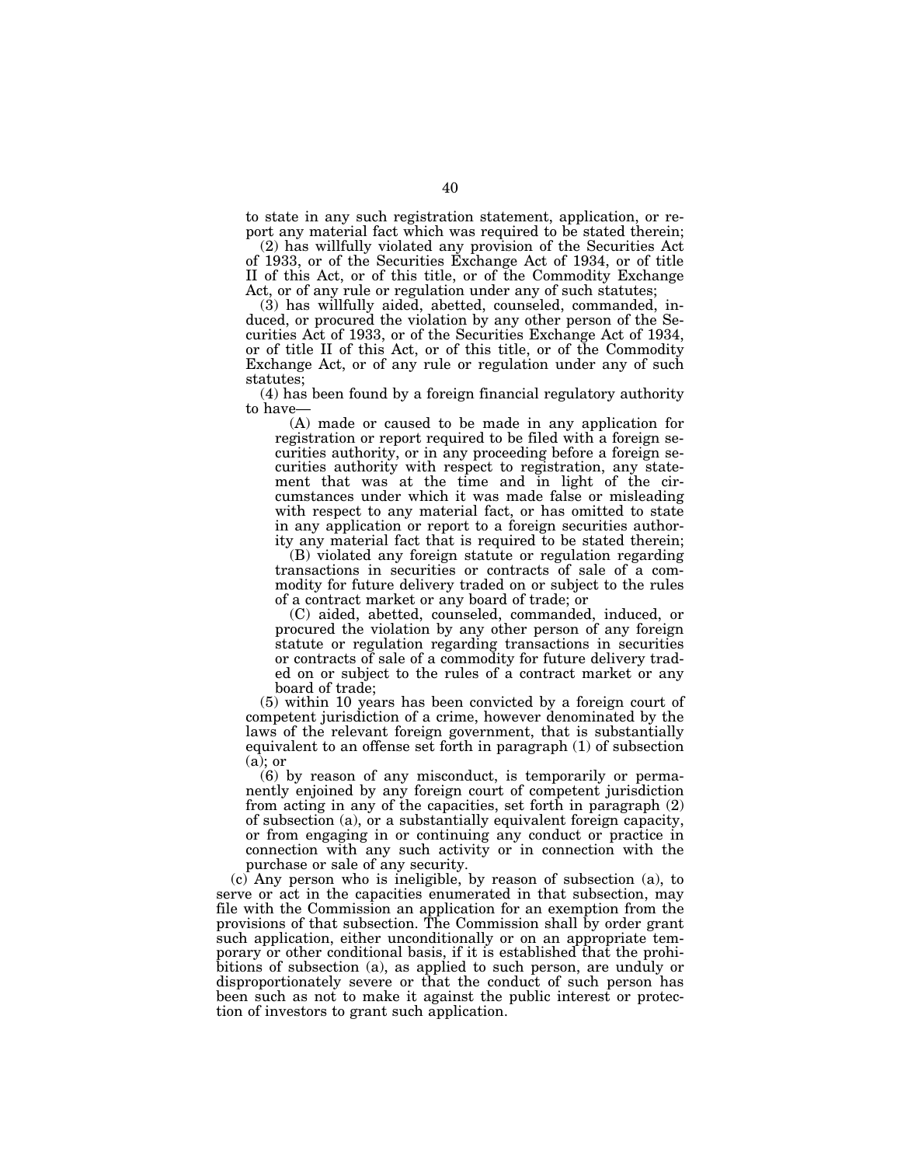to state in any such registration statement, application, or report any material fact which was required to be stated therein;

(2) has willfully violated any provision of the Securities Act of 1933, or of the Securities Exchange Act of 1934, or of title II of this Act, or of this title, or of the Commodity Exchange Act, or of any rule or regulation under any of such statutes;

(3) has willfully aided, abetted, counseled, commanded, induced, or procured the violation by any other person of the Securities Act of 1933, or of the Securities Exchange Act of 1934, or of title II of this Act, or of this title, or of the Commodity Exchange Act, or of any rule or regulation under any of such statutes;

(4) has been found by a foreign financial regulatory authority to have-

(A) made or caused to be made in any application for registration or report required to be filed with a foreign securities authority, or in any proceeding before a foreign securities authority with respect to registration, any statement that was at the time and in light of the circumstances under which it was made false or misleading with respect to any material fact, or has omitted to state in any application or report to a foreign securities authority any material fact that is required to be stated therein;

(B) violated any foreign statute or regulation regarding transactions in securities or contracts of sale of a commodity for future delivery traded on or subject to the rules of a contract market or any board of trade; or

(C) aided, abetted, counseled, commanded, induced, or procured the violation by any other person of any foreign statute or regulation regarding transactions in securities or contracts of sale of a commodity for future delivery traded on or subject to the rules of a contract market or any board of trade;

(5) within 10 years has been convicted by a foreign court of competent jurisdiction of a crime, however denominated by the laws of the relevant foreign government, that is substantially equivalent to an offense set forth in paragraph (1) of subsection  $(a)$ ; or

(6) by reason of any misconduct, is temporarily or permanently enjoined by any foreign court of competent jurisdiction from acting in any of the capacities, set forth in paragraph (2) of subsection (a), or a substantially equivalent foreign capacity, or from engaging in or continuing any conduct or practice in connection with any such activity or in connection with the purchase or sale of any security.

(c) Any person who is ineligible, by reason of subsection (a), to serve or act in the capacities enumerated in that subsection, may file with the Commission an application for an exemption from the provisions of that subsection. The Commission shall by order grant such application, either unconditionally or on an appropriate temporary or other conditional basis, if it is established that the prohibitions of subsection (a), as applied to such person, are unduly or disproportionately severe or that the conduct of such person has been such as not to make it against the public interest or protection of investors to grant such application.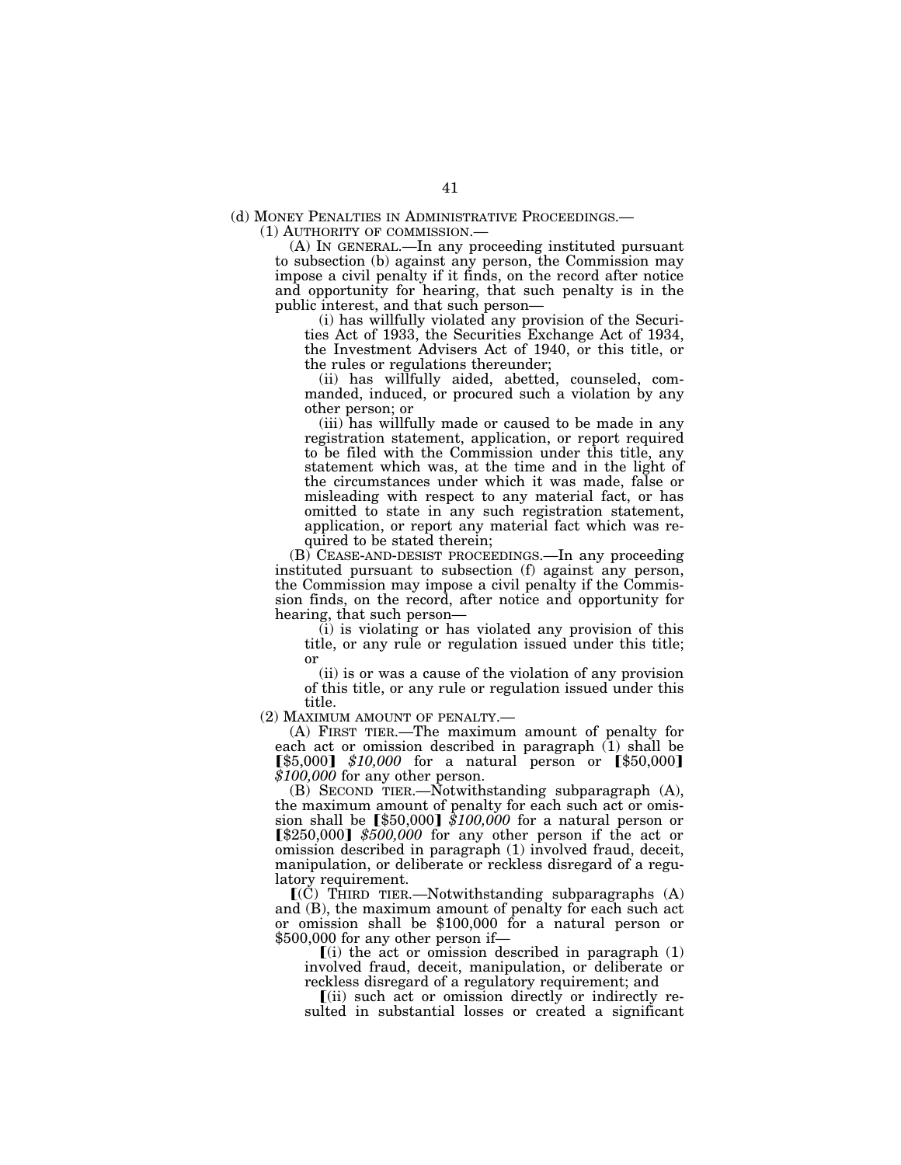(d) MONEY PENALTIES IN ADMINISTRATIVE PROCEEDINGS.—<br>
(1) AUTHORITY OF COMMISSION.—<br>
(A) IN GENERAL.—In any proceeding instituted pursuant

to subsection (b) against any person, the Commission may impose a civil penalty if it finds, on the record after notice and opportunity for hearing, that such penalty is in the public interest, and that such person—

(i) has willfully violated any provision of the Securities Act of 1933, the Securities Exchange Act of 1934, the Investment Advisers Act of 1940, or this title, or the rules or regulations thereunder;

(ii) has willfully aided, abetted, counseled, commanded, induced, or procured such a violation by any other person; or

(iii) has willfully made or caused to be made in any registration statement, application, or report required to be filed with the Commission under this title, any statement which was, at the time and in the light of the circumstances under which it was made, false or misleading with respect to any material fact, or has omitted to state in any such registration statement, application, or report any material fact which was required to be stated therein;

(B) CEASE-AND-DESIST PROCEEDINGS.—In any proceeding instituted pursuant to subsection (f) against any person, the Commission may impose a civil penalty if the Commission finds, on the record, after notice and opportunity for hearing, that such person—

(i) is violating or has violated any provision of this title, or any rule or regulation issued under this title; or

(ii) is or was a cause of the violation of any provision of this title, or any rule or regulation issued under this

title.<br>(2) MAXIMUM AMOUNT OF PENALTY.—

 $(A)$  FIRST TIER.—The maximum amount of penalty for each act or omission described in paragraph (1) shall be  $\llbracket $5,000 \rrbracket$  \$10,000 for a natural person or  $\llbracket $50,000 \rrbracket$ *\$100,000* for any other person.

(B) SECOND TIER.—Notwithstanding subparagraph (A), the maximum amount of penalty for each such act or omission shall be  $\llbracket $50,000 \rrbracket$   $$100,000$  for a natural person or **[\$250,000]** \$500,000 for any other person if the act or omission described in paragraph (1) involved fraud, deceit, manipulation, or deliberate or reckless disregard of a regulatory requirement.

 $(C)$  THIRD TIER.—Notwithstanding subparagraphs  $(A)$ and (B), the maximum amount of penalty for each such act or omission shall be \$100,000 for a natural person or \$500,000 for any other person if—

 $(i)$  the act or omission described in paragraph  $(1)$ involved fraud, deceit, manipulation, or deliberate or reckless disregard of a regulatory requirement; and

 $\lceil$ (ii) such act or omission directly or indirectly resulted in substantial losses or created a significant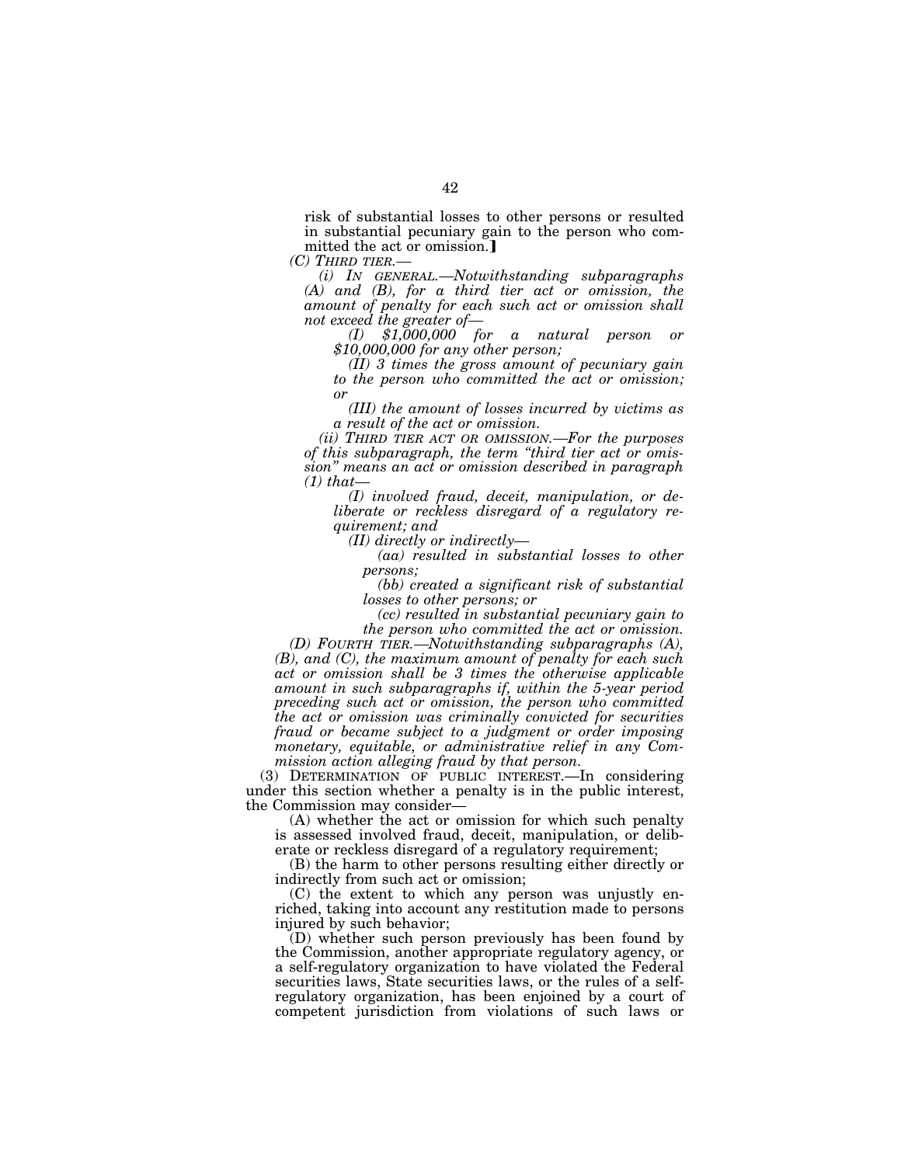risk of substantial losses to other persons or resulted in substantial pecuniary gain to the person who committed the act or omission.]<br>(C) THIRD TIER.—

*(i)* IN GENERAL.—Notwithstanding subparagraphs *(A) and (B), for a third tier act or omission, the amount of penalty for each such act or omission shall* 

*not exceed the greater of— (I) \$1,000,000 for a natural person or \$10,000,000 for any other person;* 

*(II) 3 times the gross amount of pecuniary gain to the person who committed the act or omission; or* 

*(III) the amount of losses incurred by victims as a result of the act or omission.* 

*(ii) THIRD TIER ACT OR OMISSION.—For the purposes of this subparagraph, the term ''third tier act or omission'' means an act or omission described in paragraph (1) that—* 

*(I) involved fraud, deceit, manipulation, or deliberate or reckless disregard of a regulatory requirement; and* 

*(II) directly or indirectly—* 

*(aa) resulted in substantial losses to other persons;* 

*(bb) created a significant risk of substantial losses to other persons; or* 

*(cc) resulted in substantial pecuniary gain to the person who committed the act or omission.* 

*(D) FOURTH TIER.—Notwithstanding subparagraphs (A), (B), and (C), the maximum amount of penalty for each such act or omission shall be 3 times the otherwise applicable amount in such subparagraphs if, within the 5-year period preceding such act or omission, the person who committed the act or omission was criminally convicted for securities fraud or became subject to a judgment or order imposing monetary, equitable, or administrative relief in any Commission action alleging fraud by that person.* 

(3) DETERMINATION OF PUBLIC INTEREST.—In considering under this section whether a penalty is in the public interest, the Commission may consider—

(A) whether the act or omission for which such penalty is assessed involved fraud, deceit, manipulation, or deliberate or reckless disregard of a regulatory requirement;

(B) the harm to other persons resulting either directly or indirectly from such act or omission;

(C) the extent to which any person was unjustly enriched, taking into account any restitution made to persons injured by such behavior;

(D) whether such person previously has been found by the Commission, another appropriate regulatory agency, or a self-regulatory organization to have violated the Federal securities laws, State securities laws, or the rules of a selfregulatory organization, has been enjoined by a court of competent jurisdiction from violations of such laws or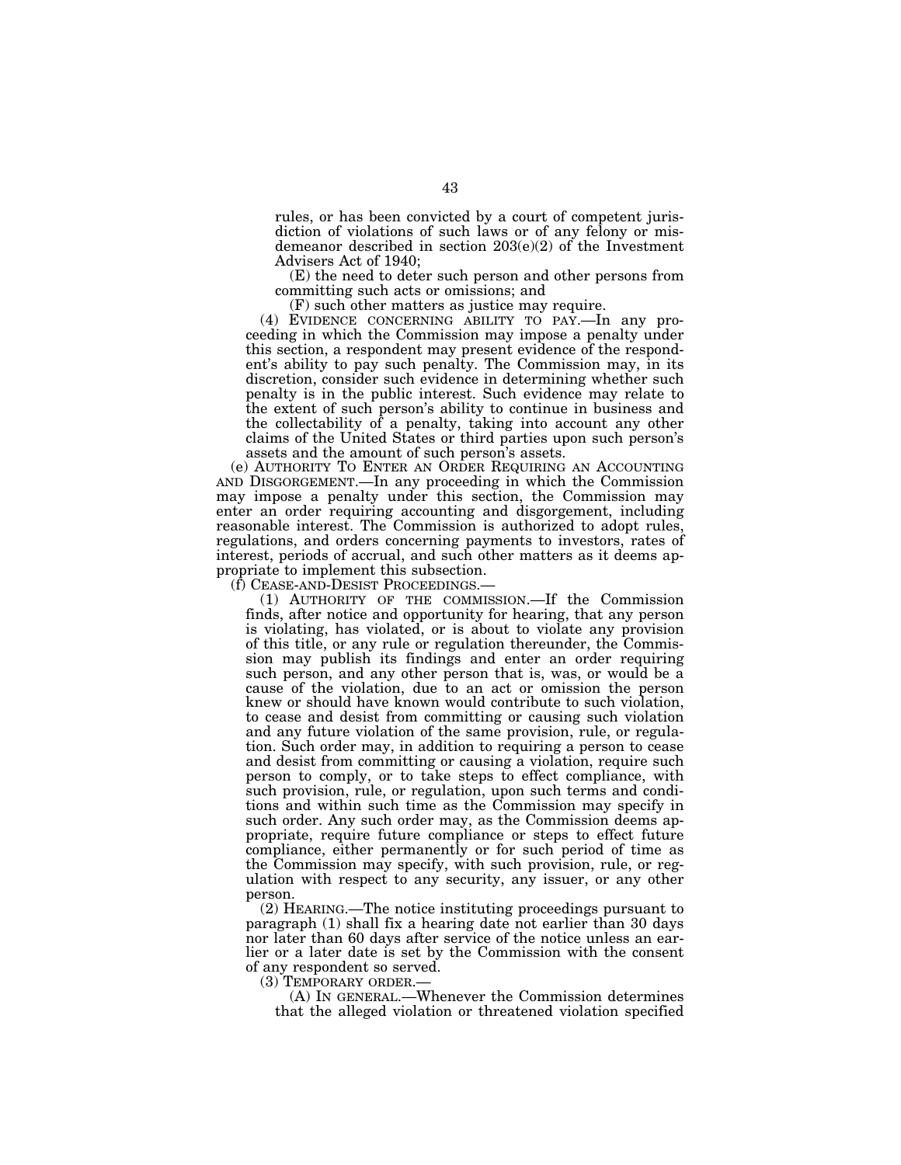rules, or has been convicted by a court of competent jurisdiction of violations of such laws or of any felony or misdemeanor described in section 203(e)(2) of the Investment Advisers Act of 1940;

(E) the need to deter such person and other persons from committing such acts or omissions; and

(F) such other matters as justice may require.

(4) EVIDENCE CONCERNING ABILITY TO PAY.—In any proceeding in which the Commission may impose a penalty under this section, a respondent may present evidence of the respondent's ability to pay such penalty. The Commission may, in its discretion, consider such evidence in determining whether such penalty is in the public interest. Such evidence may relate to the extent of such person's ability to continue in business and the collectability of a penalty, taking into account any other claims of the United States or third parties upon such person's assets and the amount of such person's assets.

(e) AUTHORITY TO ENTER AN ORDER REQUIRING AN ACCOUNTING AND DISGORGEMENT.—In any proceeding in which the Commission may impose a penalty under this section, the Commission may enter an order requiring accounting and disgorgement, including reasonable interest. The Commission is authorized to adopt rules, regulations, and orders concerning payments to investors, rates of interest, periods of accrual, and such other matters as it deems appropriate to implement this subsection.

(f) CEASE-AND-DESIST PROCEEDINGS.— (1) AUTHORITY OF THE COMMISSION.—If the Commission finds, after notice and opportunity for hearing, that any person is violating, has violated, or is about to violate any provision of this title, or any rule or regulation thereunder, the Commission may publish its findings and enter an order requiring such person, and any other person that is, was, or would be a cause of the violation, due to an act or omission the person knew or should have known would contribute to such violation, to cease and desist from committing or causing such violation and any future violation of the same provision, rule, or regulation. Such order may, in addition to requiring a person to cease and desist from committing or causing a violation, require such person to comply, or to take steps to effect compliance, with such provision, rule, or regulation, upon such terms and conditions and within such time as the Commission may specify in such order. Any such order may, as the Commission deems appropriate, require future compliance or steps to effect future compliance, either permanently or for such period of time as the Commission may specify, with such provision, rule, or regulation with respect to any security, any issuer, or any other person.

(2) HEARING.—The notice instituting proceedings pursuant to paragraph (1) shall fix a hearing date not earlier than 30 days nor later than 60 days after service of the notice unless an earlier or a later date is set by the Commission with the consent of any respondent so served.

(3) TEMPORARY ORDER.—

(A) IN GENERAL.—Whenever the Commission determines that the alleged violation or threatened violation specified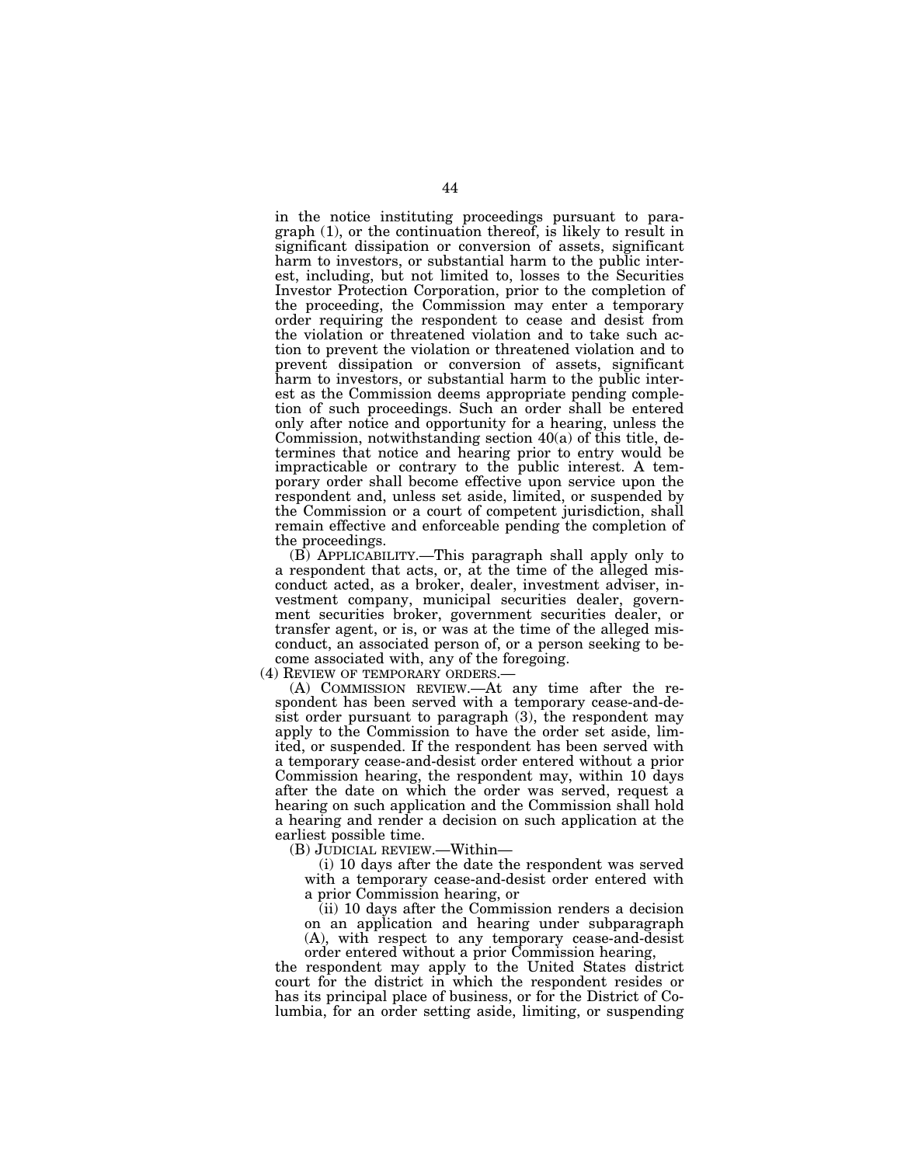in the notice instituting proceedings pursuant to paragraph (1), or the continuation thereof, is likely to result in significant dissipation or conversion of assets, significant harm to investors, or substantial harm to the public interest, including, but not limited to, losses to the Securities Investor Protection Corporation, prior to the completion of the proceeding, the Commission may enter a temporary order requiring the respondent to cease and desist from the violation or threatened violation and to take such action to prevent the violation or threatened violation and to prevent dissipation or conversion of assets, significant harm to investors, or substantial harm to the public interest as the Commission deems appropriate pending completion of such proceedings. Such an order shall be entered only after notice and opportunity for a hearing, unless the Commission, notwithstanding section 40(a) of this title, determines that notice and hearing prior to entry would be impracticable or contrary to the public interest. A temporary order shall become effective upon service upon the respondent and, unless set aside, limited, or suspended by the Commission or a court of competent jurisdiction, shall remain effective and enforceable pending the completion of the proceedings.

(B) APPLICABILITY.—This paragraph shall apply only to a respondent that acts, or, at the time of the alleged misconduct acted, as a broker, dealer, investment adviser, investment company, municipal securities dealer, government securities broker, government securities dealer, or transfer agent, or is, or was at the time of the alleged misconduct, an associated person of, or a person seeking to become associated with, any of the foregoing.

(4) REVIEW OF TEMPORARY ORDERS.—

(A) COMMISSION REVIEW.—At any time after the respondent has been served with a temporary cease-and-desist order pursuant to paragraph (3), the respondent may apply to the Commission to have the order set aside, limited, or suspended. If the respondent has been served with a temporary cease-and-desist order entered without a prior Commission hearing, the respondent may, within 10 days after the date on which the order was served, request a hearing on such application and the Commission shall hold a hearing and render a decision on such application at the earliest possible time.

(B) JUDICIAL REVIEW.—Within—

(i) 10 days after the date the respondent was served with a temporary cease-and-desist order entered with a prior Commission hearing, or

(ii) 10 days after the Commission renders a decision on an application and hearing under subparagraph (A), with respect to any temporary cease-and-desist order entered without a prior Commission hearing,

the respondent may apply to the United States district court for the district in which the respondent resides or has its principal place of business, or for the District of Columbia, for an order setting aside, limiting, or suspending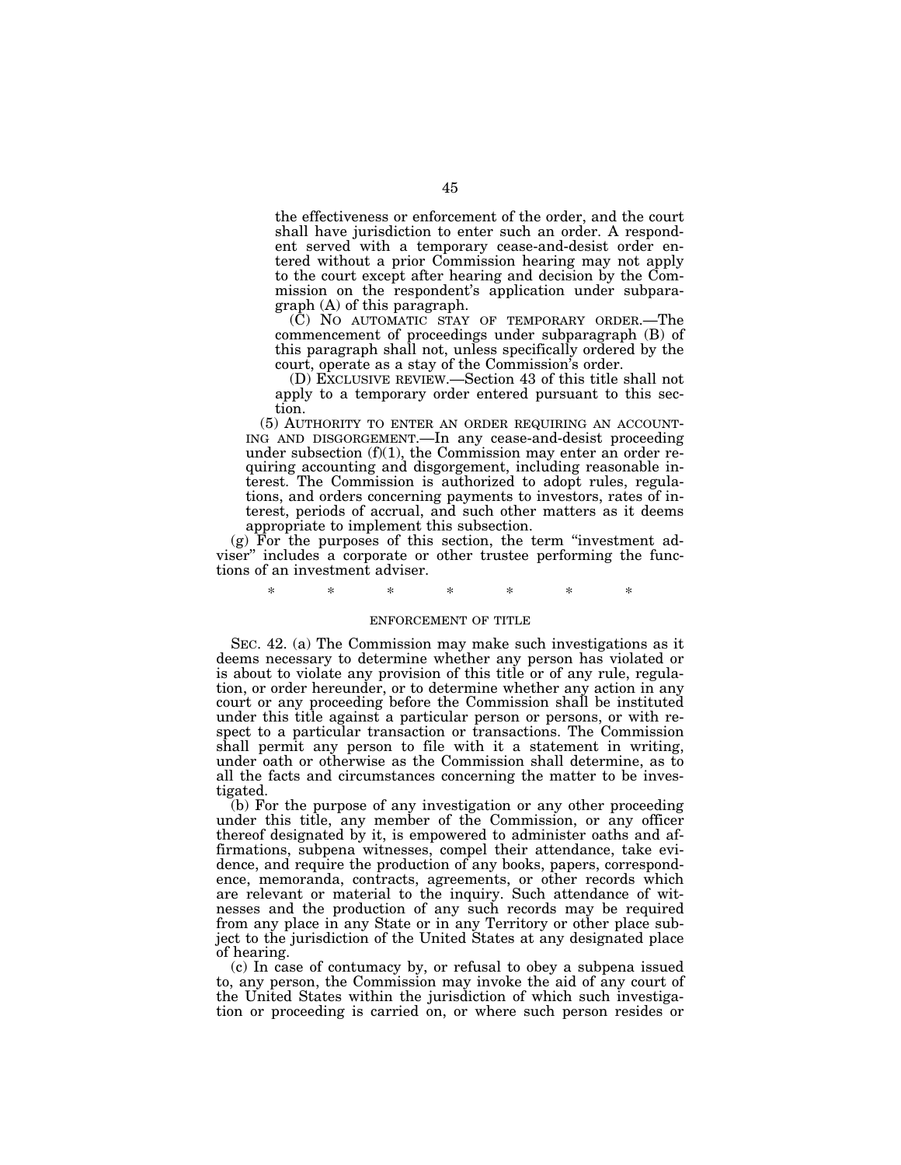the effectiveness or enforcement of the order, and the court shall have jurisdiction to enter such an order. A respondent served with a temporary cease-and-desist order entered without a prior Commission hearing may not apply to the court except after hearing and decision by the Commission on the respondent's application under subparagraph (A) of this paragraph.

(C) NO AUTOMATIC STAY OF TEMPORARY ORDER.—The commencement of proceedings under subparagraph (B) of this paragraph shall not, unless specifically ordered by the court, operate as a stay of the Commission's order.

(D) EXCLUSIVE REVIEW.—Section 43 of this title shall not apply to a temporary order entered pursuant to this section.

(5) AUTHORITY TO ENTER AN ORDER REQUIRING AN ACCOUNT-ING AND DISGORGEMENT.—In any cease-and-desist proceeding under subsection  $(f)(1)$ , the Commission may enter an order requiring accounting and disgorgement, including reasonable interest. The Commission is authorized to adopt rules, regulations, and orders concerning payments to investors, rates of interest, periods of accrual, and such other matters as it deems appropriate to implement this subsection.

(g) For the purposes of this section, the term ''investment adviser'' includes a corporate or other trustee performing the functions of an investment adviser.

\* \* \* \* \* \* \*

### ENFORCEMENT OF TITLE

SEC. 42. (a) The Commission may make such investigations as it deems necessary to determine whether any person has violated or is about to violate any provision of this title or of any rule, regulation, or order hereunder, or to determine whether any action in any court or any proceeding before the Commission shall be instituted under this title against a particular person or persons, or with respect to a particular transaction or transactions. The Commission shall permit any person to file with it a statement in writing, under oath or otherwise as the Commission shall determine, as to all the facts and circumstances concerning the matter to be investigated.

(b) For the purpose of any investigation or any other proceeding under this title, any member of the Commission, or any officer thereof designated by it, is empowered to administer oaths and affirmations, subpena witnesses, compel their attendance, take evidence, and require the production of any books, papers, correspondence, memoranda, contracts, agreements, or other records which are relevant or material to the inquiry. Such attendance of witnesses and the production of any such records may be required from any place in any State or in any Territory or other place subject to the jurisdiction of the United States at any designated place of hearing.

(c) In case of contumacy by, or refusal to obey a subpena issued to, any person, the Commission may invoke the aid of any court of the United States within the jurisdiction of which such investigation or proceeding is carried on, or where such person resides or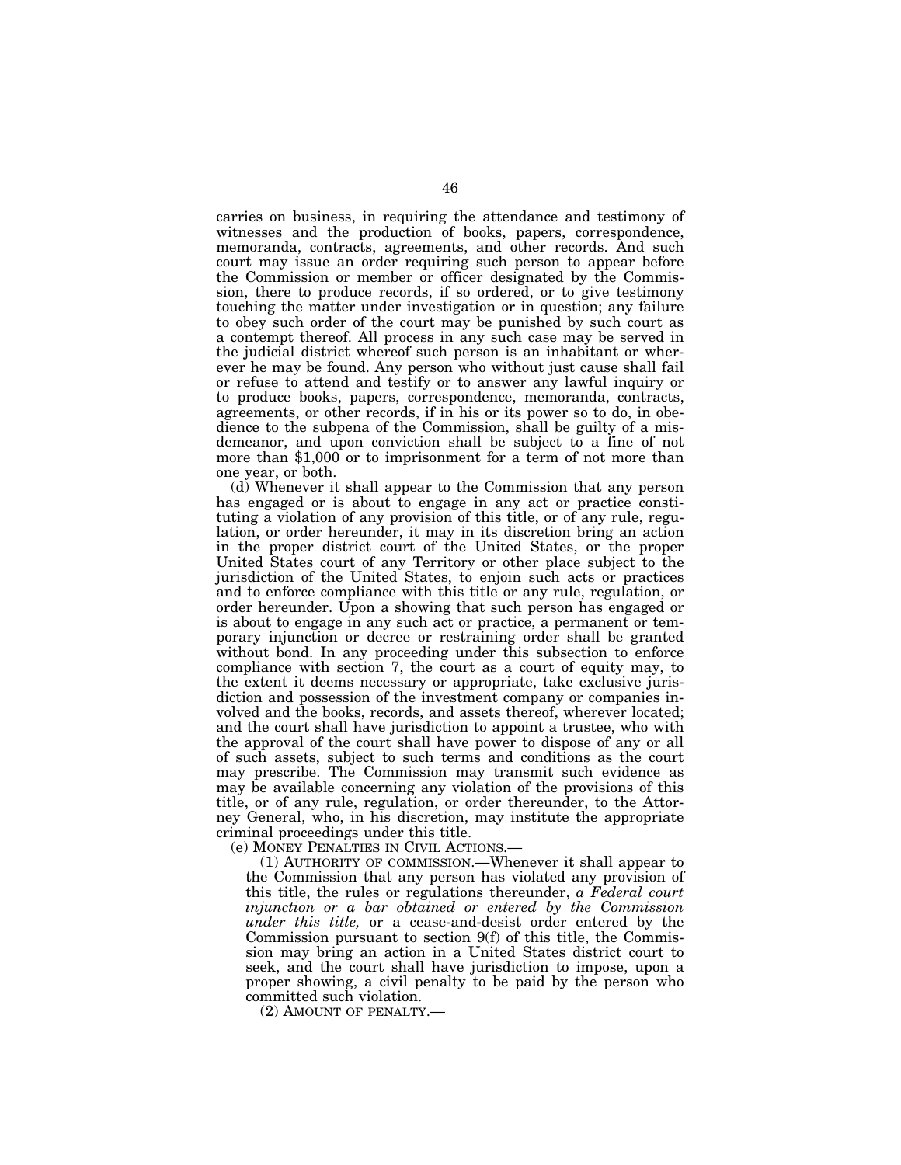carries on business, in requiring the attendance and testimony of witnesses and the production of books, papers, correspondence, memoranda, contracts, agreements, and other records. And such court may issue an order requiring such person to appear before the Commission or member or officer designated by the Commission, there to produce records, if so ordered, or to give testimony touching the matter under investigation or in question; any failure to obey such order of the court may be punished by such court as a contempt thereof. All process in any such case may be served in the judicial district whereof such person is an inhabitant or wherever he may be found. Any person who without just cause shall fail or refuse to attend and testify or to answer any lawful inquiry or to produce books, papers, correspondence, memoranda, contracts, agreements, or other records, if in his or its power so to do, in obedience to the subpena of the Commission, shall be guilty of a misdemeanor, and upon conviction shall be subject to a fine of not more than \$1,000 or to imprisonment for a term of not more than one year, or both.

(d) Whenever it shall appear to the Commission that any person has engaged or is about to engage in any act or practice constituting a violation of any provision of this title, or of any rule, regulation, or order hereunder, it may in its discretion bring an action in the proper district court of the United States, or the proper United States court of any Territory or other place subject to the jurisdiction of the United States, to enjoin such acts or practices and to enforce compliance with this title or any rule, regulation, or order hereunder. Upon a showing that such person has engaged or is about to engage in any such act or practice, a permanent or temporary injunction or decree or restraining order shall be granted without bond. In any proceeding under this subsection to enforce compliance with section 7, the court as a court of equity may, to the extent it deems necessary or appropriate, take exclusive jurisdiction and possession of the investment company or companies involved and the books, records, and assets thereof, wherever located; and the court shall have jurisdiction to appoint a trustee, who with the approval of the court shall have power to dispose of any or all of such assets, subject to such terms and conditions as the court may prescribe. The Commission may transmit such evidence as may be available concerning any violation of the provisions of this title, or of any rule, regulation, or order thereunder, to the Attorney General, who, in his discretion, may institute the appropriate criminal proceedings under this title.

(e) MONEY PENALTIES IN CIVIL ACTIONS.—

(1) AUTHORITY OF COMMISSION.—Whenever it shall appear to the Commission that any person has violated any provision of this title, the rules or regulations thereunder, *a Federal court injunction or a bar obtained or entered by the Commission under this title,* or a cease-and-desist order entered by the Commission pursuant to section 9(f) of this title, the Commission may bring an action in a United States district court to seek, and the court shall have jurisdiction to impose, upon a proper showing, a civil penalty to be paid by the person who committed such violation.

(2) AMOUNT OF PENALTY.—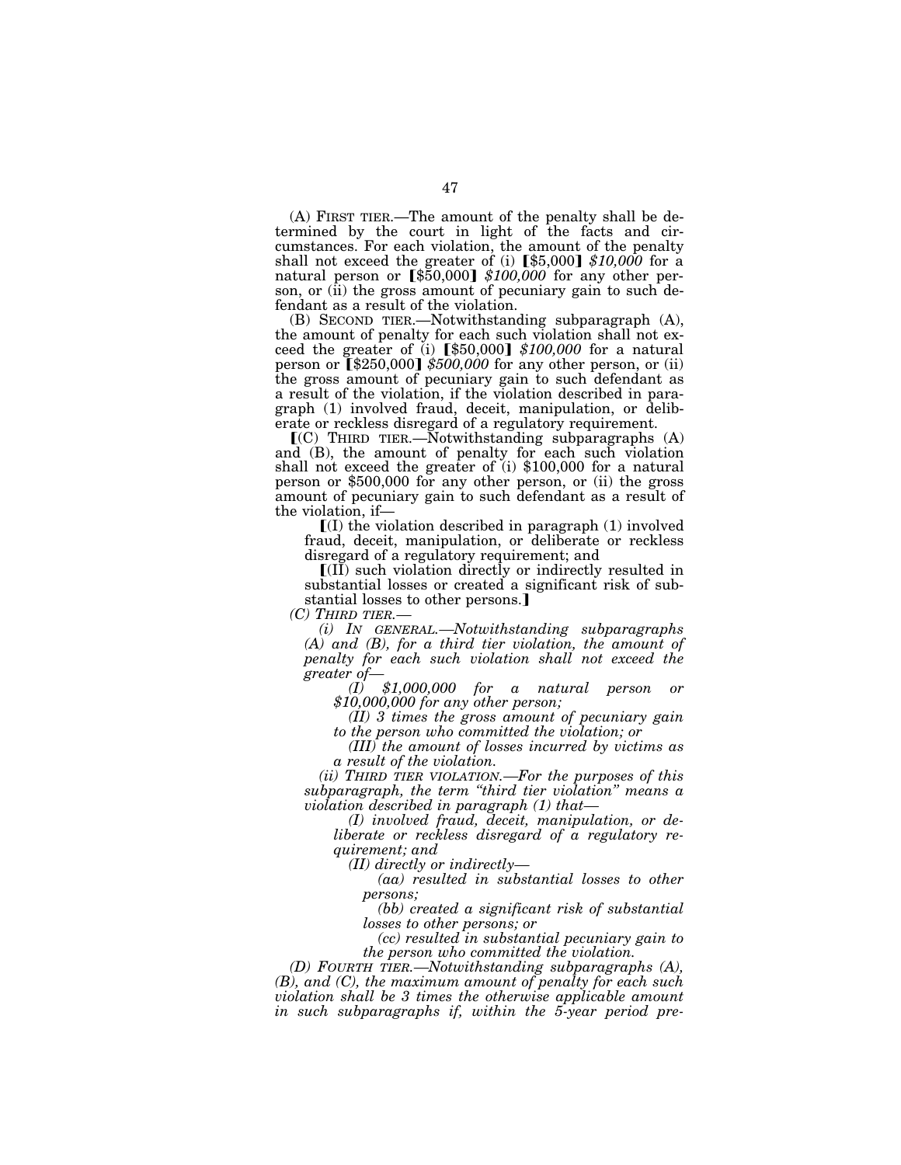(A) FIRST TIER.—The amount of the penalty shall be determined by the court in light of the facts and circumstances. For each violation, the amount of the penalty shall not exceed the greater of (i)  $\text{\textsterling}5,000\text{\textsterling}}$  \$10,000 for a natural person or [\$50,000] \$100,000 for any other person, or (ii) the gross amount of pecuniary gain to such defendant as a result of the violation.

(B) SECOND TIER.—Notwithstanding subparagraph (A), the amount of penalty for each such violation shall not exceed the greater of (i)  $$50,000]$   $$100,000$  for a natural person or  $\left[\frac{$250,000}{\frac{$250,000}{\frac{900,000}{\frac{900,000}{\frac{900,000}{\frac{900,000}{\frac{900,000}{\frac{900,000}{\frac{900,000}{\frac{900,000}{\frac{90,000}}}}}}$ the gross amount of pecuniary gain to such defendant as a result of the violation, if the violation described in paragraph (1) involved fraud, deceit, manipulation, or deliberate or reckless disregard of a regulatory requirement.

 $(C)$  THIRD TIER.—Notwithstanding subparagraphs  $(A)$ and (B), the amount of penalty for each such violation shall not exceed the greater of (i) \$100,000 for a natural person or \$500,000 for any other person, or (ii) the gross amount of pecuniary gain to such defendant as a result of the violation, if—

 $\left[ \text{(I) the violation described in paragraph (1) involved }\right]$ fraud, deceit, manipulation, or deliberate or reckless disregard of a regulatory requirement; and

 $\overline{f(II)}$  such violation directly or indirectly resulted in substantial losses or created a significant risk of substantial losses to other persons.

*(C) THIRD TIER.— (i) IN GENERAL.—Notwithstanding subparagraphs (A) and (B), for a third tier violation, the amount of penalty for each such violation shall not exceed the greater of—* 

*(I) \$1,000,000 for a natural person or \$10,000,000 for any other person;* 

*(II) 3 times the gross amount of pecuniary gain to the person who committed the violation; or* 

*(III) the amount of losses incurred by victims as a result of the violation.* 

*(ii) THIRD TIER VIOLATION.—For the purposes of this subparagraph, the term ''third tier violation'' means a violation described in paragraph (1) that—* 

*(I) involved fraud, deceit, manipulation, or deliberate or reckless disregard of a regulatory requirement; and* 

*(II) directly or indirectly—* 

*(aa) resulted in substantial losses to other persons;* 

*(bb) created a significant risk of substantial losses to other persons; or* 

*(cc) resulted in substantial pecuniary gain to the person who committed the violation.* 

*(D) FOURTH TIER.—Notwithstanding subparagraphs (A), (B), and (C), the maximum amount of penalty for each such violation shall be 3 times the otherwise applicable amount in such subparagraphs if, within the 5-year period pre-*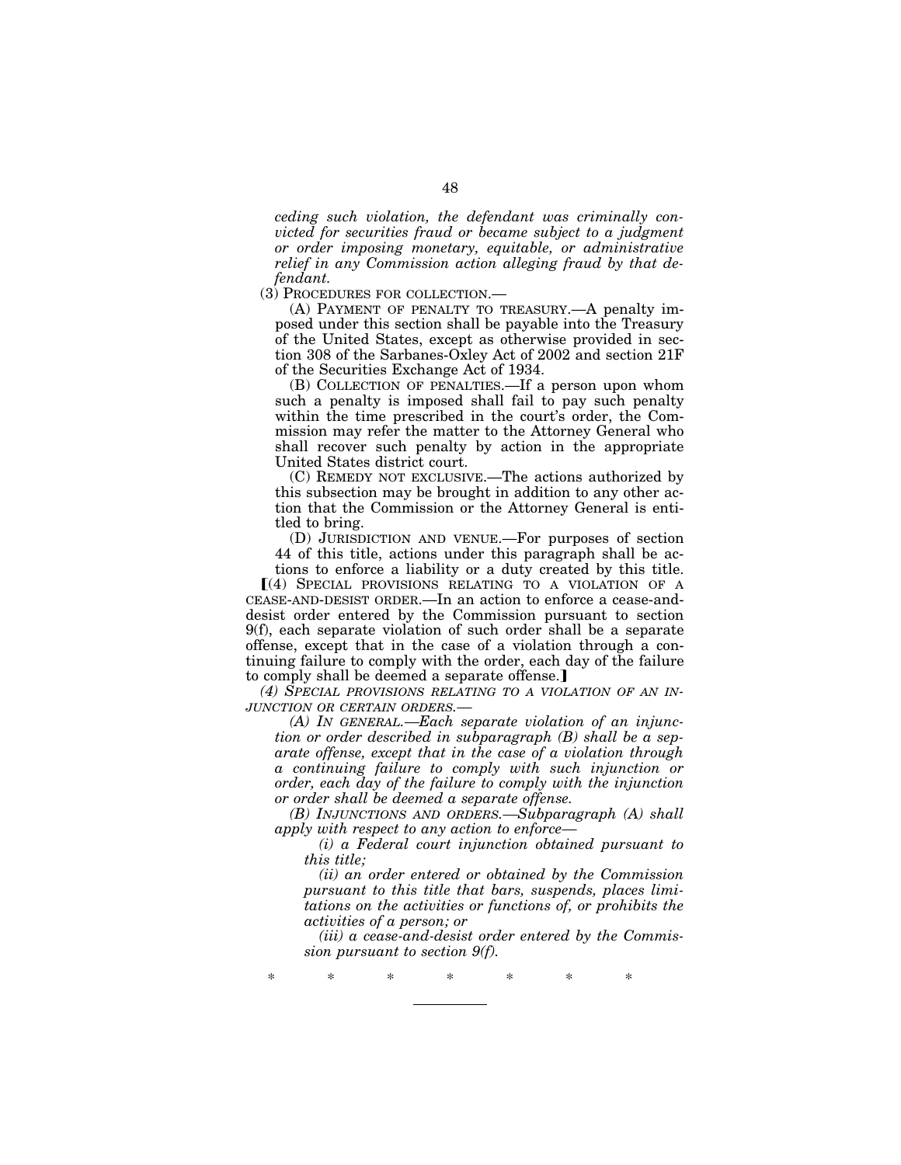*ceding such violation, the defendant was criminally convicted for securities fraud or became subject to a judgment or order imposing monetary, equitable, or administrative relief in any Commission action alleging fraud by that defendant.* 

(3) PROCEDURES FOR COLLECTION.—

(A) PAYMENT OF PENALTY TO TREASURY.—A penalty imposed under this section shall be payable into the Treasury of the United States, except as otherwise provided in section 308 of the Sarbanes-Oxley Act of 2002 and section 21F of the Securities Exchange Act of 1934.

(B) COLLECTION OF PENALTIES.—If a person upon whom such a penalty is imposed shall fail to pay such penalty within the time prescribed in the court's order, the Commission may refer the matter to the Attorney General who shall recover such penalty by action in the appropriate United States district court.

(C) REMEDY NOT EXCLUSIVE.—The actions authorized by this subsection may be brought in addition to any other action that the Commission or the Attorney General is entitled to bring.

(D) JURISDICTION AND VENUE.—For purposes of section 44 of this title, actions under this paragraph shall be ac-

tions to enforce a liability or a duty created by this title.  $(4)$  SPECIAL PROVISIONS RELATING TO A VIOLATION OF A CEASE-AND-DESIST ORDER.—In an action to enforce a cease-anddesist order entered by the Commission pursuant to section 9(f), each separate violation of such order shall be a separate offense, except that in the case of a violation through a continuing failure to comply with the order, each day of the failure to comply shall be deemed a separate offense.

*(4) SPECIAL PROVISIONS RELATING TO A VIOLATION OF AN IN-JUNCTION OR CERTAIN ORDERS.—* 

*(A) IN GENERAL.—Each separate violation of an injunction or order described in subparagraph (B) shall be a separate offense, except that in the case of a violation through a continuing failure to comply with such injunction or order, each day of the failure to comply with the injunction or order shall be deemed a separate offense.* 

*(B) INJUNCTIONS AND ORDERS.—Subparagraph (A) shall apply with respect to any action to enforce—* 

*(i) a Federal court injunction obtained pursuant to this title;* 

*(ii) an order entered or obtained by the Commission pursuant to this title that bars, suspends, places limitations on the activities or functions of, or prohibits the activities of a person; or* 

*(iii) a cease-and-desist order entered by the Commission pursuant to section 9(f).* 

\* \* \* \* \* \* \*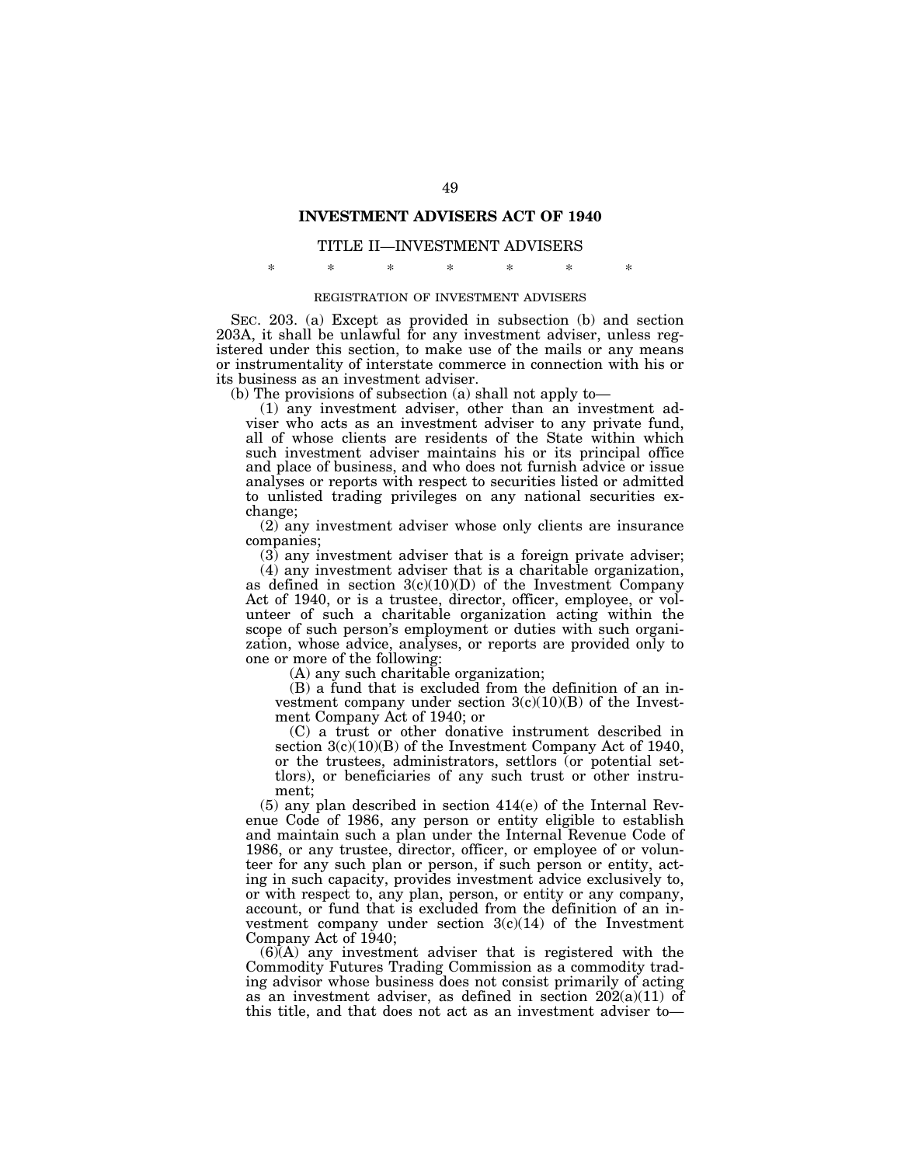### **INVESTMENT ADVISERS ACT OF 1940**

### TITLE II—INVESTMENT ADVISERS

\* \* \* \* \* \* \*

#### REGISTRATION OF INVESTMENT ADVISERS

SEC. 203. (a) Except as provided in subsection (b) and section 203A, it shall be unlawful for any investment adviser, unless registered under this section, to make use of the mails or any means or instrumentality of interstate commerce in connection with his or its business as an investment adviser.

(b) The provisions of subsection (a) shall not apply to—

(1) any investment adviser, other than an investment adviser who acts as an investment adviser to any private fund, all of whose clients are residents of the State within which such investment adviser maintains his or its principal office and place of business, and who does not furnish advice or issue analyses or reports with respect to securities listed or admitted to unlisted trading privileges on any national securities exchange;

(2) any investment adviser whose only clients are insurance companies;

 $(3)$  any investment adviser that is a foreign private adviser;

(4) any investment adviser that is a charitable organization, as defined in section  $3(c)(10)(D)$  of the Investment Company Act of 1940, or is a trustee, director, officer, employee, or volunteer of such a charitable organization acting within the scope of such person's employment or duties with such organization, whose advice, analyses, or reports are provided only to one or more of the following:

(A) any such charitable organization;

(B) a fund that is excluded from the definition of an investment company under section  $3(c)(10)(B)$  of the Investment Company Act of 1940; or

(C) a trust or other donative instrument described in section  $3(c)(10)(B)$  of the Investment Company Act of 1940, or the trustees, administrators, settlors (or potential settlors), or beneficiaries of any such trust or other instrument;

(5) any plan described in section 414(e) of the Internal Revenue Code of 1986, any person or entity eligible to establish and maintain such a plan under the Internal Revenue Code of 1986, or any trustee, director, officer, or employee of or volunteer for any such plan or person, if such person or entity, acting in such capacity, provides investment advice exclusively to, or with respect to, any plan, person, or entity or any company, account, or fund that is excluded from the definition of an investment company under section  $3(c)(14)$  of the Investment Company Act of 1940;

 $(6)$  $(A)$  any investment adviser that is registered with the Commodity Futures Trading Commission as a commodity trading advisor whose business does not consist primarily of acting as an investment adviser, as defined in section  $202(a)(11)$  of this title, and that does not act as an investment adviser to—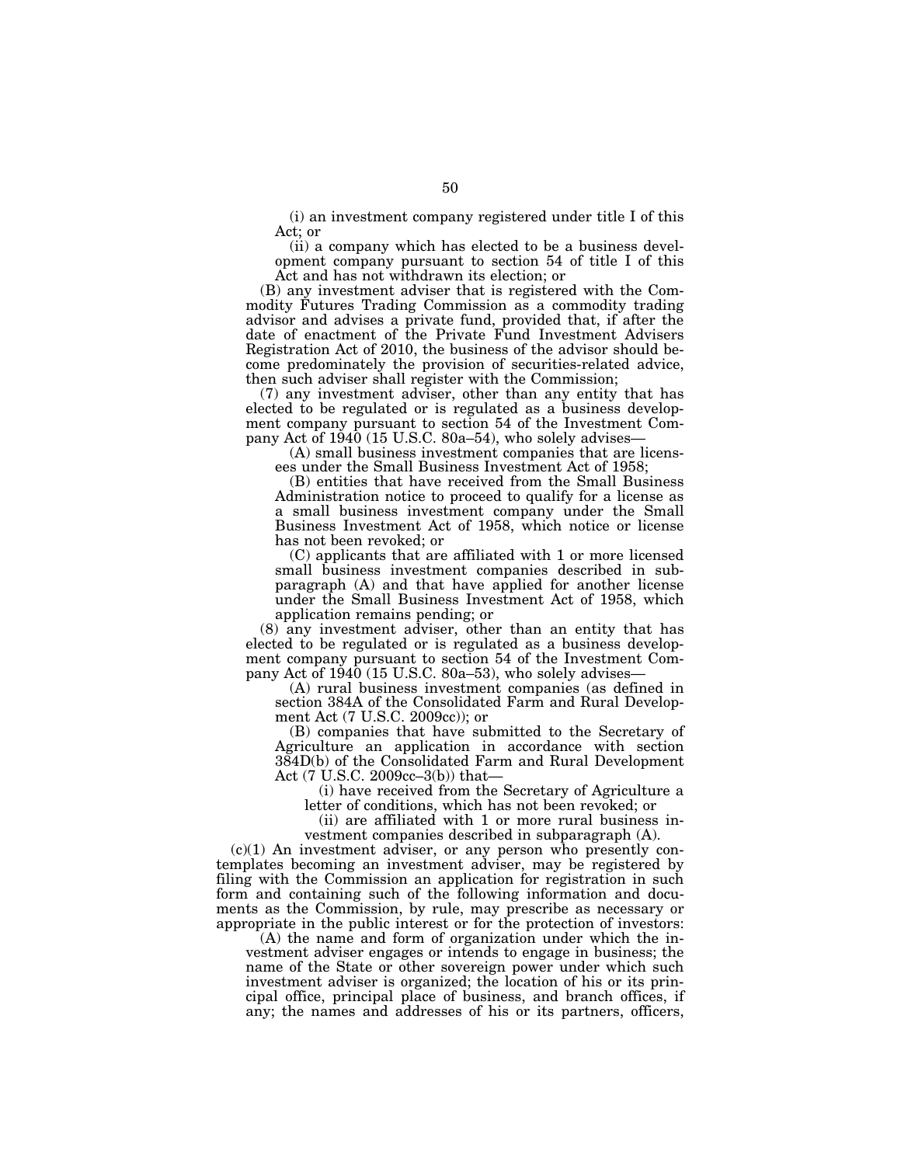(i) an investment company registered under title I of this Act; or

(ii) a company which has elected to be a business development company pursuant to section 54 of title I of this Act and has not withdrawn its election; or

(B) any investment adviser that is registered with the Commodity Futures Trading Commission as a commodity trading advisor and advises a private fund, provided that, if after the date of enactment of the Private Fund Investment Advisers Registration Act of 2010, the business of the advisor should become predominately the provision of securities-related advice, then such adviser shall register with the Commission;

(7) any investment adviser, other than any entity that has elected to be regulated or is regulated as a business development company pursuant to section 54 of the Investment Company Act of 1940 (15 U.S.C. 80a–54), who solely advises—

(A) small business investment companies that are licensees under the Small Business Investment Act of 1958;

(B) entities that have received from the Small Business Administration notice to proceed to qualify for a license as a small business investment company under the Small Business Investment Act of 1958, which notice or license has not been revoked; or

(C) applicants that are affiliated with 1 or more licensed small business investment companies described in subparagraph (A) and that have applied for another license under the Small Business Investment Act of 1958, which application remains pending; or

(8) any investment adviser, other than an entity that has elected to be regulated or is regulated as a business development company pursuant to section 54 of the Investment Company Act of  $1940$  (15 U.S.C. 80a–53), who solely advises–

(A) rural business investment companies (as defined in section 384A of the Consolidated Farm and Rural Development Act (7 U.S.C. 2009cc)); or

(B) companies that have submitted to the Secretary of Agriculture an application in accordance with section 384D(b) of the Consolidated Farm and Rural Development Act (7 U.S.C. 2009cc–3(b)) that—

(i) have received from the Secretary of Agriculture a letter of conditions, which has not been revoked; or

(ii) are affiliated with 1 or more rural business investment companies described in subparagraph (A).

 $(c)(1)$  An investment adviser, or any person who presently contemplates becoming an investment adviser, may be registered by filing with the Commission an application for registration in such form and containing such of the following information and documents as the Commission, by rule, may prescribe as necessary or appropriate in the public interest or for the protection of investors:

(A) the name and form of organization under which the investment adviser engages or intends to engage in business; the name of the State or other sovereign power under which such investment adviser is organized; the location of his or its principal office, principal place of business, and branch offices, if any; the names and addresses of his or its partners, officers,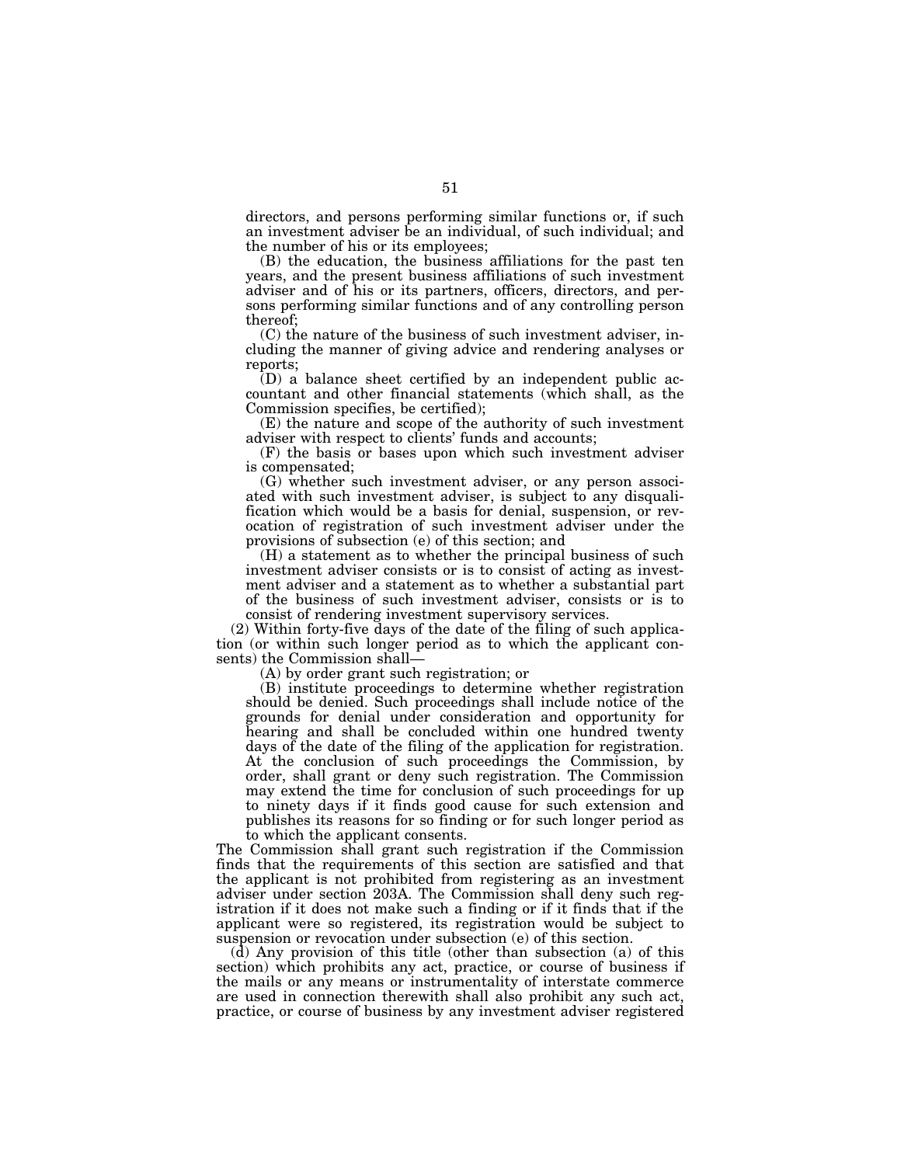directors, and persons performing similar functions or, if such an investment adviser be an individual, of such individual; and the number of his or its employees;

(B) the education, the business affiliations for the past ten years, and the present business affiliations of such investment adviser and of his or its partners, officers, directors, and persons performing similar functions and of any controlling person thereof;

(C) the nature of the business of such investment adviser, including the manner of giving advice and rendering analyses or reports;

(D) a balance sheet certified by an independent public accountant and other financial statements (which shall, as the Commission specifies, be certified);

(E) the nature and scope of the authority of such investment adviser with respect to clients' funds and accounts;

(F) the basis or bases upon which such investment adviser is compensated;

(G) whether such investment adviser, or any person associated with such investment adviser, is subject to any disqualification which would be a basis for denial, suspension, or revocation of registration of such investment adviser under the provisions of subsection (e) of this section; and

(H) a statement as to whether the principal business of such investment adviser consists or is to consist of acting as investment adviser and a statement as to whether a substantial part of the business of such investment adviser, consists or is to consist of rendering investment supervisory services.

(2) Within forty-five days of the date of the filing of such application (or within such longer period as to which the applicant consents) the Commission shall—

(A) by order grant such registration; or

(B) institute proceedings to determine whether registration should be denied. Such proceedings shall include notice of the grounds for denial under consideration and opportunity for hearing and shall be concluded within one hundred twenty days of the date of the filing of the application for registration. At the conclusion of such proceedings the Commission, by order, shall grant or deny such registration. The Commission may extend the time for conclusion of such proceedings for up to ninety days if it finds good cause for such extension and publishes its reasons for so finding or for such longer period as to which the applicant consents.

The Commission shall grant such registration if the Commission finds that the requirements of this section are satisfied and that the applicant is not prohibited from registering as an investment adviser under section 203A. The Commission shall deny such registration if it does not make such a finding or if it finds that if the applicant were so registered, its registration would be subject to suspension or revocation under subsection (e) of this section.

(d) Any provision of this title (other than subsection (a) of this section) which prohibits any act, practice, or course of business if the mails or any means or instrumentality of interstate commerce are used in connection therewith shall also prohibit any such act, practice, or course of business by any investment adviser registered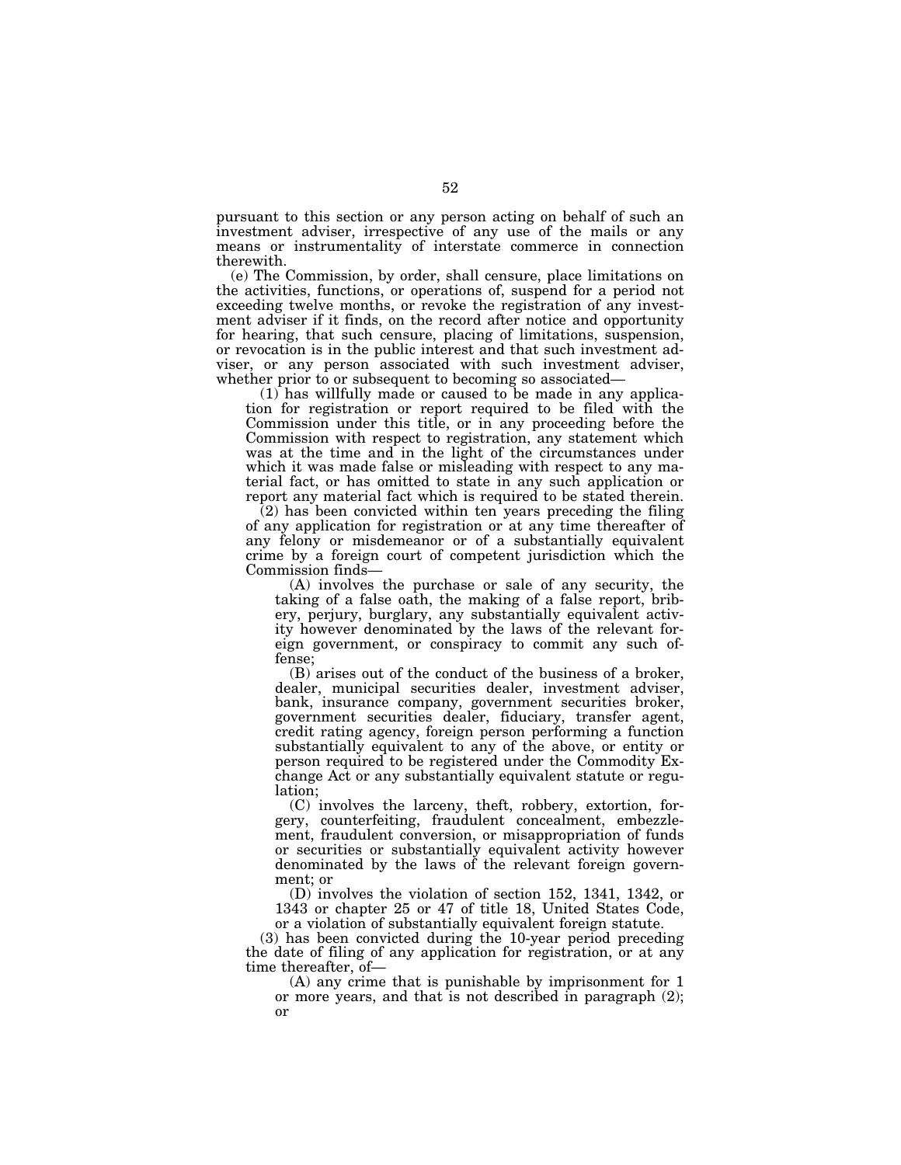pursuant to this section or any person acting on behalf of such an investment adviser, irrespective of any use of the mails or any means or instrumentality of interstate commerce in connection therewith.

(e) The Commission, by order, shall censure, place limitations on the activities, functions, or operations of, suspend for a period not exceeding twelve months, or revoke the registration of any investment adviser if it finds, on the record after notice and opportunity for hearing, that such censure, placing of limitations, suspension, or revocation is in the public interest and that such investment adviser, or any person associated with such investment adviser, whether prior to or subsequent to becoming so associated–

(1) has willfully made or caused to be made in any application for registration or report required to be filed with the Commission under this title, or in any proceeding before the Commission with respect to registration, any statement which was at the time and in the light of the circumstances under which it was made false or misleading with respect to any material fact, or has omitted to state in any such application or report any material fact which is required to be stated therein.

(2) has been convicted within ten years preceding the filing of any application for registration or at any time thereafter of any felony or misdemeanor or of a substantially equivalent crime by a foreign court of competent jurisdiction which the Commission finds—

(A) involves the purchase or sale of any security, the taking of a false oath, the making of a false report, bribery, perjury, burglary, any substantially equivalent activity however denominated by the laws of the relevant foreign government, or conspiracy to commit any such offense;

(B) arises out of the conduct of the business of a broker, dealer, municipal securities dealer, investment adviser, bank, insurance company, government securities broker, government securities dealer, fiduciary, transfer agent, credit rating agency, foreign person performing a function substantially equivalent to any of the above, or entity or person required to be registered under the Commodity Exchange Act or any substantially equivalent statute or regulation;

(C) involves the larceny, theft, robbery, extortion, forgery, counterfeiting, fraudulent concealment, embezzlement, fraudulent conversion, or misappropriation of funds or securities or substantially equivalent activity however denominated by the laws of the relevant foreign government; or

(D) involves the violation of section 152, 1341, 1342, or 1343 or chapter 25 or 47 of title 18, United States Code, or a violation of substantially equivalent foreign statute.

(3) has been convicted during the 10-year period preceding the date of filing of any application for registration, or at any time thereafter, of—

(A) any crime that is punishable by imprisonment for 1 or more years, and that is not described in paragraph (2); or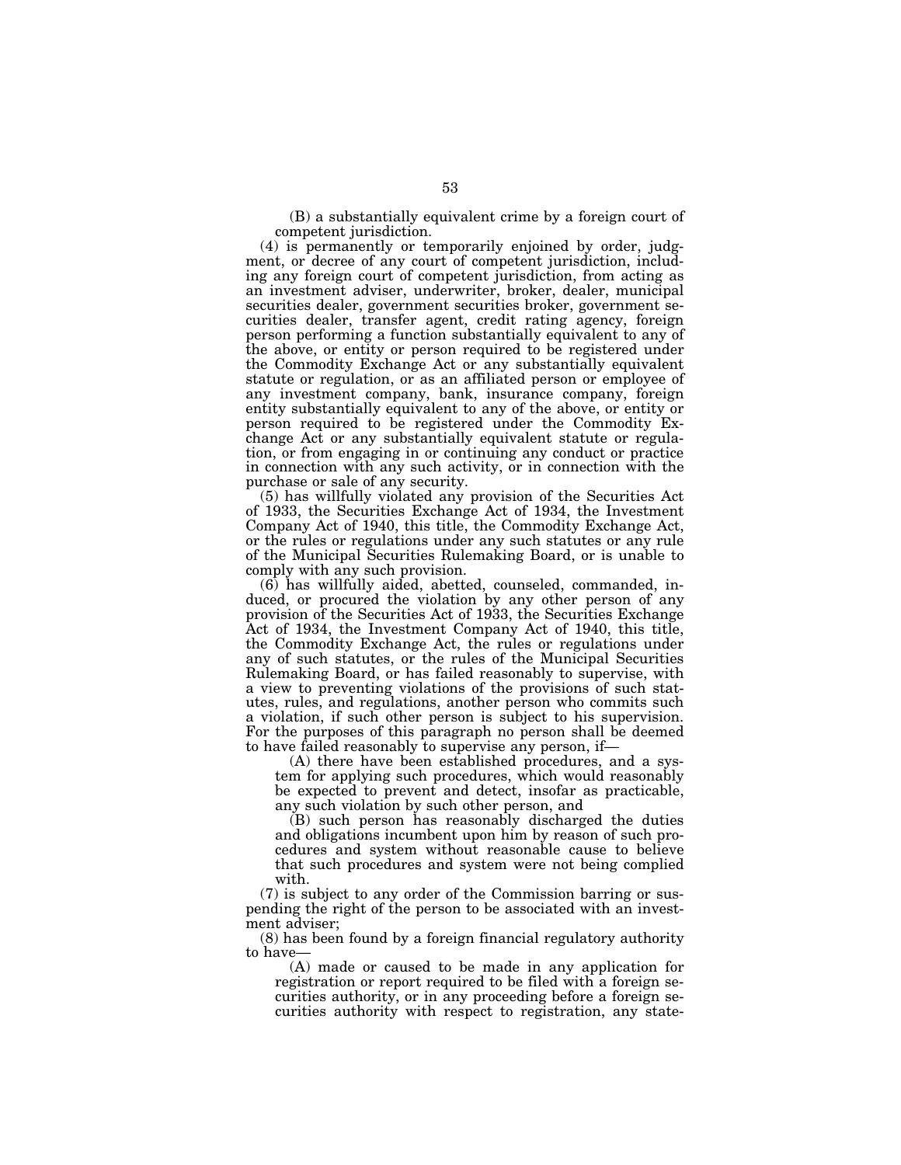(B) a substantially equivalent crime by a foreign court of competent jurisdiction.

(4) is permanently or temporarily enjoined by order, judgment, or decree of any court of competent jurisdiction, including any foreign court of competent jurisdiction, from acting as an investment adviser, underwriter, broker, dealer, municipal securities dealer, government securities broker, government securities dealer, transfer agent, credit rating agency, foreign person performing a function substantially equivalent to any of the above, or entity or person required to be registered under the Commodity Exchange Act or any substantially equivalent statute or regulation, or as an affiliated person or employee of any investment company, bank, insurance company, foreign entity substantially equivalent to any of the above, or entity or person required to be registered under the Commodity Exchange Act or any substantially equivalent statute or regulation, or from engaging in or continuing any conduct or practice in connection with any such activity, or in connection with the purchase or sale of any security.

(5) has willfully violated any provision of the Securities Act of 1933, the Securities Exchange Act of 1934, the Investment Company Act of 1940, this title, the Commodity Exchange Act, or the rules or regulations under any such statutes or any rule of the Municipal Securities Rulemaking Board, or is unable to comply with any such provision.

(6) has willfully aided, abetted, counseled, commanded, induced, or procured the violation by any other person of any provision of the Securities Act of 1933, the Securities Exchange Act of 1934, the Investment Company Act of 1940, this title, the Commodity Exchange Act, the rules or regulations under any of such statutes, or the rules of the Municipal Securities Rulemaking Board, or has failed reasonably to supervise, with a view to preventing violations of the provisions of such statutes, rules, and regulations, another person who commits such a violation, if such other person is subject to his supervision. For the purposes of this paragraph no person shall be deemed to have failed reasonably to supervise any person, if—

(A) there have been established procedures, and a system for applying such procedures, which would reasonably be expected to prevent and detect, insofar as practicable, any such violation by such other person, and

(B) such person has reasonably discharged the duties and obligations incumbent upon him by reason of such procedures and system without reasonable cause to believe that such procedures and system were not being complied with.

(7) is subject to any order of the Commission barring or suspending the right of the person to be associated with an investment adviser;

(8) has been found by a foreign financial regulatory authority to have-

(A) made or caused to be made in any application for registration or report required to be filed with a foreign securities authority, or in any proceeding before a foreign securities authority with respect to registration, any state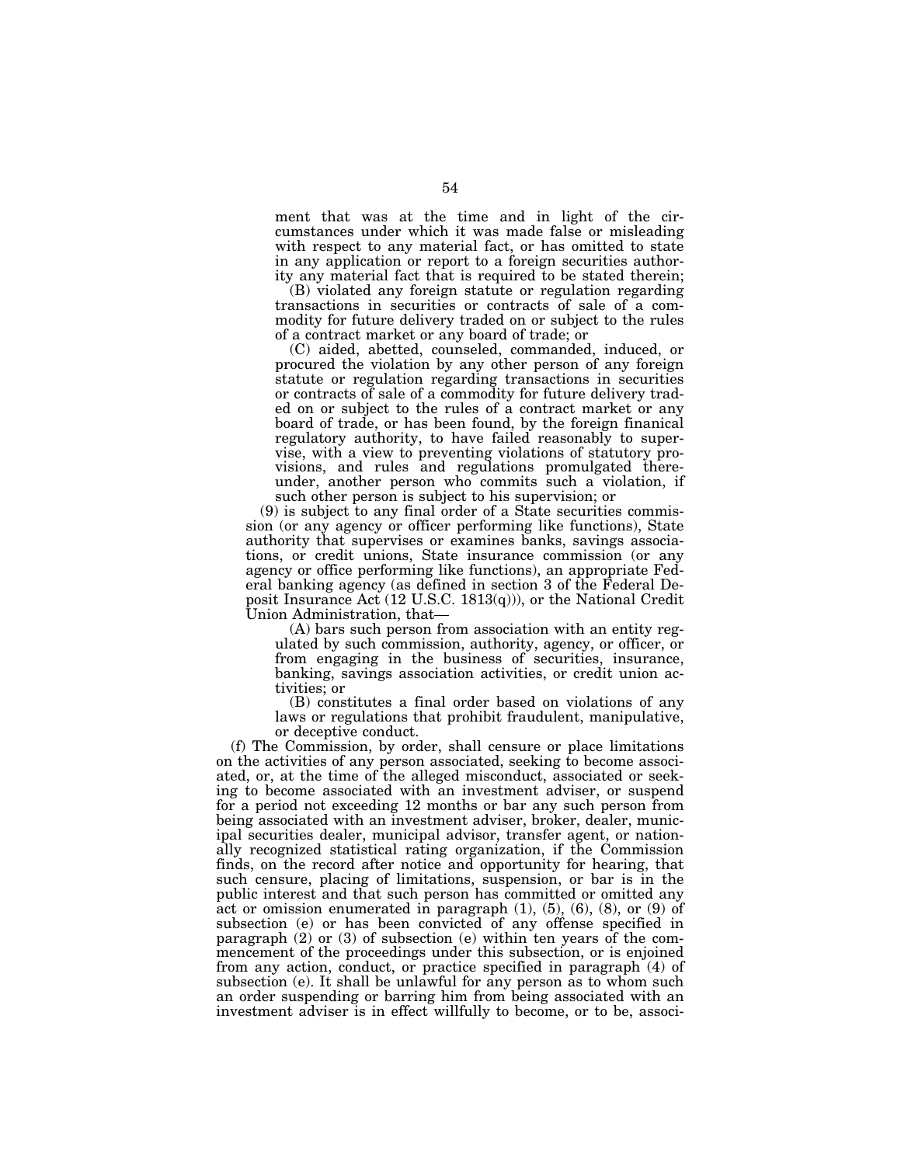ment that was at the time and in light of the circumstances under which it was made false or misleading with respect to any material fact, or has omitted to state in any application or report to a foreign securities authority any material fact that is required to be stated therein;

(B) violated any foreign statute or regulation regarding transactions in securities or contracts of sale of a commodity for future delivery traded on or subject to the rules of a contract market or any board of trade; or

(C) aided, abetted, counseled, commanded, induced, or procured the violation by any other person of any foreign statute or regulation regarding transactions in securities or contracts of sale of a commodity for future delivery traded on or subject to the rules of a contract market or any board of trade, or has been found, by the foreign finanical regulatory authority, to have failed reasonably to supervise, with a view to preventing violations of statutory provisions, and rules and regulations promulgated thereunder, another person who commits such a violation, if such other person is subject to his supervision; or

(9) is subject to any final order of a State securities commission (or any agency or officer performing like functions), State authority that supervises or examines banks, savings associations, or credit unions, State insurance commission (or any agency or office performing like functions), an appropriate Federal banking agency (as defined in section 3 of the Federal Deposit Insurance Act (12 U.S.C. 1813(q))), or the National Credit Union Administration, that—

(A) bars such person from association with an entity regulated by such commission, authority, agency, or officer, or from engaging in the business of securities, insurance, banking, savings association activities, or credit union activities; or

(B) constitutes a final order based on violations of any laws or regulations that prohibit fraudulent, manipulative, or deceptive conduct.

(f) The Commission, by order, shall censure or place limitations on the activities of any person associated, seeking to become associated, or, at the time of the alleged misconduct, associated or seeking to become associated with an investment adviser, or suspend for a period not exceeding 12 months or bar any such person from being associated with an investment adviser, broker, dealer, municipal securities dealer, municipal advisor, transfer agent, or nationally recognized statistical rating organization, if the Commission finds, on the record after notice and opportunity for hearing, that such censure, placing of limitations, suspension, or bar is in the public interest and that such person has committed or omitted any act or omission enumerated in paragraph (1), (5), (6), (8), or (9) of subsection (e) or has been convicted of any offense specified in paragraph (2) or (3) of subsection (e) within ten years of the commencement of the proceedings under this subsection, or is enjoined from any action, conduct, or practice specified in paragraph (4) of subsection (e). It shall be unlawful for any person as to whom such an order suspending or barring him from being associated with an investment adviser is in effect willfully to become, or to be, associ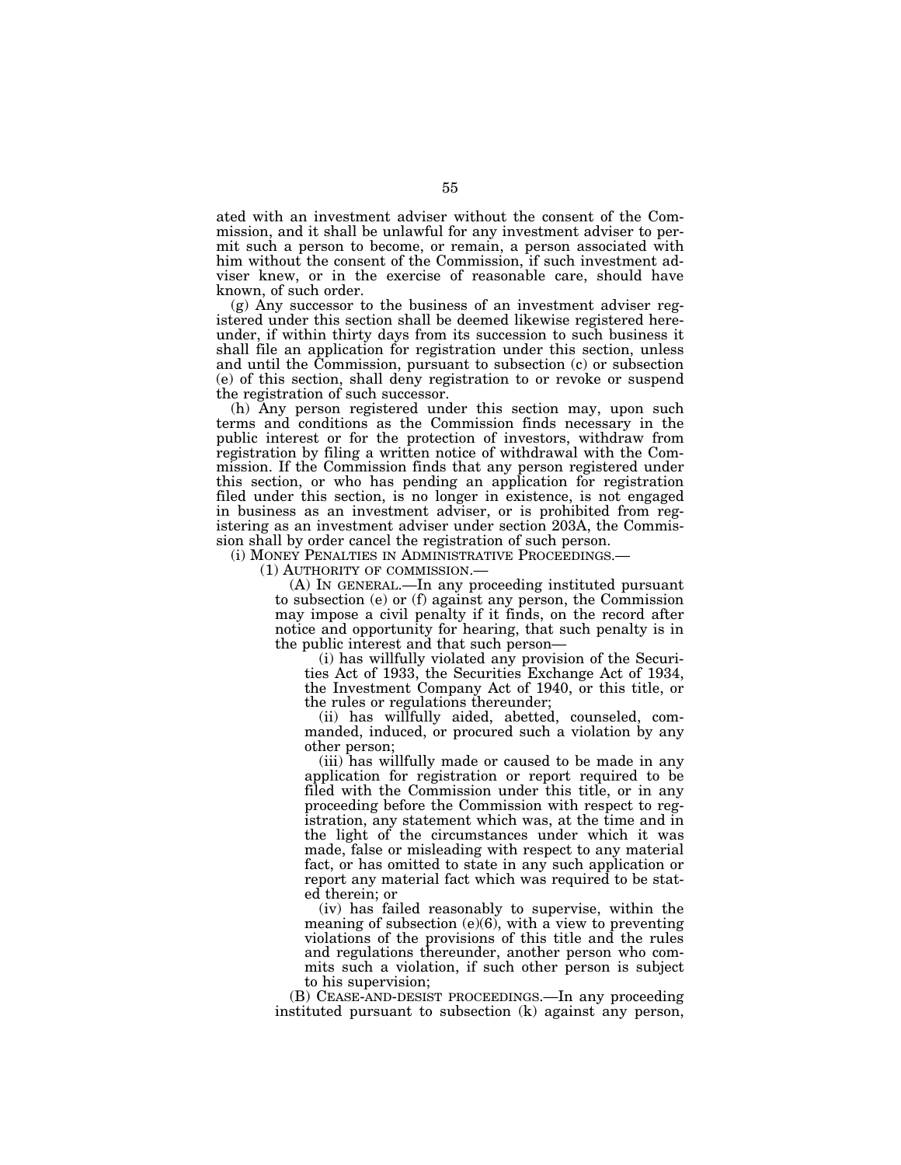ated with an investment adviser without the consent of the Commission, and it shall be unlawful for any investment adviser to permit such a person to become, or remain, a person associated with him without the consent of the Commission, if such investment adviser knew, or in the exercise of reasonable care, should have known, of such order.

(g) Any successor to the business of an investment adviser registered under this section shall be deemed likewise registered hereunder, if within thirty days from its succession to such business it shall file an application for registration under this section, unless and until the Commission, pursuant to subsection (c) or subsection (e) of this section, shall deny registration to or revoke or suspend the registration of such successor.

(h) Any person registered under this section may, upon such terms and conditions as the Commission finds necessary in the public interest or for the protection of investors, withdraw from registration by filing a written notice of withdrawal with the Commission. If the Commission finds that any person registered under this section, or who has pending an application for registration filed under this section, is no longer in existence, is not engaged in business as an investment adviser, or is prohibited from registering as an investment adviser under section 203A, the Commission shall by order cancel the registration of such person.

(i) MONEY PENALTIES IN ADMINISTRATIVE PROCEEDINGS.— (1) AUTHORITY OF COMMISSION.— (A) IN GENERAL.—In any proceeding instituted pursuant

to subsection (e) or (f) against any person, the Commission may impose a civil penalty if it finds, on the record after notice and opportunity for hearing, that such penalty is in the public interest and that such person—

(i) has willfully violated any provision of the Securities Act of 1933, the Securities Exchange Act of 1934, the Investment Company Act of 1940, or this title, or the rules or regulations thereunder;

(ii) has willfully aided, abetted, counseled, commanded, induced, or procured such a violation by any other person;

(iii) has willfully made or caused to be made in any application for registration or report required to be filed with the Commission under this title, or in any proceeding before the Commission with respect to registration, any statement which was, at the time and in the light of the circumstances under which it was made, false or misleading with respect to any material fact, or has omitted to state in any such application or report any material fact which was required to be stated therein; or

(iv) has failed reasonably to supervise, within the meaning of subsection  $(e)(6)$ , with a view to preventing violations of the provisions of this title and the rules and regulations thereunder, another person who commits such a violation, if such other person is subject to his supervision;

(B) CEASE-AND-DESIST PROCEEDINGS.—In any proceeding instituted pursuant to subsection (k) against any person,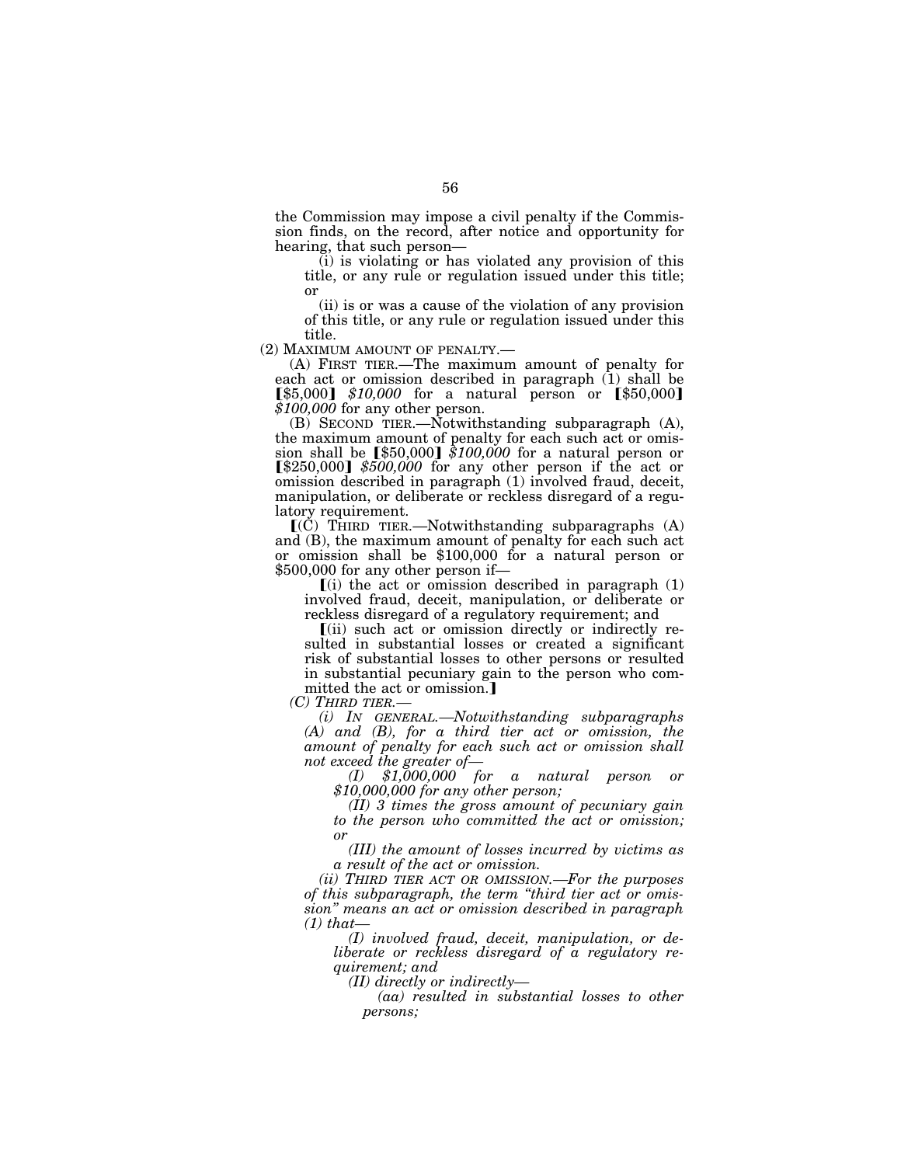the Commission may impose a civil penalty if the Commission finds, on the record, after notice and opportunity for hearing, that such person—

 $(i)$  is violating or has violated any provision of this title, or any rule or regulation issued under this title; or

(ii) is or was a cause of the violation of any provision of this title, or any rule or regulation issued under this

title.<br>(2) MAXIMUM AMOUNT OF PENALTY.—

(A) FIRST TIER.—The maximum amount of penalty for each act or omission described in paragraph (1) shall be <br>[\$5,000] \$10,000 for a natural person or [\$50,000] *\$100,000* for any other person.

(B) SECOND TIER.—Notwithstanding subparagraph (A), the maximum amount of penalty for each such act or omission shall be  $\llbracket $50,000 \rrbracket$   $$100,000$  for a natural person or  $\left[ $250,000 \right]$  \$500,000 for any other person if the act or omission described in paragraph (1) involved fraud, deceit, manipulation, or deliberate or reckless disregard of a regulatory requirement.

 $\overline{C}(\check{C})$  THIRD TIER.—Notwithstanding subparagraphs  $(A)$ and (B), the maximum amount of penalty for each such act or omission shall be \$100,000 for a natural person or \$500,000 for any other person if—

 $(i)$  the act or omission described in paragraph  $(1)$ involved fraud, deceit, manipulation, or deliberate or reckless disregard of a regulatory requirement; and

ø(ii) such act or omission directly or indirectly resulted in substantial losses or created a significant risk of substantial losses to other persons or resulted in substantial pecuniary gain to the person who committed the act or omission.

*(C) THIRD TIER.—* 

*(i) IN GENERAL.—Notwithstanding subparagraphs (A) and (B), for a third tier act or omission, the amount of penalty for each such act or omission shall* 

*not exceed the greater of— (I) \$1,000,000 for a natural person or \$10,000,000 for any other person;* 

*(II) 3 times the gross amount of pecuniary gain to the person who committed the act or omission; or* 

*(III) the amount of losses incurred by victims as a result of the act or omission.* 

*(ii) THIRD TIER ACT OR OMISSION.—For the purposes of this subparagraph, the term ''third tier act or omission'' means an act or omission described in paragraph (1) that—* 

*(I) involved fraud, deceit, manipulation, or deliberate or reckless disregard of a regulatory requirement; and* 

*(II) directly or indirectly—* 

*(aa) resulted in substantial losses to other persons;*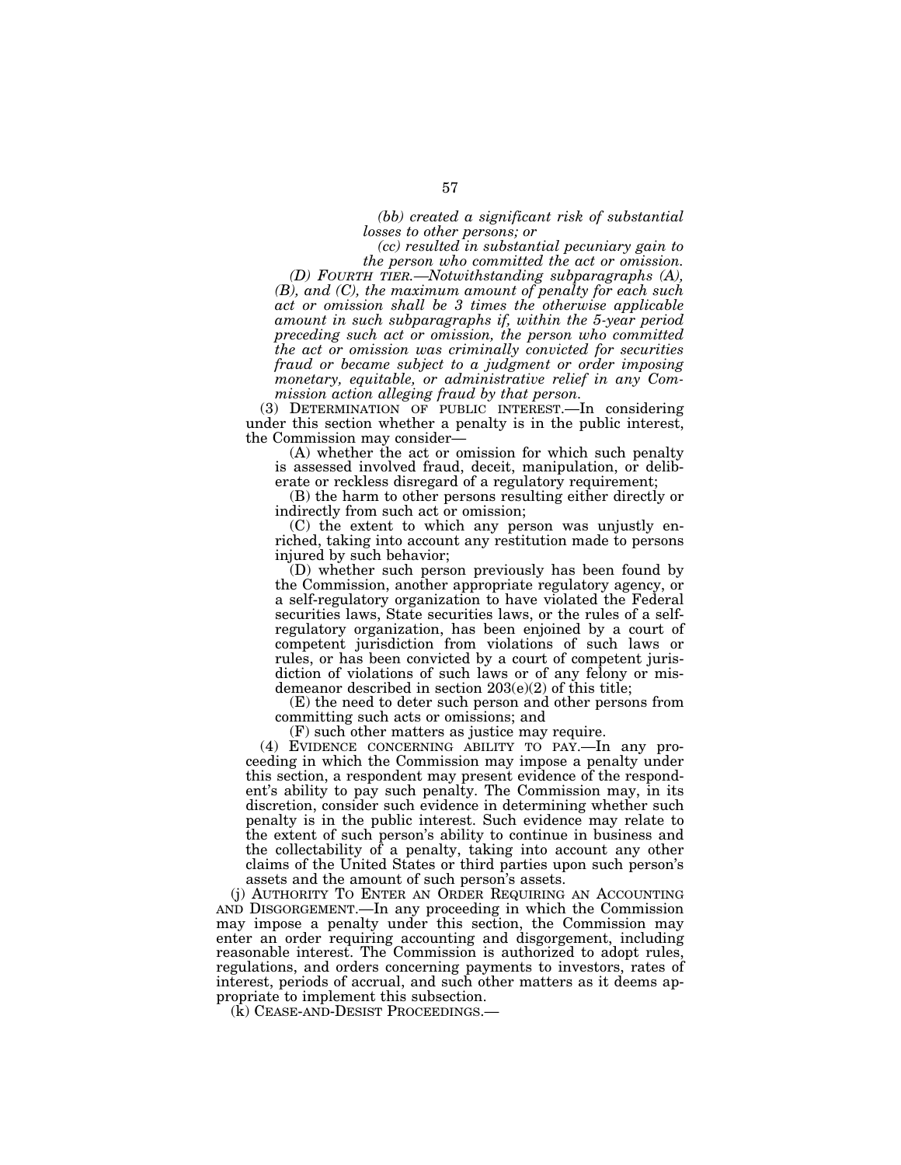*(bb) created a significant risk of substantial losses to other persons; or* 

*(cc) resulted in substantial pecuniary gain to the person who committed the act or omission.* 

*(D) FOURTH TIER.—Notwithstanding subparagraphs (A), (B), and (C), the maximum amount of penalty for each such act or omission shall be 3 times the otherwise applicable amount in such subparagraphs if, within the 5-year period preceding such act or omission, the person who committed the act or omission was criminally convicted for securities fraud or became subject to a judgment or order imposing monetary, equitable, or administrative relief in any Commission action alleging fraud by that person.* 

(3) DETERMINATION OF PUBLIC INTEREST.—In considering under this section whether a penalty is in the public interest, the Commission may consider—

(A) whether the act or omission for which such penalty is assessed involved fraud, deceit, manipulation, or deliberate or reckless disregard of a regulatory requirement;

(B) the harm to other persons resulting either directly or indirectly from such act or omission;

(C) the extent to which any person was unjustly enriched, taking into account any restitution made to persons injured by such behavior;

(D) whether such person previously has been found by the Commission, another appropriate regulatory agency, or a self-regulatory organization to have violated the Federal securities laws, State securities laws, or the rules of a selfregulatory organization, has been enjoined by a court of competent jurisdiction from violations of such laws or rules, or has been convicted by a court of competent jurisdiction of violations of such laws or of any felony or misdemeanor described in section 203(e)(2) of this title;

(E) the need to deter such person and other persons from committing such acts or omissions; and

(F) such other matters as justice may require.

(4) EVIDENCE CONCERNING ABILITY TO PAY.—In any proceeding in which the Commission may impose a penalty under this section, a respondent may present evidence of the respondent's ability to pay such penalty. The Commission may, in its discretion, consider such evidence in determining whether such penalty is in the public interest. Such evidence may relate to the extent of such person's ability to continue in business and the collectability of a penalty, taking into account any other claims of the United States or third parties upon such person's assets and the amount of such person's assets.

(j) AUTHORITY TO ENTER AN ORDER REQUIRING AN ACCOUNTING AND DISGORGEMENT.—In any proceeding in which the Commission may impose a penalty under this section, the Commission may enter an order requiring accounting and disgorgement, including reasonable interest. The Commission is authorized to adopt rules, regulations, and orders concerning payments to investors, rates of interest, periods of accrual, and such other matters as it deems appropriate to implement this subsection.

(k) CEASE-AND-DESIST PROCEEDINGS.—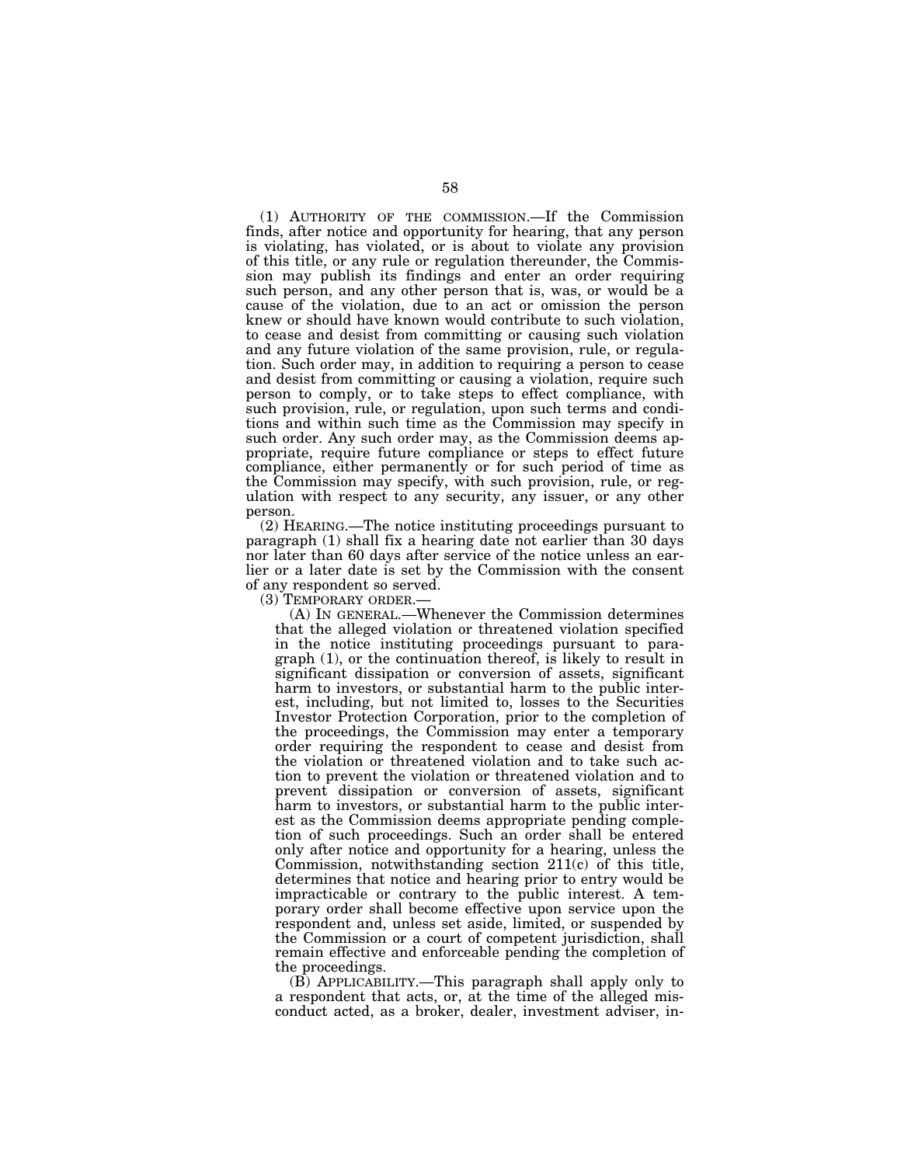(1) AUTHORITY OF THE COMMISSION.—If the Commission finds, after notice and opportunity for hearing, that any person is violating, has violated, or is about to violate any provision of this title, or any rule or regulation thereunder, the Commission may publish its findings and enter an order requiring such person, and any other person that is, was, or would be a cause of the violation, due to an act or omission the person knew or should have known would contribute to such violation, to cease and desist from committing or causing such violation and any future violation of the same provision, rule, or regulation. Such order may, in addition to requiring a person to cease and desist from committing or causing a violation, require such person to comply, or to take steps to effect compliance, with such provision, rule, or regulation, upon such terms and conditions and within such time as the Commission may specify in such order. Any such order may, as the Commission deems appropriate, require future compliance or steps to effect future compliance, either permanently or for such period of time as the Commission may specify, with such provision, rule, or regulation with respect to any security, any issuer, or any other person.

(2) HEARING.—The notice instituting proceedings pursuant to paragraph (1) shall fix a hearing date not earlier than 30 days nor later than 60 days after service of the notice unless an earlier or a later date is set by the Commission with the consent of any respondent so served.<br>(3) TEMPORARY ORDER.—

(A) IN GENERAL.—Whenever the Commission determines that the alleged violation or threatened violation specified in the notice instituting proceedings pursuant to paragraph (1), or the continuation thereof, is likely to result in significant dissipation or conversion of assets, significant harm to investors, or substantial harm to the public interest, including, but not limited to, losses to the Securities Investor Protection Corporation, prior to the completion of the proceedings, the Commission may enter a temporary order requiring the respondent to cease and desist from the violation or threatened violation and to take such action to prevent the violation or threatened violation and to prevent dissipation or conversion of assets, significant harm to investors, or substantial harm to the public interest as the Commission deems appropriate pending completion of such proceedings. Such an order shall be entered only after notice and opportunity for a hearing, unless the Commission, notwithstanding section 211(c) of this title, determines that notice and hearing prior to entry would be impracticable or contrary to the public interest. A temporary order shall become effective upon service upon the respondent and, unless set aside, limited, or suspended by the Commission or a court of competent jurisdiction, shall remain effective and enforceable pending the completion of the proceedings.

(B) APPLICABILITY.—This paragraph shall apply only to a respondent that acts, or, at the time of the alleged misconduct acted, as a broker, dealer, investment adviser, in-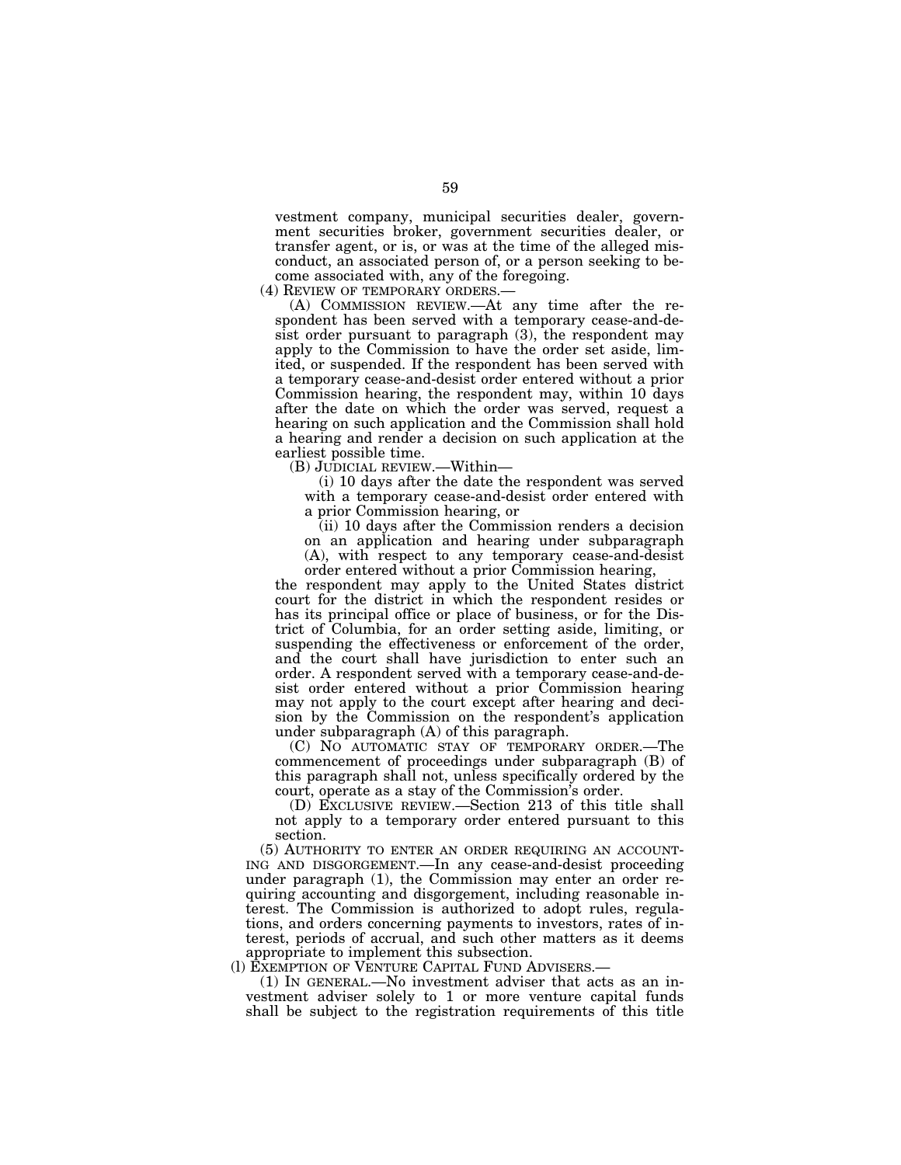vestment company, municipal securities dealer, government securities broker, government securities dealer, or transfer agent, or is, or was at the time of the alleged misconduct, an associated person of, or a person seeking to become associated with, any of the foregoing.<br>(4) REVIEW OF TEMPORARY ORDERS.—

 $(A)$  COMMISSION REVIEW.—At any time after the respondent has been served with a temporary cease-and-desist order pursuant to paragraph (3), the respondent may apply to the Commission to have the order set aside, limited, or suspended. If the respondent has been served with a temporary cease-and-desist order entered without a prior Commission hearing, the respondent may, within 10 days after the date on which the order was served, request a hearing on such application and the Commission shall hold a hearing and render a decision on such application at the earliest possible time.

(B) JUDICIAL REVIEW.—Within—

(i) 10 days after the date the respondent was served with a temporary cease-and-desist order entered with a prior Commission hearing, or

(ii) 10 days after the Commission renders a decision on an application and hearing under subparagraph (A), with respect to any temporary cease-and-desist order entered without a prior Commission hearing,

the respondent may apply to the United States district court for the district in which the respondent resides or has its principal office or place of business, or for the District of Columbia, for an order setting aside, limiting, or suspending the effectiveness or enforcement of the order, and the court shall have jurisdiction to enter such an order. A respondent served with a temporary cease-and-desist order entered without a prior Commission hearing may not apply to the court except after hearing and decision by the Commission on the respondent's application under subparagraph (A) of this paragraph.

(C) NO AUTOMATIC STAY OF TEMPORARY ORDER.—The commencement of proceedings under subparagraph (B) of this paragraph shall not, unless specifically ordered by the court, operate as a stay of the Commission's order.

(D) EXCLUSIVE REVIEW.—Section 213 of this title shall not apply to a temporary order entered pursuant to this section.

(5) AUTHORITY TO ENTER AN ORDER REQUIRING AN ACCOUNT-ING AND DISGORGEMENT.—In any cease-and-desist proceeding under paragraph (1), the Commission may enter an order requiring accounting and disgorgement, including reasonable interest. The Commission is authorized to adopt rules, regulations, and orders concerning payments to investors, rates of interest, periods of accrual, and such other matters as it deems appropriate to implement this subsection.

(l)  $\hat{Ex}$ EMPTION OF VENTURE CAPITAL FUND ADVISERS.—<br>(1) IN GENERAL.—No investment adviser that acts as an investment adviser solely to 1 or more venture capital funds shall be subject to the registration requirements of this title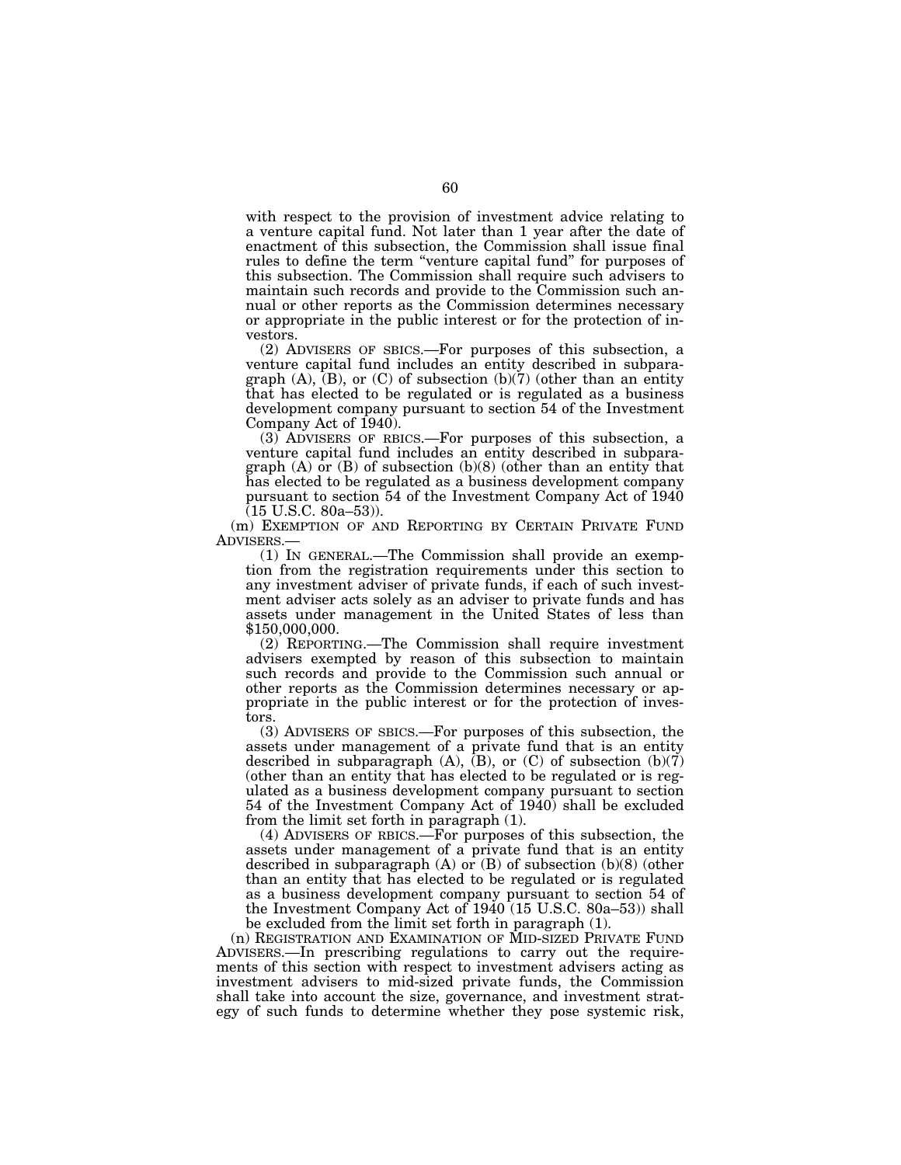with respect to the provision of investment advice relating to a venture capital fund. Not later than 1 year after the date of enactment of this subsection, the Commission shall issue final rules to define the term ''venture capital fund'' for purposes of this subsection. The Commission shall require such advisers to maintain such records and provide to the Commission such annual or other reports as the Commission determines necessary or appropriate in the public interest or for the protection of investors.

(2) ADVISERS OF SBICS.—For purposes of this subsection, a venture capital fund includes an entity described in subparagraph  $(A)$ ,  $(B)$ , or  $(C)$  of subsection  $(b)(7)$  (other than an entity that has elected to be regulated or is regulated as a business development company pursuant to section 54 of the Investment Company Act of 1940).

(3) ADVISERS OF RBICS.—For purposes of this subsection, a venture capital fund includes an entity described in subparagraph (A) or (B) of subsection (b)(8) (other than an entity that has elected to be regulated as a business development company pursuant to section 54 of the Investment Company Act of 1940  $(15 \text{ U.S.C. } 80a - 53)$ ).

(m) EXEMPTION OF AND REPORTING BY CERTAIN PRIVATE FUND ADVISERS.—

 $(1)$  In GENERAL.—The Commission shall provide an exemption from the registration requirements under this section to any investment adviser of private funds, if each of such investment adviser acts solely as an adviser to private funds and has assets under management in the United States of less than \$150,000,000.

(2) REPORTING.—The Commission shall require investment advisers exempted by reason of this subsection to maintain such records and provide to the Commission such annual or other reports as the Commission determines necessary or appropriate in the public interest or for the protection of investors.

(3) ADVISERS OF SBICS.—For purposes of this subsection, the assets under management of a private fund that is an entity described in subparagraph (A),  $(B)$ , or  $(C)$  of subsection  $(b)(7)$ (other than an entity that has elected to be regulated or is regulated as a business development company pursuant to section 54 of the Investment Company Act of 1940) shall be excluded from the limit set forth in paragraph (1).

(4) ADVISERS OF RBICS.—For purposes of this subsection, the assets under management of a private fund that is an entity described in subparagraph (A) or (B) of subsection (b)(8) (other than an entity that has elected to be regulated or is regulated as a business development company pursuant to section 54 of the Investment Company Act of 1940 (15 U.S.C. 80a–53)) shall be excluded from the limit set forth in paragraph (1).

(n) REGISTRATION AND EXAMINATION OF MID-SIZED PRIVATE FUND ADVISERS.—In prescribing regulations to carry out the requirements of this section with respect to investment advisers acting as investment advisers to mid-sized private funds, the Commission shall take into account the size, governance, and investment strategy of such funds to determine whether they pose systemic risk,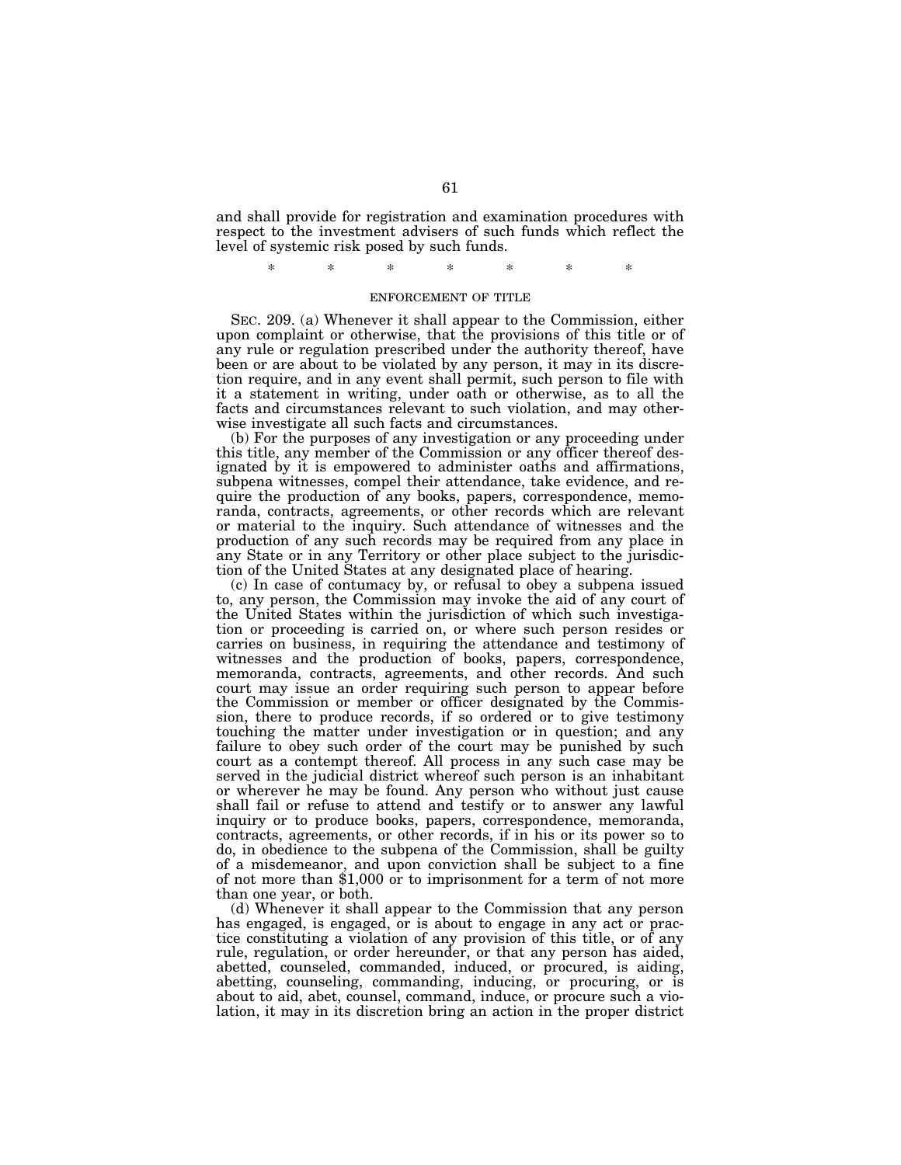and shall provide for registration and examination procedures with respect to the investment advisers of such funds which reflect the level of systemic risk posed by such funds.

\* \* \* \* \* \* \*

#### ENFORCEMENT OF TITLE

SEC. 209. (a) Whenever it shall appear to the Commission, either upon complaint or otherwise, that the provisions of this title or of any rule or regulation prescribed under the authority thereof, have been or are about to be violated by any person, it may in its discretion require, and in any event shall permit, such person to file with it a statement in writing, under oath or otherwise, as to all the facts and circumstances relevant to such violation, and may otherwise investigate all such facts and circumstances.

(b) For the purposes of any investigation or any proceeding under this title, any member of the Commission or any officer thereof designated by it is empowered to administer oaths and affirmations, subpena witnesses, compel their attendance, take evidence, and require the production of any books, papers, correspondence, memoranda, contracts, agreements, or other records which are relevant or material to the inquiry. Such attendance of witnesses and the production of any such records may be required from any place in any State or in any Territory or other place subject to the jurisdiction of the United States at any designated place of hearing.

(c) In case of contumacy by, or refusal to obey a subpena issued to, any person, the Commission may invoke the aid of any court of the United States within the jurisdiction of which such investigation or proceeding is carried on, or where such person resides or carries on business, in requiring the attendance and testimony of witnesses and the production of books, papers, correspondence, memoranda, contracts, agreements, and other records. And such court may issue an order requiring such person to appear before the Commission or member or officer designated by the Commission, there to produce records, if so ordered or to give testimony touching the matter under investigation or in question; and any failure to obey such order of the court may be punished by such court as a contempt thereof. All process in any such case may be served in the judicial district whereof such person is an inhabitant or wherever he may be found. Any person who without just cause shall fail or refuse to attend and testify or to answer any lawful inquiry or to produce books, papers, correspondence, memoranda, contracts, agreements, or other records, if in his or its power so to do, in obedience to the subpena of the Commission, shall be guilty of a misdemeanor, and upon conviction shall be subject to a fine of not more than \$1,000 or to imprisonment for a term of not more than one year, or both.

(d) Whenever it shall appear to the Commission that any person has engaged, is engaged, or is about to engage in any act or practice constituting a violation of any provision of this title, or of any rule, regulation, or order hereunder, or that any person has aided, abetted, counseled, commanded, induced, or procured, is aiding, abetting, counseling, commanding, inducing, or procuring, or is about to aid, abet, counsel, command, induce, or procure such a violation, it may in its discretion bring an action in the proper district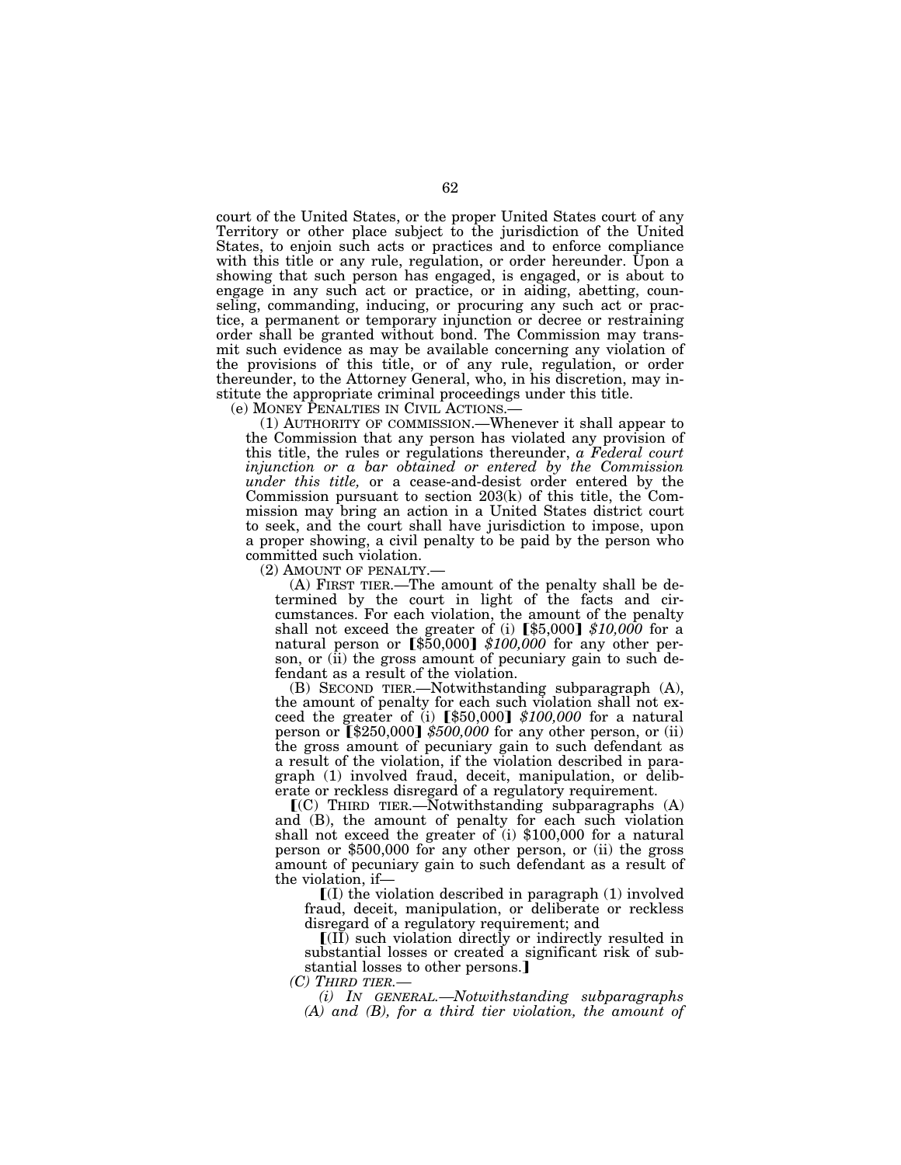court of the United States, or the proper United States court of any Territory or other place subject to the jurisdiction of the United States, to enjoin such acts or practices and to enforce compliance with this title or any rule, regulation, or order hereunder. Upon a showing that such person has engaged, is engaged, or is about to engage in any such act or practice, or in aiding, abetting, counseling, commanding, inducing, or procuring any such act or practice, a permanent or temporary injunction or decree or restraining order shall be granted without bond. The Commission may transmit such evidence as may be available concerning any violation of the provisions of this title, or of any rule, regulation, or order thereunder, to the Attorney General, who, in his discretion, may institute the appropriate criminal proceedings under this title.

(e) MONEY PENALTIES IN CIVIL ACTIONS.—

(1) AUTHORITY OF COMMISSION.—Whenever it shall appear to the Commission that any person has violated any provision of this title, the rules or regulations thereunder, *a Federal court injunction or a bar obtained or entered by the Commission under this title,* or a cease-and-desist order entered by the Commission pursuant to section 203(k) of this title, the Commission may bring an action in a United States district court to seek, and the court shall have jurisdiction to impose, upon a proper showing, a civil penalty to be paid by the person who committed such violation.

(2) AMOUNT OF PENALTY.— (A) FIRST TIER.—The amount of the penalty shall be determined by the court in light of the facts and circumstances. For each violation, the amount of the penalty shall not exceed the greater of (i)  $\left[\$5,000\right]$  \$10,000 for a natural person or [\$50,000] \$100,000 for any other person, or (ii) the gross amount of pecuniary gain to such defendant as a result of the violation.

(B) SECOND TIER.—Notwithstanding subparagraph (A), the amount of penalty for each such violation shall not exceed the greater of (i)  $$50,000]$   $$100,000$  for a natural person or  $\left[ $250,000 \right] $500,000$  for any other person, or (ii) the gross amount of pecuniary gain to such defendant as a result of the violation, if the violation described in paragraph (1) involved fraud, deceit, manipulation, or deliberate or reckless disregard of a regulatory requirement.

 $(C)$  THIRD TIER.—Notwithstanding subparagraphs  $(A)$ and (B), the amount of penalty for each such violation shall not exceed the greater of (i) \$100,000 for a natural person or \$500,000 for any other person, or (ii) the gross amount of pecuniary gain to such defendant as a result of the violation, if—

 $I(I)$  the violation described in paragraph  $(I)$  involved fraud, deceit, manipulation, or deliberate or reckless disregard of a regulatory requirement; and

ø(II) such violation directly or indirectly resulted in substantial losses or created a significant risk of substantial losses to other persons.]

*(C) THIRD TIER.—* 

*(i) IN GENERAL.—Notwithstanding subparagraphs (A) and (B), for a third tier violation, the amount of*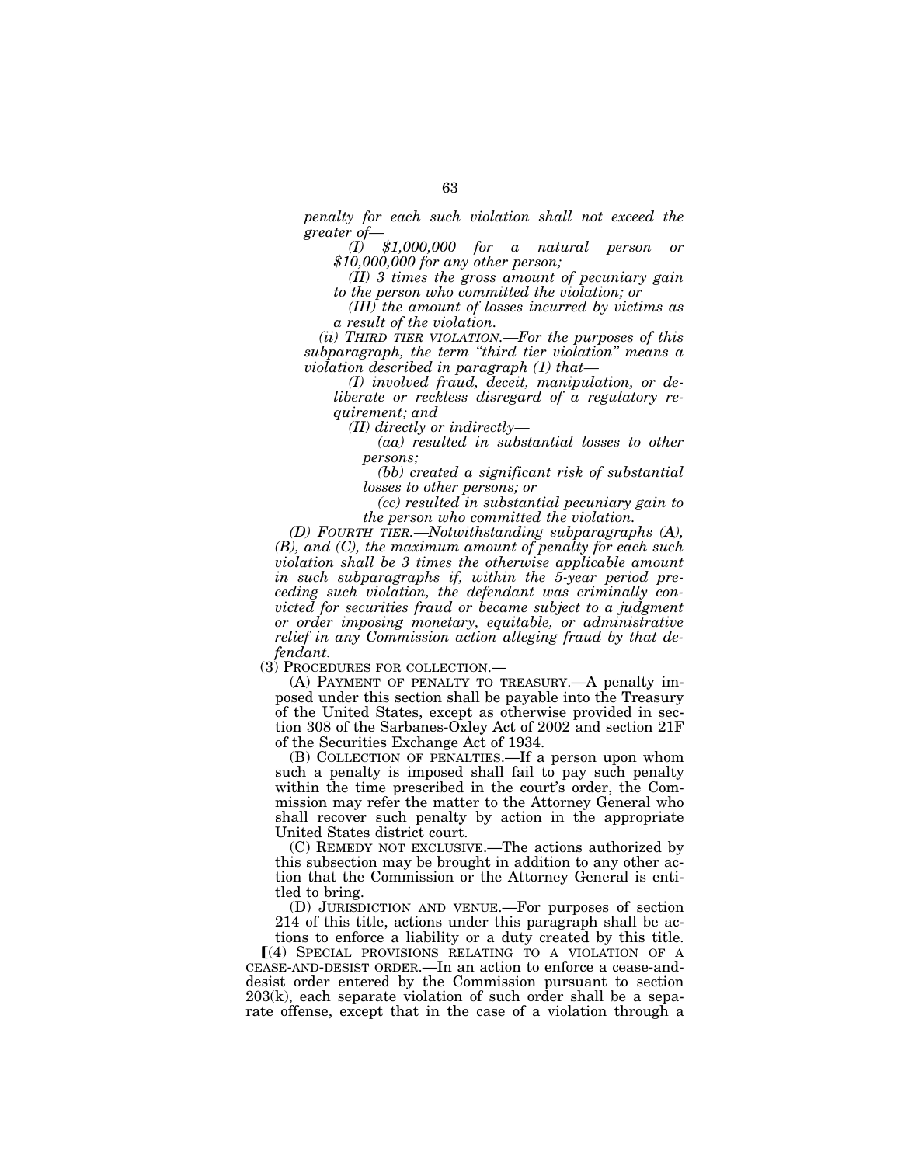*penalty for each such violation shall not exceed the greater of—* 

*(I) \$1,000,000 for a natural person or \$10,000,000 for any other person;* 

*(II) 3 times the gross amount of pecuniary gain to the person who committed the violation; or* 

*(III) the amount of losses incurred by victims as a result of the violation.* 

*(ii) THIRD TIER VIOLATION.—For the purposes of this subparagraph, the term ''third tier violation'' means a violation described in paragraph (1) that—* 

*(I) involved fraud, deceit, manipulation, or deliberate or reckless disregard of a regulatory requirement; and* 

*(II) directly or indirectly—* 

*(aa) resulted in substantial losses to other persons;* 

*(bb) created a significant risk of substantial losses to other persons; or* 

*(cc) resulted in substantial pecuniary gain to the person who committed the violation.* 

*(D) FOURTH TIER.—Notwithstanding subparagraphs (A), (B), and (C), the maximum amount of penalty for each such violation shall be 3 times the otherwise applicable amount in such subparagraphs if, within the 5-year period preceding such violation, the defendant was criminally convicted for securities fraud or became subject to a judgment or order imposing monetary, equitable, or administrative relief in any Commission action alleging fraud by that defendant.* 

(3) PROCEDURES FOR COLLECTION.—

(A) PAYMENT OF PENALTY TO TREASURY.—A penalty imposed under this section shall be payable into the Treasury of the United States, except as otherwise provided in section 308 of the Sarbanes-Oxley Act of 2002 and section 21F of the Securities Exchange Act of 1934.

(B) COLLECTION OF PENALTIES.—If a person upon whom such a penalty is imposed shall fail to pay such penalty within the time prescribed in the court's order, the Commission may refer the matter to the Attorney General who shall recover such penalty by action in the appropriate United States district court.

(C) REMEDY NOT EXCLUSIVE.—The actions authorized by this subsection may be brought in addition to any other action that the Commission or the Attorney General is entitled to bring.

(D) JURISDICTION AND VENUE.—For purposes of section 214 of this title, actions under this paragraph shall be actions to enforce a liability or a duty created by this title.

 $(4)$  SPECIAL PROVISIONS RELATING TO A VIOLATION OF A CEASE-AND-DESIST ORDER.—In an action to enforce a cease-anddesist order entered by the Commission pursuant to section  $203(k)$ , each separate violation of such order shall be a separate offense, except that in the case of a violation through a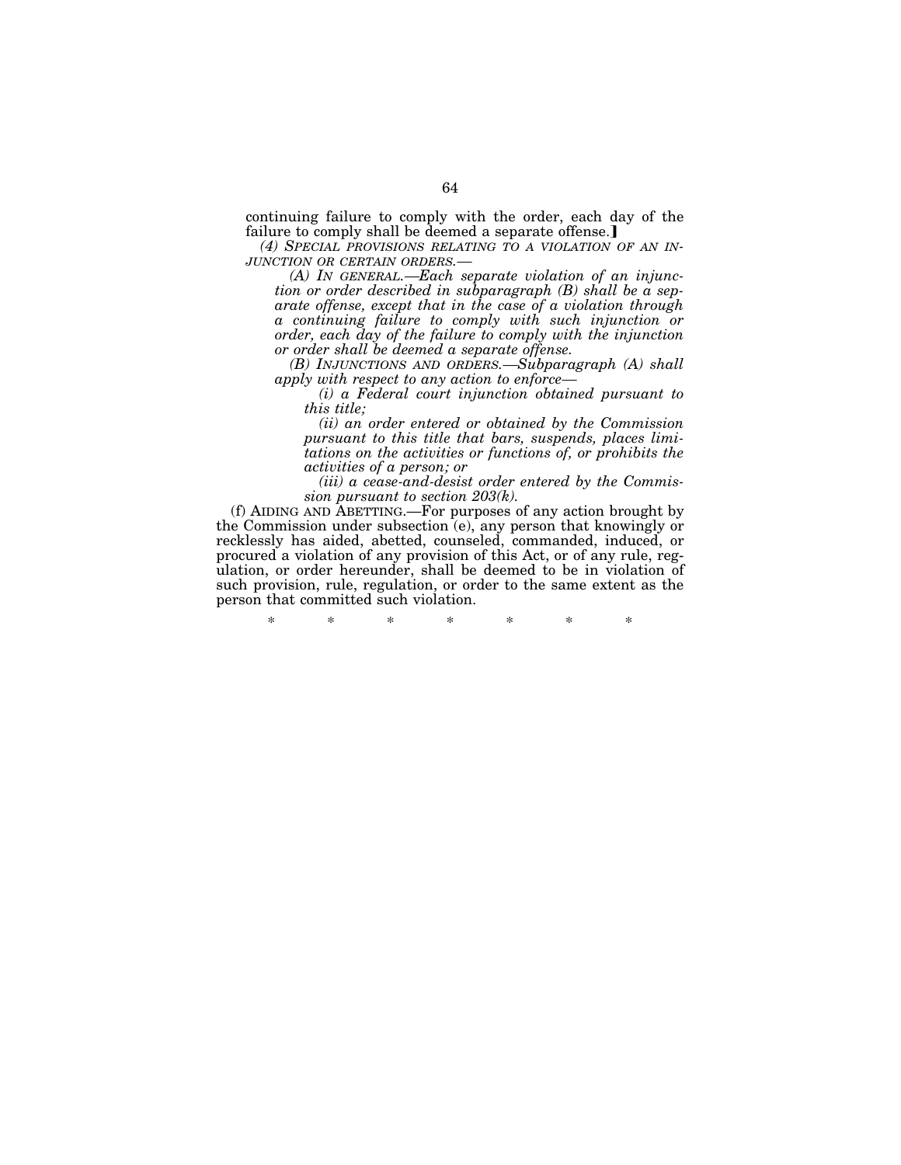continuing failure to comply with the order, each day of the failure to comply shall be deemed a separate offense.

*(4) SPECIAL PROVISIONS RELATING TO A VIOLATION OF AN IN- JUNCTION OR CERTAIN ORDERS.— (A) IN GENERAL.—Each separate violation of an injunc-*

*tion or order described in subparagraph (B) shall be a separate offense, except that in the case of a violation through a continuing failure to comply with such injunction or order, each day of the failure to comply with the injunction or order shall be deemed a separate offense.* 

*(B) INJUNCTIONS AND ORDERS.—Subparagraph (A) shall apply with respect to any action to enforce—* 

*(i) a Federal court injunction obtained pursuant to this title;* 

*(ii) an order entered or obtained by the Commission pursuant to this title that bars, suspends, places limitations on the activities or functions of, or prohibits the activities of a person; or* 

*(iii) a cease-and-desist order entered by the Commission pursuant to section 203(k).* 

(f) AIDING AND ABETTING.—For purposes of any action brought by the Commission under subsection (e), any person that knowingly or recklessly has aided, abetted, counseled, commanded, induced, or procured a violation of any provision of this Act, or of any rule, regulation, or order hereunder, shall be deemed to be in violation of such provision, rule, regulation, or order to the same extent as the person that committed such violation.

\* \* \* \* \* \* \*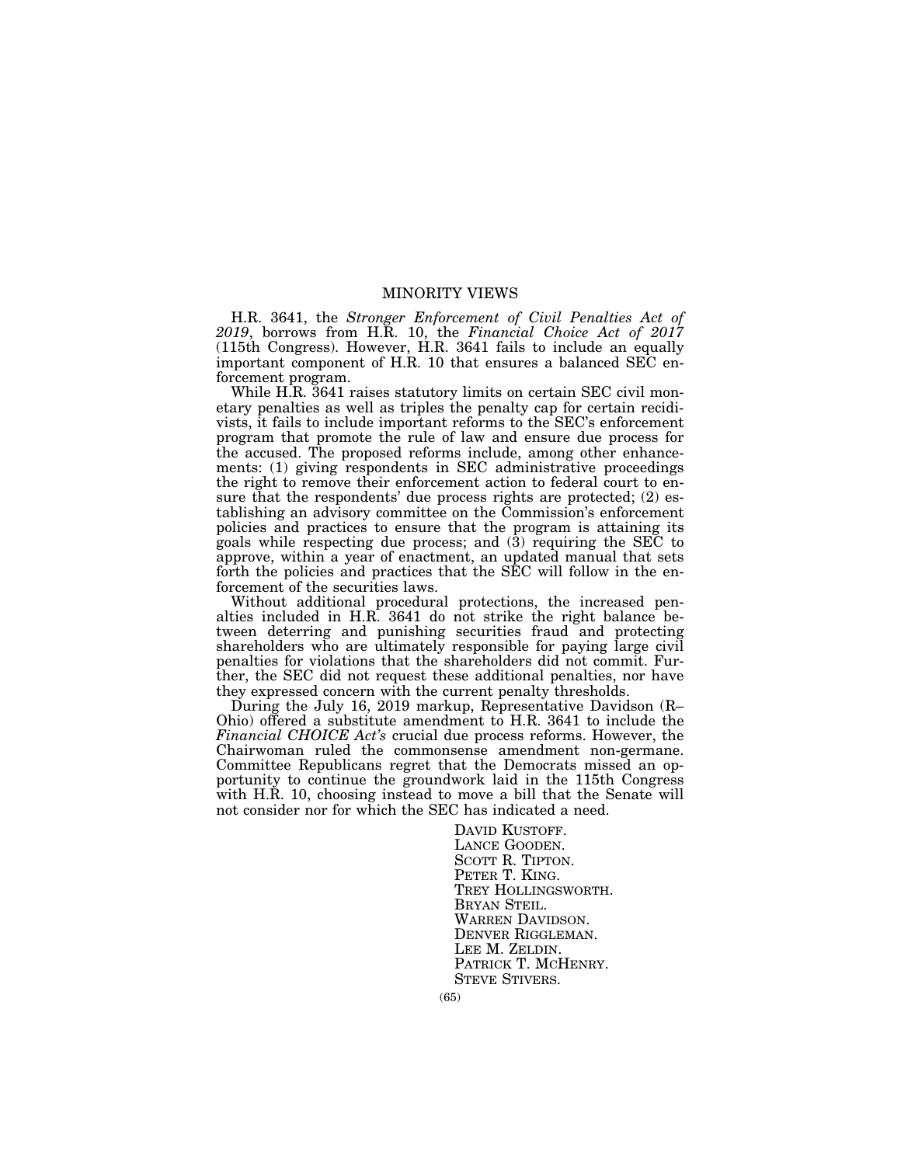## MINORITY VIEWS

H.R. 3641, the *Stronger Enforcement of Civil Penalties Act of 2019*, borrows from H.R. 10, the *Financial Choice Act of 2017*  (115th Congress). However, H.R. 3641 fails to include an equally important component of H.R. 10 that ensures a balanced SEC enforcement program.

While H.R. 3641 raises statutory limits on certain SEC civil monetary penalties as well as triples the penalty cap for certain recidivists, it fails to include important reforms to the SEC's enforcement program that promote the rule of law and ensure due process for the accused. The proposed reforms include, among other enhancements: (1) giving respondents in SEC administrative proceedings the right to remove their enforcement action to federal court to ensure that the respondents' due process rights are protected; (2) establishing an advisory committee on the Commission's enforcement policies and practices to ensure that the program is attaining its goals while respecting due process; and (3) requiring the SEC to approve, within a year of enactment, an updated manual that sets forth the policies and practices that the SEC will follow in the enforcement of the securities laws.

Without additional procedural protections, the increased penalties included in H.R. 3641 do not strike the right balance between deterring and punishing securities fraud and protecting shareholders who are ultimately responsible for paying large civil penalties for violations that the shareholders did not commit. Further, the SEC did not request these additional penalties, nor have they expressed concern with the current penalty thresholds.

During the July 16, 2019 markup, Representative Davidson (R– Ohio) offered a substitute amendment to H.R. 3641 to include the *Financial CHOICE Act's* crucial due process reforms. However, the Chairwoman ruled the commonsense amendment non-germane. Committee Republicans regret that the Democrats missed an opportunity to continue the groundwork laid in the 115th Congress with H.R. 10, choosing instead to move a bill that the Senate will not consider nor for which the SEC has indicated a need.

> DAVID KUSTOFF. LANCE GOODEN. SCOTT R. TIPTON. PETER T. KING. TREY HOLLINGSWORTH. BRYAN STEIL. WARREN DAVIDSON. DENVER RIGGLEMAN. LEE M. ZELDIN. PATRICK T. MCHENRY. STEVE STIVERS.